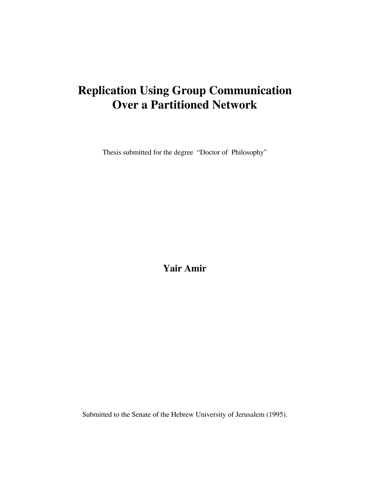## **Replication Using Group Communication Over a Partitioned Network**

Thesis submitted for the degree "Doctor of Philosophy"

**Yair Amir**

Submitted to the Senate of the Hebrew University of Jerusalem (1995).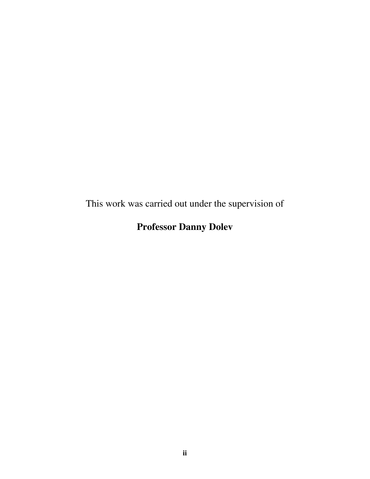This work was carried out under the supervision of

## **Professor Danny Dolev**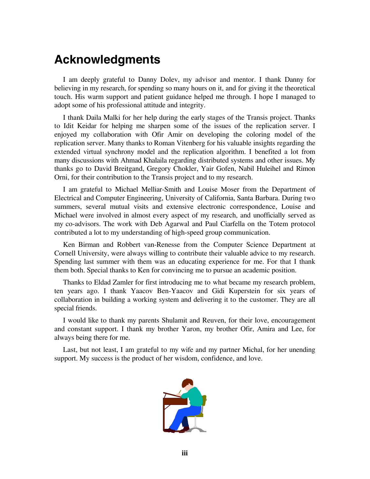## **Acknowledgments**

I am deeply grateful to Danny Dolev, my advisor and mentor. I thank Danny for believing in my research, for spending so many hours on it, and for giving it the theoretical touch. His warm support and patient guidance helped me through. I hope I managed to adopt some of his professional attitude and integrity.

I thank Daila Malki for her help during the early stages of the Transis project. Thanks to Idit Keidar for helping me sharpen some of the issues of the replication server. I enjoyed my collaboration with Ofir Amir on developing the coloring model of the replication server. Many thanks to Roman Vitenberg for his valuable insights regarding the extended virtual synchrony model and the replication algorithm. I benefited a lot from many discussions with Ahmad Khalaila regarding distributed systems and other issues. My thanks go to David Breitgand, Gregory Chokler, Yair Gofen, Nabil Huleihel and Rimon Orni, for their contribution to the Transis project and to my research.

I am grateful to Michael Melliar-Smith and Louise Moser from the Department of Electrical and Computer Engineering, University of California, Santa Barbara. During two summers, several mutual visits and extensive electronic correspondence, Louise and Michael were involved in almost every aspect of my research, and unofficially served as my co-advisors. The work with Deb Agarwal and Paul Ciarfella on the Totem protocol contributed a lot to my understanding of high-speed group communication.

Ken Birman and Robbert van-Renesse from the Computer Science Department at Cornell University, were always willing to contribute their valuable advice to my research. Spending last summer with them was an educating experience for me. For that I thank them both. Special thanks to Ken for convincing me to pursue an academic position.

Thanks to Eldad Zamler for first introducing me to what became my research problem, ten years ago. I thank Yaacov Ben-Yaacov and Gidi Kuperstein for six years of collaboration in building a working system and delivering it to the customer. They are all special friends.

I would like to thank my parents Shulamit and Reuven, for their love, encouragement and constant support. I thank my brother Yaron, my brother Ofir, Amira and Lee, for always being there for me.

Last, but not least, I am grateful to my wife and my partner Michal, for her unending support. My success is the product of her wisdom, confidence, and love.

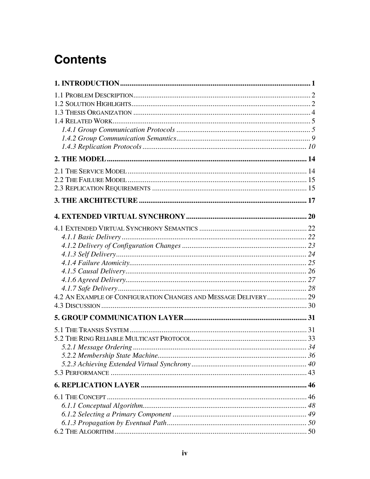# **Contents**

| 4.2 AN EXAMPLE OF CONFIGURATION CHANGES AND MESSAGE DELIVERY 29 |  |
|-----------------------------------------------------------------|--|
|                                                                 |  |
|                                                                 |  |
|                                                                 |  |
|                                                                 |  |
|                                                                 |  |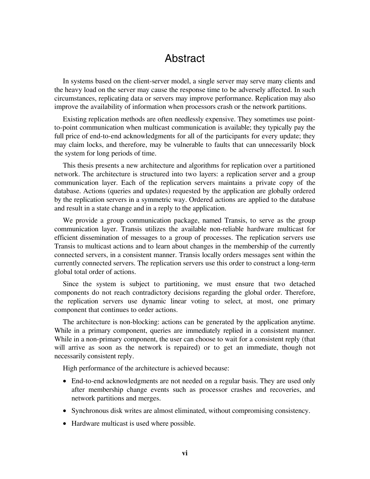### Abstract

In systems based on the client-server model, a single server may serve many clients and the heavy load on the server may cause the response time to be adversely affected. In such circumstances, replicating data or servers may improve performance. Replication may also improve the availability of information when processors crash or the network partitions.

Existing replication methods are often needlessly expensive. They sometimes use pointto-point communication when multicast communication is available; they typically pay the full price of end-to-end acknowledgments for all of the participants for every update; they may claim locks, and therefore, may be vulnerable to faults that can unnecessarily block the system for long periods of time.

This thesis presents a new architecture and algorithms for replication over a partitioned network. The architecture is structured into two layers: a replication server and a group communication layer. Each of the replication servers maintains a private copy of the database. Actions (queries and updates) requested by the application are globally ordered by the replication servers in a symmetric way. Ordered actions are applied to the database and result in a state change and in a reply to the application.

We provide a group communication package, named Transis, to serve as the group communication layer. Transis utilizes the available non-reliable hardware multicast for efficient dissemination of messages to a group of processes. The replication servers use Transis to multicast actions and to learn about changes in the membership of the currently connected servers, in a consistent manner. Transis locally orders messages sent within the currently connected servers. The replication servers use this order to construct a long-term global total order of actions.

Since the system is subject to partitioning, we must ensure that two detached components do not reach contradictory decisions regarding the global order. Therefore, the replication servers use dynamic linear voting to select, at most, one primary component that continues to order actions.

The architecture is non-blocking: actions can be generated by the application anytime. While in a primary component, queries are immediately replied in a consistent manner. While in a non-primary component, the user can choose to wait for a consistent reply (that will arrive as soon as the network is repaired) or to get an immediate, though not necessarily consistent reply.

High performance of the architecture is achieved because:

- End-to-end acknowledgments are not needed on a regular basis. They are used only after membership change events such as processor crashes and recoveries, and network partitions and merges.
- Synchronous disk writes are almost eliminated, without compromising consistency.
- Hardware multicast is used where possible.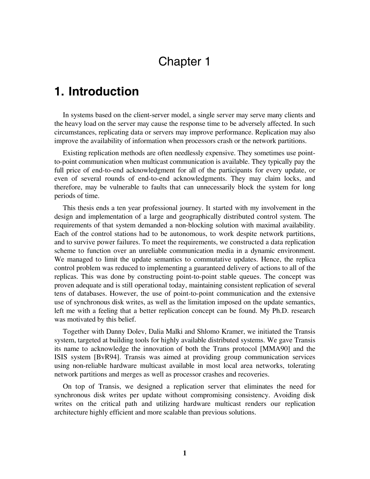## Chapter 1

### **1. Introduction**

In systems based on the client-server model, a single server may serve many clients and the heavy load on the server may cause the response time to be adversely affected. In such circumstances, replicating data or servers may improve performance. Replication may also improve the availability of information when processors crash or the network partitions.

Existing replication methods are often needlessly expensive. They sometimes use pointto-point communication when multicast communication is available. They typically pay the full price of end-to-end acknowledgment for all of the participants for every update, or even of several rounds of end-to-end acknowledgments. They may claim locks, and therefore, may be vulnerable to faults that can unnecessarily block the system for long periods of time.

This thesis ends a ten year professional journey. It started with my involvement in the design and implementation of a large and geographically distributed control system. The requirements of that system demanded a non-blocking solution with maximal availability. Each of the control stations had to be autonomous, to work despite network partitions, and to survive power failures. To meet the requirements, we constructed a data replication scheme to function over an unreliable communication media in a dynamic environment. We managed to limit the update semantics to commutative updates. Hence, the replica control problem was reduced to implementing a guaranteed delivery of actions to all of the replicas. This was done by constructing point-to-point stable queues. The concept was proven adequate and is still operational today, maintaining consistent replication of several tens of databases. However, the use of point-to-point communication and the extensive use of synchronous disk writes, as well as the limitation imposed on the update semantics, left me with a feeling that a better replication concept can be found. My Ph.D. research was motivated by this belief.

Together with Danny Dolev, Dalia Malki and Shlomo Kramer, we initiated the Transis system, targeted at building tools for highly available distributed systems. We gave Transis its name to acknowledge the innovation of both the Trans protocol [MMA90] and the ISIS system [BvR94]. Transis was aimed at providing group communication services using non-reliable hardware multicast available in most local area networks, tolerating network partitions and merges as well as processor crashes and recoveries.

On top of Transis, we designed a replication server that eliminates the need for synchronous disk writes per update without compromising consistency. Avoiding disk writes on the critical path and utilizing hardware multicast renders our replication architecture highly efficient and more scalable than previous solutions.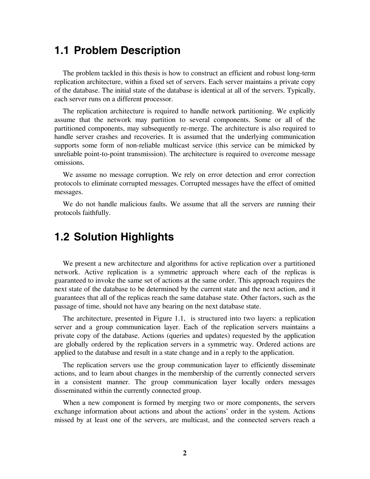### **1.1 Problem Description**

The problem tackled in this thesis is how to construct an efficient and robust long-term replication architecture, within a fixed set of servers. Each server maintains a private copy of the database. The initial state of the database is identical at all of the servers. Typically, each server runs on a different processor.

The replication architecture is required to handle network partitioning. We explicitly assume that the network may partition to several components. Some or all of the partitioned components, may subsequently re-merge. The architecture is also required to handle server crashes and recoveries. It is assumed that the underlying communication supports some form of non-reliable multicast service (this service can be mimicked by unreliable point-to-point transmission). The architecture is required to overcome message omissions.

We assume no message corruption. We rely on error detection and error correction protocols to eliminate corrupted messages. Corrupted messages have the effect of omitted messages.

We do not handle malicious faults. We assume that all the servers are running their protocols faithfully.

### **1.2 Solution Highlights**

We present a new architecture and algorithms for active replication over a partitioned network. Active replication is a symmetric approach where each of the replicas is guaranteed to invoke the same set of actions at the same order. This approach requires the next state of the database to be determined by the current state and the next action, and it guarantees that all of the replicas reach the same database state. Other factors, such as the passage of time, should not have any bearing on the next database state.

The architecture, presented in Figure 1.1, is structured into two layers: a replication server and a group communication layer. Each of the replication servers maintains a private copy of the database. Actions (queries and updates) requested by the application are globally ordered by the replication servers in a symmetric way. Ordered actions are applied to the database and result in a state change and in a reply to the application.

The replication servers use the group communication layer to efficiently disseminate actions, and to learn about changes in the membership of the currently connected servers in a consistent manner. The group communication layer locally orders messages disseminated within the currently connected group.

When a new component is formed by merging two or more components, the servers exchange information about actions and about the actions' order in the system. Actions missed by at least one of the servers, are multicast, and the connected servers reach a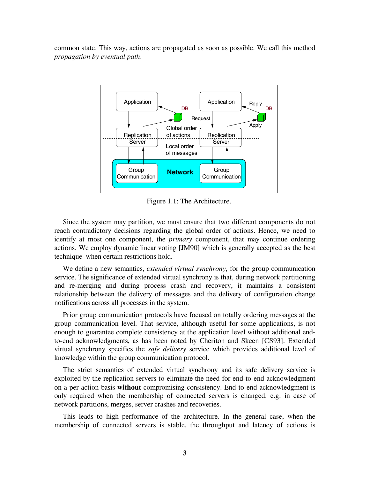common state. This way, actions are propagated as soon as possible. We call this method *propagation by eventual path*.



Figure 1.1: The Architecture.

Since the system may partition, we must ensure that two different components do not reach contradictory decisions regarding the global order of actions. Hence, we need to identify at most one component, the *primary* component, that may continue ordering actions. We employ dynamic linear voting [JM90] which is generally accepted as the best technique when certain restrictions hold.

We define a new semantics, *extended virtual synchrony*, for the group communication service. The significance of extended virtual synchrony is that, during network partitioning and re-merging and during process crash and recovery, it maintains a consistent relationship between the delivery of messages and the delivery of configuration change notifications across all processes in the system.

Prior group communication protocols have focused on totally ordering messages at the group communication level. That service, although useful for some applications, is not enough to guarantee complete consistency at the application level without additional endto-end acknowledgments, as has been noted by Cheriton and Skeen [CS93]. Extended virtual synchrony specifies the *safe delivery* service which provides additional level of knowledge within the group communication protocol.

The strict semantics of extended virtual synchrony and its safe delivery service is exploited by the replication servers to eliminate the need for end-to-end acknowledgment on a per-action basis **without** compromising consistency. End-to-end acknowledgment is only required when the membership of connected servers is changed. e.g. in case of network partitions, merges, server crashes and recoveries.

This leads to high performance of the architecture. In the general case, when the membership of connected servers is stable, the throughput and latency of actions is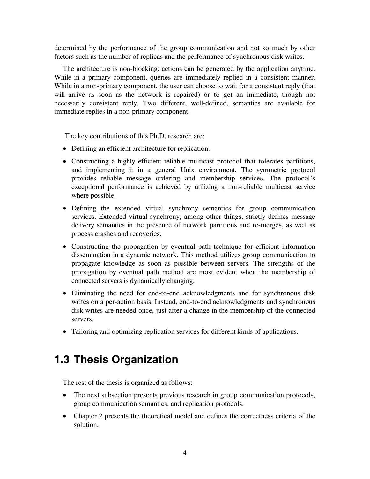determined by the performance of the group communication and not so much by other factors such as the number of replicas and the performance of synchronous disk writes.

The architecture is non-blocking: actions can be generated by the application anytime. While in a primary component, queries are immediately replied in a consistent manner. While in a non-primary component, the user can choose to wait for a consistent reply (that will arrive as soon as the network is repaired) or to get an immediate, though not necessarily consistent reply. Two different, well-defined, semantics are available for immediate replies in a non-primary component.

The key contributions of this Ph.D. research are:

- Defining an efficient architecture for replication.
- Constructing a highly efficient reliable multicast protocol that tolerates partitions, and implementing it in a general Unix environment. The symmetric protocol provides reliable message ordering and membership services. The protocol's exceptional performance is achieved by utilizing a non-reliable multicast service where possible.
- Defining the extended virtual synchrony semantics for group communication services. Extended virtual synchrony, among other things, strictly defines message delivery semantics in the presence of network partitions and re-merges, as well as process crashes and recoveries.
- Constructing the propagation by eventual path technique for efficient information dissemination in a dynamic network. This method utilizes group communication to propagate knowledge as soon as possible between servers. The strengths of the propagation by eventual path method are most evident when the membership of connected servers is dynamically changing.
- Eliminating the need for end-to-end acknowledgments and for synchronous disk writes on a per-action basis. Instead, end-to-end acknowledgments and synchronous disk writes are needed once, just after a change in the membership of the connected servers.
- Tailoring and optimizing replication services for different kinds of applications.

## **1.3 Thesis Organization**

The rest of the thesis is organized as follows:

- The next subsection presents previous research in group communication protocols, group communication semantics, and replication protocols.
- Chapter 2 presents the theoretical model and defines the correctness criteria of the solution.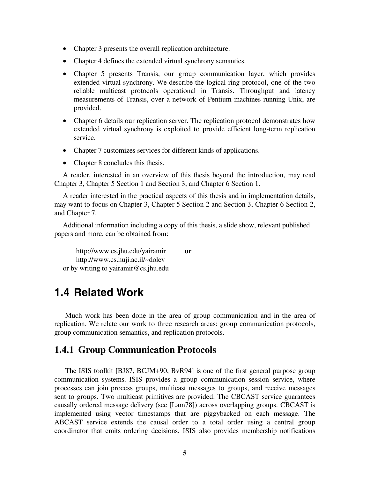- Chapter 3 presents the overall replication architecture.
- Chapter 4 defines the extended virtual synchrony semantics.
- Chapter 5 presents Transis, our group communication layer, which provides extended virtual synchrony. We describe the logical ring protocol, one of the two reliable multicast protocols operational in Transis. Throughput and latency measurements of Transis, over a network of Pentium machines running Unix, are provided.
- Chapter 6 details our replication server. The replication protocol demonstrates how extended virtual synchrony is exploited to provide efficient long-term replication service.
- Chapter 7 customizes services for different kinds of applications.
- Chapter 8 concludes this thesis.

A reader, interested in an overview of this thesis beyond the introduction, may read Chapter 3, Chapter 5 Section 1 and Section 3, and Chapter 6 Section 1.

A reader interested in the practical aspects of this thesis and in implementation details, may want to focus on Chapter 3, Chapter 5 Section 2 and Section 3, Chapter 6 Section 2, and Chapter 7.

Additional information including a copy of this thesis, a slide show, relevant published papers and more, can be obtained from:

http://www.cs.jhu.edu/yairamir **or** http://www.cs.huji.ac.il/~dolev or by writing to yairamir@cs.jhu.edu

### **1.4 Related Work**

Much work has been done in the area of group communication and in the area of replication. We relate our work to three research areas: group communication protocols, group communication semantics, and replication protocols.

#### **1.4.1 Group Communication Protocols**

The ISIS toolkit [BJ87, BCJM+90, BvR94] is one of the first general purpose group communication systems. ISIS provides a group communication session service, where processes can join process groups, multicast messages to groups, and receive messages sent to groups. Two multicast primitives are provided: The CBCAST service guarantees causally ordered message delivery (see [Lam78]) across overlapping groups. CBCAST is implemented using vector timestamps that are piggybacked on each message. The ABCAST service extends the causal order to a total order using a central group coordinator that emits ordering decisions. ISIS also provides membership notifications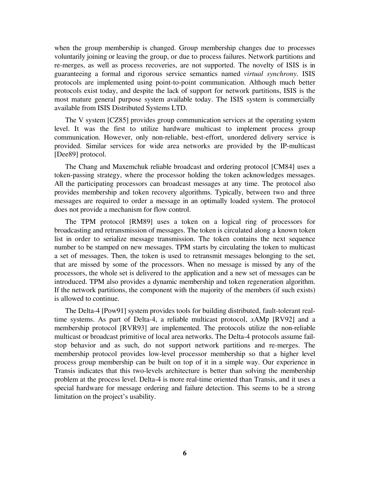when the group membership is changed. Group membership changes due to processes voluntarily joining or leaving the group, or due to process failures. Network partitions and re-merges, as well as process recoveries, are not supported. The novelty of ISIS is in guaranteeing a formal and rigorous service semantics named *virtual synchrony*. ISIS protocols are implemented using point-to-point communication. Although much better protocols exist today, and despite the lack of support for network partitions, ISIS is the most mature general purpose system available today. The ISIS system is commercially available from ISIS Distributed Systems LTD.

The V system [CZ85] provides group communication services at the operating system level. It was the first to utilize hardware multicast to implement process group communication. However, only non-reliable, best-effort, unordered delivery service is provided. Similar services for wide area networks are provided by the IP-multicast [Dee89] protocol.

The Chang and Maxemchuk reliable broadcast and ordering protocol [CM84] uses a token-passing strategy, where the processor holding the token acknowledges messages. All the participating processors can broadcast messages at any time. The protocol also provides membership and token recovery algorithms. Typically, between two and three messages are required to order a message in an optimally loaded system. The protocol does not provide a mechanism for flow control.

The TPM protocol [RM89] uses a token on a logical ring of processors for broadcasting and retransmission of messages. The token is circulated along a known token list in order to serialize message transmission. The token contains the next sequence number to be stamped on new messages. TPM starts by circulating the token to multicast a set of messages. Then, the token is used to retransmit messages belonging to the set, that are missed by some of the processors. When no message is missed by any of the processors, the whole set is delivered to the application and a new set of messages can be introduced. TPM also provides a dynamic membership and token regeneration algorithm. If the network partitions, the component with the majority of the members (if such exists) is allowed to continue.

The Delta-4 [Pow91] system provides tools for building distributed, fault-tolerant realtime systems. As part of Delta-4, a reliable multicast protocol, *x*AMp [RV92] and a membership protocol [RVR93] are implemented. The protocols utilize the non-reliable multicast or broadcast primitive of local area networks. The Delta-4 protocols assume failstop behavior and as such, do not support network partitions and re-merges. The membership protocol provides low-level processor membership so that a higher level process group membership can be built on top of it in a simple way. Our experience in Transis indicates that this two-levels architecture is better than solving the membership problem at the process level. Delta-4 is more real-time oriented than Transis, and it uses a special hardware for message ordering and failure detection. This seems to be a strong limitation on the project's usability.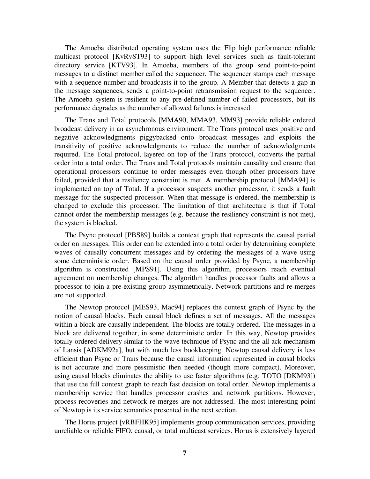The Amoeba distributed operating system uses the Flip high performance reliable multicast protocol [KvRvST93] to support high level services such as fault-tolerant directory service [KTV93]. In Amoeba, members of the group send point-to-point messages to a distinct member called the sequencer. The sequencer stamps each message with a sequence number and broadcasts it to the group. A Member that detects a gap in the message sequences, sends a point-to-point retransmission request to the sequencer. The Amoeba system is resilient to any pre-defined number of failed processors, but its performance degrades as the number of allowed failures is increased.

The Trans and Total protocols [MMA90, MMA93, MM93] provide reliable ordered broadcast delivery in an asynchronous environment. The Trans protocol uses positive and negative acknowledgments piggybacked onto broadcast messages and exploits the transitivity of positive acknowledgments to reduce the number of acknowledgments required. The Total protocol, layered on top of the Trans protocol, converts the partial order into a total order. The Trans and Total protocols maintain causality and ensure that operational processors continue to order messages even though other processors have failed, provided that a resiliency constraint is met. A membership protocol [MMA94] is implemented on top of Total. If a processor suspects another processor, it sends a fault message for the suspected processor. When that message is ordered, the membership is changed to exclude this processor. The limitation of that architecture is that if Total cannot order the membership messages (e.g. because the resiliency constraint is not met), the system is blocked.

The Psync protocol [PBS89] builds a context graph that represents the causal partial order on messages. This order can be extended into a total order by determining complete waves of causally concurrent messages and by ordering the messages of a wave using some deterministic order. Based on the causal order provided by Psync, a membership algorithm is constructed [MPS91]. Using this algorithm, processors reach eventual agreement on membership changes. The algorithm handles processor faults and allows a processor to join a pre-existing group asymmetrically. Network partitions and re-merges are not supported.

The Newtop protocol [MES93, Mac94] replaces the context graph of Psync by the notion of causal blocks. Each causal block defines a set of messages. All the messages within a block are causally independent. The blocks are totally ordered. The messages in a block are delivered together, in some deterministic order. In this way, Newtop provides totally ordered delivery similar to the wave technique of Psync and the all-ack mechanism of Lansis [ADKM92a], but with much less bookkeeping. Newtop causal delivery is less efficient than Psync or Trans because the causal information represented in causal blocks is not accurate and more pessimistic then needed (though more compact). Moreover, using causal blocks eliminates the ability to use faster algorithms (e.g. TOTO [DKM93]) that use the full context graph to reach fast decision on total order. Newtop implements a membership service that handles processor crashes and network partitions. However, process recoveries and network re-merges are not addressed. The most interesting point of Newtop is its service semantics presented in the next section.

The Horus project [vRBFHK95] implements group communication services, providing unreliable or reliable FIFO, causal, or total multicast services. Horus is extensively layered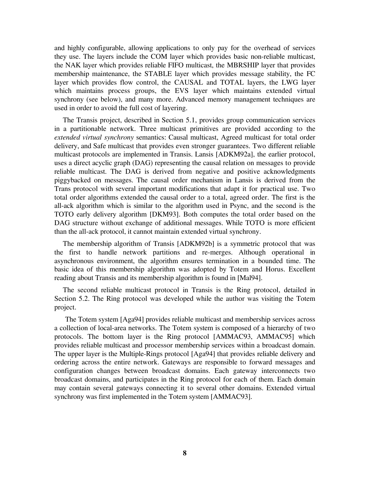and highly configurable, allowing applications to only pay for the overhead of services they use. The layers include the COM layer which provides basic non-reliable multicast, the NAK layer which provides reliable FIFO multicast, the MBRSHIP layer that provides membership maintenance, the STABLE layer which provides message stability, the FC layer which provides flow control, the CAUSAL and TOTAL layers, the LWG layer which maintains process groups, the EVS layer which maintains extended virtual synchrony (see below), and many more. Advanced memory management techniques are used in order to avoid the full cost of layering.

The Transis project, described in Section 5.1, provides group communication services in a partitionable network. Three multicast primitives are provided according to the *extended virtual synchrony* semantics: Causal multicast, Agreed multicast for total order delivery, and Safe multicast that provides even stronger guarantees. Two different reliable multicast protocols are implemented in Transis. Lansis [ADKM92a], the earlier protocol, uses a direct acyclic graph (DAG) representing the causal relation on messages to provide reliable multicast. The DAG is derived from negative and positive acknowledgments piggybacked on messages. The causal order mechanism in Lansis is derived from the Trans protocol with several important modifications that adapt it for practical use. Two total order algorithms extended the causal order to a total, agreed order. The first is the all-ack algorithm which is similar to the algorithm used in Psync, and the second is the TOTO early delivery algorithm [DKM93]. Both computes the total order based on the DAG structure without exchange of additional messages. While TOTO is more efficient than the all-ack protocol, it cannot maintain extended virtual synchrony.

The membership algorithm of Transis [ADKM92b] is a symmetric protocol that was the first to handle network partitions and re-merges. Although operational in asynchronous environment, the algorithm ensures termination in a bounded time. The basic idea of this membership algorithm was adopted by Totem and Horus. Excellent reading about Transis and its membership algorithm is found in [Mal94].

The second reliable multicast protocol in Transis is the Ring protocol, detailed in Section 5.2. The Ring protocol was developed while the author was visiting the Totem project.

The Totem system [Aga94] provides reliable multicast and membership services across a collection of local-area networks. The Totem system is composed of a hierarchy of two protocols. The bottom layer is the Ring protocol [AMMAC93, AMMAC95] which provides reliable multicast and processor membership services within a broadcast domain. The upper layer is the Multiple-Rings protocol [Aga94] that provides reliable delivery and ordering across the entire network. Gateways are responsible to forward messages and configuration changes between broadcast domains. Each gateway interconnects two broadcast domains, and participates in the Ring protocol for each of them. Each domain may contain several gateways connecting it to several other domains. Extended virtual synchrony was first implemented in the Totem system [AMMAC93].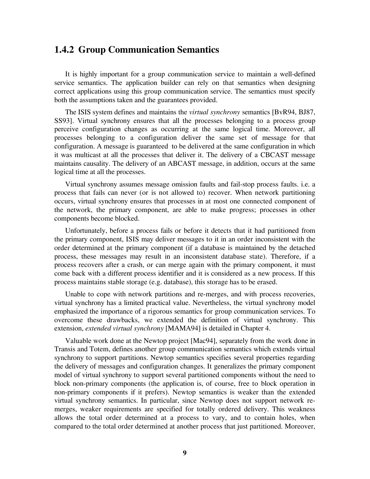#### **1.4.2 Group Communication Semantics**

It is highly important for a group communication service to maintain a well-defined service semantics. The application builder can rely on that semantics when designing correct applications using this group communication service. The semantics must specify both the assumptions taken and the guarantees provided.

The ISIS system defines and maintains the *virtual synchrony* semantics [BvR94, BJ87, SS93]. Virtual synchrony ensures that all the processes belonging to a process group perceive configuration changes as occurring at the same logical time. Moreover, all processes belonging to a configuration deliver the same set of message for that configuration. A message is guaranteed to be delivered at the same configuration in which it was multicast at all the processes that deliver it. The delivery of a CBCAST message maintains causality. The delivery of an ABCAST message, in addition, occurs at the same logical time at all the processes.

Virtual synchrony assumes message omission faults and fail-stop process faults. i.e. a process that fails can never (or is not allowed to) recover. When network partitioning occurs, virtual synchrony ensures that processes in at most one connected component of the network, the primary component, are able to make progress; processes in other components become blocked.

Unfortunately, before a process fails or before it detects that it had partitioned from the primary component, ISIS may deliver messages to it in an order inconsistent with the order determined at the primary component (if a database is maintained by the detached process, these messages may result in an inconsistent database state). Therefore, if a process recovers after a crash, or can merge again with the primary component, it must come back with a different process identifier and it is considered as a new process. If this process maintains stable storage (e.g. database), this storage has to be erased.

Unable to cope with network partitions and re-merges, and with process recoveries, virtual synchrony has a limited practical value. Nevertheless, the virtual synchrony model emphasized the importance of a rigorous semantics for group communication services. To overcome these drawbacks, we extended the definition of virtual synchrony. This extension, *extended virtual synchrony* [MAMA94] is detailed in Chapter 4.

Valuable work done at the Newtop project [Mac94], separately from the work done in Transis and Totem, defines another group communication semantics which extends virtual synchrony to support partitions. Newtop semantics specifies several properties regarding the delivery of messages and configuration changes. It generalizes the primary component model of virtual synchrony to support several partitioned components without the need to block non-primary components (the application is, of course, free to block operation in non-primary components if it prefers). Newtop semantics is weaker than the extended virtual synchrony semantics. In particular, since Newtop does not support network remerges, weaker requirements are specified for totally ordered delivery. This weakness allows the total order determined at a process to vary, and to contain holes, when compared to the total order determined at another process that just partitioned. Moreover,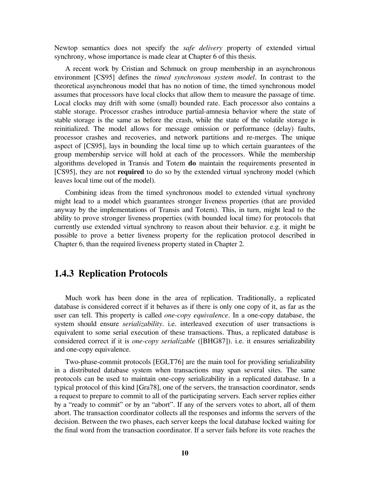Newtop semantics does not specify the *safe delivery* property of extended virtual synchrony, whose importance is made clear at Chapter 6 of this thesis.

A recent work by Cristian and Schmuck on group membership in an asynchronous environment [CS95] defines the *timed synchronous system model*. In contrast to the theoretical asynchronous model that has no notion of time, the timed synchronous model assumes that processors have local clocks that allow them to measure the passage of time. Local clocks may drift with some (small) bounded rate. Each processor also contains a stable storage. Processor crashes introduce partial-amnesia behavior where the state of stable storage is the same as before the crash, while the state of the volatile storage is reinitialized. The model allows for message omission or performance (delay) faults, processor crashes and recoveries, and network partitions and re-merges. The unique aspect of [CS95], lays in bounding the local time up to which certain guarantees of the group membership service will hold at each of the processors. While the membership algorithms developed in Transis and Totem **do** maintain the requirements presented in [CS95], they are not **required** to do so by the extended virtual synchrony model (which leaves local time out of the model).

Combining ideas from the timed synchronous model to extended virtual synchrony might lead to a model which guarantees stronger liveness properties (that are provided anyway by the implementations of Transis and Totem). This, in turn, might lead to the ability to prove stronger liveness properties (with bounded local time) for protocols that currently use extended virtual synchrony to reason about their behavior. e.g. it might be possible to prove a better liveness property for the replication protocol described in Chapter 6, than the required liveness property stated in Chapter 2.

#### **1.4.3 Replication Protocols**

Much work has been done in the area of replication. Traditionally, a replicated database is considered correct if it behaves as if there is only one copy of it, as far as the user can tell. This property is called *one-copy equivalence*. In a one-copy database, the system should ensure *serializability*. i.e. interleaved execution of user transactions is equivalent to some serial execution of these transactions. Thus, a replicated database is considered correct if it is *one-copy serializable* ([BHG87]). i.e. it ensures serializability and one-copy equivalence.

Two-phase-commit protocols [EGLT76] are the main tool for providing serializability in a distributed database system when transactions may span several sites. The same protocols can be used to maintain one-copy serializability in a replicated database. In a typical protocol of this kind [Gra78], one of the servers, the transaction coordinator, sends a request to prepare to commit to all of the participating servers. Each server replies either by a "ready to commit" or by an "abort". If any of the servers votes to abort, all of them abort. The transaction coordinator collects all the responses and informs the servers of the decision. Between the two phases, each server keeps the local database locked waiting for the final word from the transaction coordinator. If a server fails before its vote reaches the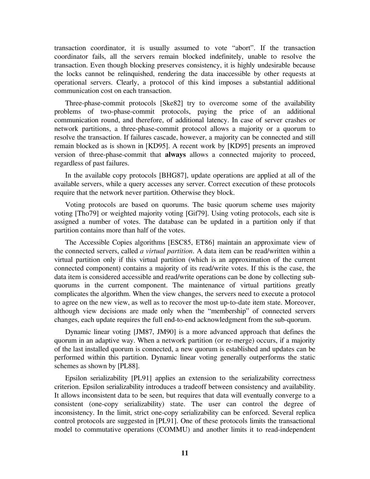transaction coordinator, it is usually assumed to vote "abort". If the transaction coordinator fails, all the servers remain blocked indefinitely, unable to resolve the transaction. Even though blocking preserves consistency, it is highly undesirable because the locks cannot be relinquished, rendering the data inaccessible by other requests at operational servers. Clearly, a protocol of this kind imposes a substantial additional communication cost on each transaction.

Three-phase-commit protocols [Ske82] try to overcome some of the availability problems of two-phase-commit protocols, paying the price of an additional communication round, and therefore, of additional latency. In case of server crashes or network partitions, a three-phase-commit protocol allows a majority or a quorum to resolve the transaction. If failures cascade, however, a majority can be connected and still remain blocked as is shown in [KD95]. A recent work by [KD95] presents an improved version of three-phase-commit that **always** allows a connected majority to proceed, regardless of past failures.

In the available copy protocols [BHG87], update operations are applied at all of the available servers, while a query accesses any server. Correct execution of these protocols require that the network never partition. Otherwise they block.

Voting protocols are based on quorums. The basic quorum scheme uses majority voting [Tho79] or weighted majority voting [Gif79]. Using voting protocols, each site is assigned a number of votes. The database can be updated in a partition only if that partition contains more than half of the votes.

The Accessible Copies algorithms [ESC85, ET86] maintain an approximate view of the connected servers, called *a virtual partition*. A data item can be read/written within a virtual partition only if this virtual partition (which is an approximation of the current connected component) contains a majority of its read/write votes. If this is the case, the data item is considered accessible and read/write operations can be done by collecting subquorums in the current component. The maintenance of virtual partitions greatly complicates the algorithm. When the view changes, the servers need to execute a protocol to agree on the new view, as well as to recover the most up-to-date item state. Moreover, although view decisions are made only when the "membership" of connected servers changes, each update requires the full end-to-end acknowledgment from the sub-quorum.

Dynamic linear voting [JM87, JM90] is a more advanced approach that defines the quorum in an adaptive way. When a network partition (or re-merge) occurs, if a majority of the last installed quorum is connected, a new quorum is established and updates can be performed within this partition. Dynamic linear voting generally outperforms the static schemes as shown by [PL88].

Epsilon serializability [PL91] applies an extension to the serializability correctness criterion. Epsilon serializability introduces a tradeoff between consistency and availability. It allows inconsistent data to be seen, but requires that data will eventually converge to a consistent (one-copy serializability) state. The user can control the degree of inconsistency. In the limit, strict one-copy serializability can be enforced. Several replica control protocols are suggested in [PL91]. One of these protocols limits the transactional model to commutative operations (COMMU) and another limits it to read-independent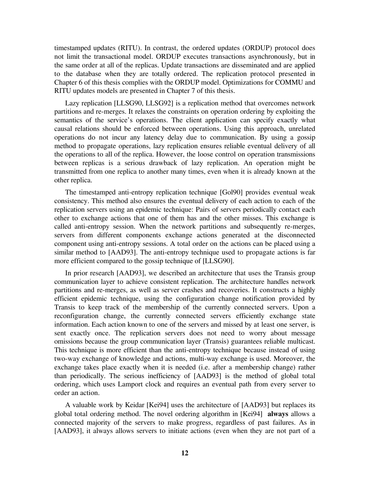timestamped updates (RITU). In contrast, the ordered updates (ORDUP) protocol does not limit the transactional model. ORDUP executes transactions asynchronously, but in the same order at all of the replicas. Update transactions are disseminated and are applied to the database when they are totally ordered. The replication protocol presented in Chapter 6 of this thesis complies with the ORDUP model. Optimizations for COMMU and RITU updates models are presented in Chapter 7 of this thesis.

Lazy replication [LLSG90, LLSG92] is a replication method that overcomes network partitions and re-merges. It relaxes the constraints on operation ordering by exploiting the semantics of the service's operations. The client application can specify exactly what causal relations should be enforced between operations. Using this approach, unrelated operations do not incur any latency delay due to communication. By using a gossip method to propagate operations, lazy replication ensures reliable eventual delivery of all the operations to all of the replica. However, the loose control on operation transmissions between replicas is a serious drawback of lazy replication. An operation might be transmitted from one replica to another many times, even when it is already known at the other replica.

The timestamped anti-entropy replication technique [Gol90] provides eventual weak consistency. This method also ensures the eventual delivery of each action to each of the replication servers using an epidemic technique: Pairs of servers periodically contact each other to exchange actions that one of them has and the other misses. This exchange is called anti-entropy session. When the network partitions and subsequently re-merges, servers from different components exchange actions generated at the disconnected component using anti-entropy sessions. A total order on the actions can be placed using a similar method to [AAD93]. The anti-entropy technique used to propagate actions is far more efficient compared to the gossip technique of [LLSG90].

In prior research [AAD93], we described an architecture that uses the Transis group communication layer to achieve consistent replication. The architecture handles network partitions and re-merges, as well as server crashes and recoveries. It constructs a highly efficient epidemic technique, using the configuration change notification provided by Transis to keep track of the membership of the currently connected servers. Upon a reconfiguration change, the currently connected servers efficiently exchange state information. Each action known to one of the servers and missed by at least one server, is sent exactly once. The replication servers does not need to worry about message omissions because the group communication layer (Transis) guarantees reliable multicast. This technique is more efficient than the anti-entropy technique because instead of using two-way exchange of knowledge and actions, multi-way exchange is used. Moreover, the exchange takes place exactly when it is needed (i.e. after a membership change) rather than periodically. The serious inefficiency of [AAD93] is the method of global total ordering, which uses Lamport clock and requires an eventual path from every server to order an action.

A valuable work by Keidar [Kei94] uses the architecture of [AAD93] but replaces its global total ordering method. The novel ordering algorithm in [Kei94] **always** allows a connected majority of the servers to make progress, regardless of past failures. As in [AAD93], it always allows servers to initiate actions (even when they are not part of a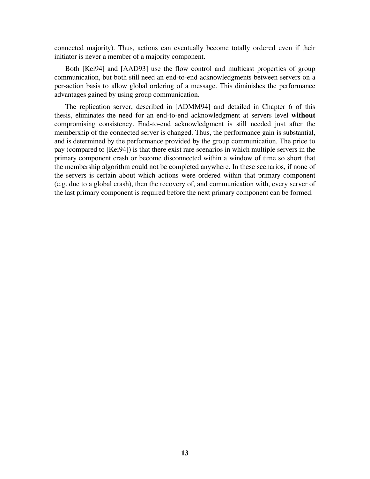connected majority). Thus, actions can eventually become totally ordered even if their initiator is never a member of a majority component.

Both [Kei94] and [AAD93] use the flow control and multicast properties of group communication, but both still need an end-to-end acknowledgments between servers on a per-action basis to allow global ordering of a message. This diminishes the performance advantages gained by using group communication.

The replication server, described in [ADMM94] and detailed in Chapter 6 of this thesis, eliminates the need for an end-to-end acknowledgment at servers level **without** compromising consistency. End-to-end acknowledgment is still needed just after the membership of the connected server is changed. Thus, the performance gain is substantial, and is determined by the performance provided by the group communication. The price to pay (compared to [Kei94]) is that there exist rare scenarios in which multiple servers in the primary component crash or become disconnected within a window of time so short that the membership algorithm could not be completed anywhere. In these scenarios, if none of the servers is certain about which actions were ordered within that primary component (e.g. due to a global crash), then the recovery of, and communication with, every server of the last primary component is required before the next primary component can be formed.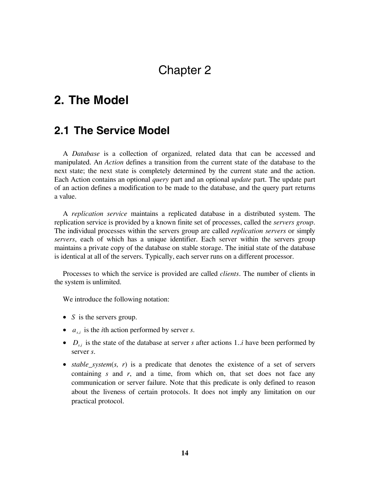## Chapter 2

## **2. The Model**

### **2.1 The Service Model**

A *Database* is a collection of organized, related data that can be accessed and manipulated. An *Action* defines a transition from the current state of the database to the next state; the next state is completely determined by the current state and the action. Each Action contains an optional *query* part and an optional *update* part. The update part of an action defines a modification to be made to the database, and the query part returns a value.

A *replication service* maintains a replicated database in a distributed system. The replication service is provided by a known finite set of processes, called the *servers group*. The individual processes within the servers group are called *replication servers* or simply *servers*, each of which has a unique identifier. Each server within the servers group maintains a private copy of the database on stable storage. The initial state of the database is identical at all of the servers. Typically, each server runs on a different processor.

Processes to which the service is provided are called *clients*. The number of clients in the system is unlimited.

We introduce the following notation:

- *S* is the servers group.
- $a_{si}$  is the *i*th action performed by server *s*.
- $D_{s,i}$  is the state of the database at server *s* after actions 1..*i* have been performed by server *s*.
- *stable\_system(s, r)* is a predicate that denotes the existence of a set of servers containing *s* and *r*, and a time, from which on, that set does not face any communication or server failure. Note that this predicate is only defined to reason about the liveness of certain protocols. It does not imply any limitation on our practical protocol.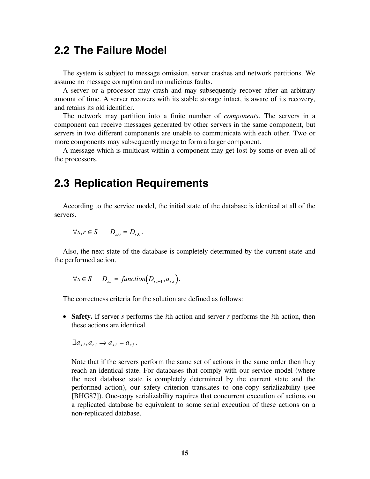### **2.2 The Failure Model**

The system is subject to message omission, server crashes and network partitions. We assume no message corruption and no malicious faults.

A server or a processor may crash and may subsequently recover after an arbitrary amount of time. A server recovers with its stable storage intact, is aware of its recovery, and retains its old identifier.

The network may partition into a finite number of *components*. The servers in a component can receive messages generated by other servers in the same component, but servers in two different components are unable to communicate with each other. Two or more components may subsequently merge to form a larger component.

A message which is multicast within a component may get lost by some or even all of the processors.

### **2.3 Replication Requirements**

According to the service model, the initial state of the database is identical at all of the servers.

$$
\forall s, r \in S \qquad D_{s,0} = D_{r,0}.
$$

Also, the next state of the database is completely determined by the current state and the performed action.

$$
\forall s \in S \qquad D_{s,i} = function(D_{s,i-1}, a_{s,i}).
$$

The correctness criteria for the solution are defined as follows:

• **Safety.** If server *s* performs the *i*th action and server *r* performs the *i*th action, then these actions are identical.

$$
\exists a_{s,i}, a_{r,i} \Rightarrow a_{s,i} = a_{r,i}.
$$

Note that if the servers perform the same set of actions in the same order then they reach an identical state. For databases that comply with our service model (where the next database state is completely determined by the current state and the performed action), our safety criterion translates to one-copy serializability (see [BHG87]). One-copy serializability requires that concurrent execution of actions on a replicated database be equivalent to some serial execution of these actions on a non-replicated database.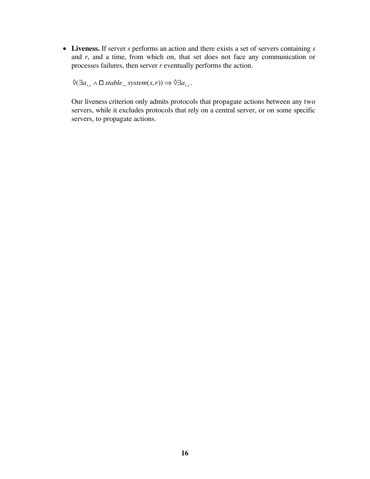• **Liveness.** If server *s* performs an action and there exists a set of servers containing *s* and *r*, and a time, from which on, that set does not face any communication or processes failures, then server *r* eventually performs the action.

 $\Diamond$ ( $\exists a_{s,i} \land \Box$ *stable\_system*(*s*,*r*))  $\Rightarrow$   $\Diamond \exists a_{r,i}$ .

Our liveness criterion only admits protocols that propagate actions between any two servers, while it excludes protocols that rely on a central server, or on some specific servers, to propagate actions.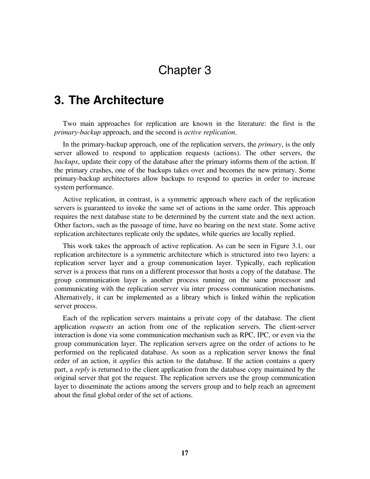## Chapter 3

### **3. The Architecture**

Two main approaches for replication are known in the literature: the first is the *primary-backup* approach, and the second is *active replication*.

In the primary-backup approach, one of the replication servers, the *primary*, is the only server allowed to respond to application requests (actions). The other servers, the *backups*, update their copy of the database after the primary informs them of the action. If the primary crashes, one of the backups takes over and becomes the new primary. Some primary-backup architectures allow backups to respond to queries in order to increase system performance.

Active replication, in contrast, is a symmetric approach where each of the replication servers is guaranteed to invoke the same set of actions in the same order. This approach requires the next database state to be determined by the current state and the next action. Other factors, such as the passage of time, have no bearing on the next state. Some active replication architectures replicate only the updates, while queries are locally replied.

This work takes the approach of active replication. As can be seen in Figure 3.1, our replication architecture is a symmetric architecture which is structured into two layers: a replication server layer and a group communication layer. Typically, each replication server is a process that runs on a different processor that hosts a copy of the database. The group communication layer is another process running on the same processor and communicating with the replication server via inter process communication mechanisms. Alternatively, it can be implemented as a library which is linked within the replication server process.

Each of the replication servers maintains a private copy of the database. The client application *requests* an action from one of the replication servers. The client-server interaction is done via some communication mechanism such as RPC, IPC, or even via the group communication layer. The replication servers agree on the order of actions to be performed on the replicated database. As soon as a replication server knows the final order of an action, it *applies* this action to the database. If the action contains a query part, a *reply* is returned to the client application from the database copy maintained by the original server that got the request. The replication servers use the group communication layer to disseminate the actions among the servers group and to help reach an agreement about the final global order of the set of actions.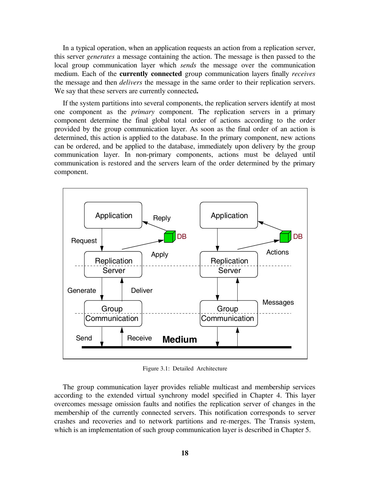In a typical operation, when an application requests an action from a replication server, this server *generates* a message containing the action. The message is then passed to the local group communication layer which *sends* the message over the communication medium. Each of the **currently connected** group communication layers finally *receives* the message and then *delivers* the message in the same order to their replication servers. We say that these servers are currently connected**.**

If the system partitions into several components, the replication servers identify at most one component as the *primary* component. The replication servers in a primary component determine the final global total order of actions according to the order provided by the group communication layer. As soon as the final order of an action is determined, this action is applied to the database. In the primary component, new actions can be ordered, and be applied to the database, immediately upon delivery by the group communication layer. In non-primary components, actions must be delayed until communication is restored and the servers learn of the order determined by the primary component.



Figure 3.1: Detailed Architecture

The group communication layer provides reliable multicast and membership services according to the extended virtual synchrony model specified in Chapter 4. This layer overcomes message omission faults and notifies the replication server of changes in the membership of the currently connected servers. This notification corresponds to server crashes and recoveries and to network partitions and re-merges. The Transis system, which is an implementation of such group communication layer is described in Chapter 5.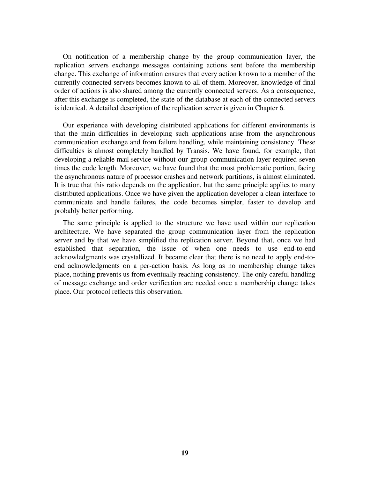On notification of a membership change by the group communication layer, the replication servers exchange messages containing actions sent before the membership change. This exchange of information ensures that every action known to a member of the currently connected servers becomes known to all of them. Moreover, knowledge of final order of actions is also shared among the currently connected servers. As a consequence, after this exchange is completed, the state of the database at each of the connected servers is identical. A detailed description of the replication server is given in Chapter 6.

Our experience with developing distributed applications for different environments is that the main difficulties in developing such applications arise from the asynchronous communication exchange and from failure handling, while maintaining consistency. These difficulties is almost completely handled by Transis. We have found, for example, that developing a reliable mail service without our group communication layer required seven times the code length. Moreover, we have found that the most problematic portion, facing the asynchronous nature of processor crashes and network partitions, is almost eliminated. It is true that this ratio depends on the application, but the same principle applies to many distributed applications. Once we have given the application developer a clean interface to communicate and handle failures, the code becomes simpler, faster to develop and probably better performing.

The same principle is applied to the structure we have used within our replication architecture. We have separated the group communication layer from the replication server and by that we have simplified the replication server. Beyond that, once we had established that separation, the issue of when one needs to use end-to-end acknowledgments was crystallized. It became clear that there is no need to apply end-toend acknowledgments on a per-action basis. As long as no membership change takes place, nothing prevents us from eventually reaching consistency. The only careful handling of message exchange and order verification are needed once a membership change takes place. Our protocol reflects this observation.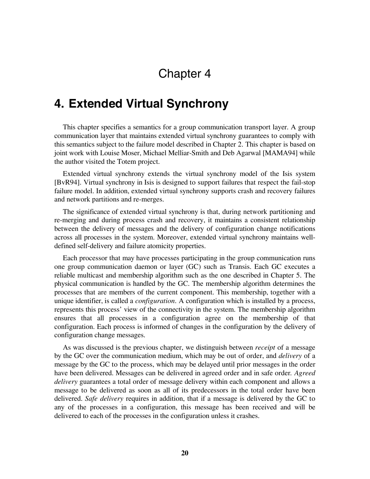## Chapter 4

### **4. Extended Virtual Synchrony**

This chapter specifies a semantics for a group communication transport layer. A group communication layer that maintains extended virtual synchrony guarantees to comply with this semantics subject to the failure model described in Chapter 2. This chapter is based on joint work with Louise Moser, Michael Melliar-Smith and Deb Agarwal [MAMA94] while the author visited the Totem project.

Extended virtual synchrony extends the virtual synchrony model of the Isis system [BvR94]. Virtual synchrony in Isis is designed to support failures that respect the fail-stop failure model. In addition, extended virtual synchrony supports crash and recovery failures and network partitions and re-merges.

The significance of extended virtual synchrony is that, during network partitioning and re-merging and during process crash and recovery, it maintains a consistent relationship between the delivery of messages and the delivery of configuration change notifications across all processes in the system. Moreover, extended virtual synchrony maintains welldefined self-delivery and failure atomicity properties.

Each processor that may have processes participating in the group communication runs one group communication daemon or layer (GC) such as Transis. Each GC executes a reliable multicast and membership algorithm such as the one described in Chapter 5. The physical communication is handled by the GC. The membership algorithm determines the processes that are members of the current component. This membership, together with a unique identifier, is called a *configuration*. A configuration which is installed by a process, represents this process' view of the connectivity in the system. The membership algorithm ensures that all processes in a configuration agree on the membership of that configuration. Each process is informed of changes in the configuration by the delivery of configuration change messages.

As was discussed is the previous chapter, we distinguish between *receipt* of a message by the GC over the communication medium, which may be out of order, and *delivery* of a message by the GC to the process, which may be delayed until prior messages in the order have been delivered. Messages can be delivered in agreed order and in safe order*. Agreed delivery* guarantees a total order of message delivery within each component and allows a message to be delivered as soon as all of its predecessors in the total order have been delivered. *Safe delivery* requires in addition, that if a message is delivered by the GC to any of the processes in a configuration, this message has been received and will be delivered to each of the processes in the configuration unless it crashes.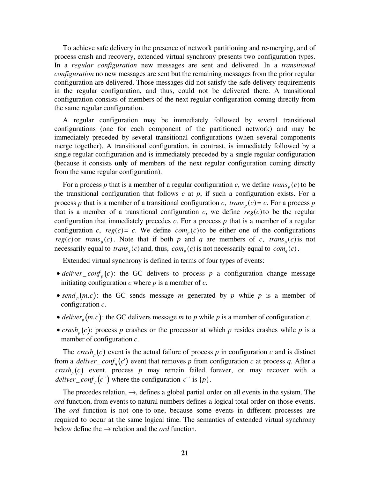To achieve safe delivery in the presence of network partitioning and re-merging, and of process crash and recovery, extended virtual synchrony presents two configuration types. In a *regular configuration* new messages are sent and delivered. In a *transitional configuration* no new messages are sent but the remaining messages from the prior regular configuration are delivered. Those messages did not satisfy the safe delivery requirements in the regular configuration, and thus, could not be delivered there. A transitional configuration consists of members of the next regular configuration coming directly from the same regular configuration.

A regular configuration may be immediately followed by several transitional configurations (one for each component of the partitioned network) and may be immediately preceded by several transitional configurations (when several components merge together). A transitional configuration, in contrast, is immediately followed by a single regular configuration and is immediately preceded by a single regular configuration (because it consists **only** of members of the next regular configuration coming directly from the same regular configuration).

For a process p that is a member of a regular configuration c, we define  $trans<sub>p</sub>(c)$  to be the transitional configuration that follows  $c$  at  $p$ , if such a configuration exists. For a process *p* that is a member of a transitional configuration *c*,  $trans<sub>p</sub>(c) = c$ . For a process *p* that is a member of a transitional configuration  $c$ , we define  $reg(c)$  to be the regular configuration that immediately precedes  $c$ . For a process  $p$  that is a member of a regular configuration *c*,  $reg(c) = c$ . We define  $com_p(c)$  to be either one of the configurations *reg(c)* or *trans<sub>p</sub>(c)*. Note that if both *p* and *q* are members of *c*, *trans<sub>p</sub>(c)* is not necessarily equal to *trans<sub>a</sub>* (*c*) and, thus,  $com_p(c)$  is not necessarily equal to  $com_q(c)$ .

Extended virtual synchrony is defined in terms of four types of events:

- *deliver* \_ *conf*  $_p(c)$ : the GC delivers to process  $p$  a configuration change message initiating configuration *c* where *p* is a member of *c*.
- send<sub>p</sub> $(m, c)$ : the GC sends message *m* generated by *p* while *p* is a member of configuration *c*.
- *deliver*<sub>p</sub> $(m, c)$ : the GC delivers message *m* to *p* while *p* is a member of configuration *c*.
- *crash<sub>n</sub>*(*c*): process *p* crashes or the processor at which *p* resides crashes while *p* is a member of configuration *c*.

The *crash<sub>n</sub>*(*c*) event is the actual failure of process *p* in configuration *c* and is distinct from a *deliver* \_ *conf<sub>a</sub>*(*c'*) event that removes *p* from configuration *c* at process *q*. After a  $crash<sub>n</sub>(c)$  event, process *p* may remain failed forever, or may recover with a *deliver* \_ *conf* <sub>n</sub>(*c*'') where the configuration *c*'' is {*p*}.

The precedes relation,  $\rightarrow$ , defines a global partial order on all events in the system. The *ord* function, from events to natural numbers defines a logical total order on those events. The *ord* function is not one-to-one, because some events in different processes are required to occur at the same logical time. The semantics of extended virtual synchrony below define the  $\rightarrow$  relation and the *ord* function.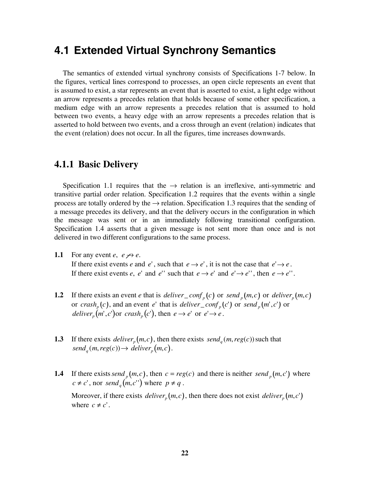### **4.1 Extended Virtual Synchrony Semantics**

The semantics of extended virtual synchrony consists of Specifications 1-7 below. In the figures, vertical lines correspond to processes, an open circle represents an event that is assumed to exist, a star represents an event that is asserted to exist, a light edge without an arrow represents a precedes relation that holds because of some other specification, a medium edge with an arrow represents a precedes relation that is assumed to hold between two events, a heavy edge with an arrow represents a precedes relation that is asserted to hold between two events, and a cross through an event (relation) indicates that the event (relation) does not occur. In all the figures, time increases downwards.

#### **4.1.1 Basic Delivery**

Specification 1.1 requires that the  $\rightarrow$  relation is an irreflexive, anti-symmetric and transitive partial order relation. Specification 1.2 requires that the events within a single process are totally ordered by the  $\rightarrow$  relation. Specification 1.3 requires that the sending of a message precedes its delivery, and that the delivery occurs in the configuration in which the message was sent or in an immediately following transitional configuration. Specification 1.4 asserts that a given message is not sent more than once and is not delivered in two different configurations to the same process.

**1.1** For any event *e*,  $e \nrightarrow e$ .

If there exist events *e* and *e'*, such that  $e \rightarrow e'$ , it is not the case that  $e' \rightarrow e$ . If there exist events *e*, *e*' and *e*'' such that  $e \rightarrow e'$  and  $e' \rightarrow e'$ ', then  $e \rightarrow e'$ '.

- **1.2** If there exists an event *e* that is *deliver* \_ *conf* <sub>p</sub> (*c*) or *send* <sub>p</sub> (*m*,*c*) or *deliver*<sub>p</sub> (*m*,*c*) or  $crash_p(c)$ , and an event *e*' that is *deliver*\_conf<sub>p</sub>(c') or  $send_p(m', c')$  or *deliver*<sub>n</sub> $(m', c')$  or  $crash_n(c')$ , then  $e \rightarrow e'$  or  $e' \rightarrow e$ .
- **1.3** If there exists *deliver*<sub>p</sub> $(m, c)$ , then there exists *send*<sub>q</sub> $(m, reg(c))$  such that  $send_q(m, reg(c)) \rightarrow deliver_p(m, c)$ .
- **1.4** If there exists *send*  $_p(m, c)$ , then  $c = reg(c)$  and there is neither *send*  $_p(m, c')$  where  $c \neq c'$ , nor *send<sub>a</sub>* $(m, c'')$  where  $p \neq q$ . Moreover, if there exists *deliver*<sub>n</sub> $(m, c)$ , then there does not exist *deliver*<sub>n</sub> $(m, c')$ where  $c \neq c'$ .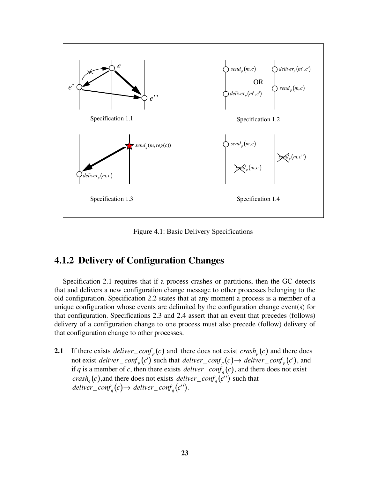

Figure 4.1: Basic Delivery Specifications

#### **4.1.2 Delivery of Configuration Changes**

Specification 2.1 requires that if a process crashes or partitions, then the GC detects that and delivers a new configuration change message to other processes belonging to the old configuration. Specification 2.2 states that at any moment a process is a member of a unique configuration whose events are delimited by the configuration change event(s) for that configuration. Specifications 2.3 and 2.4 assert that an event that precedes (follows) delivery of a configuration change to one process must also precede (follow) delivery of that configuration change to other processes.

**2.1** If there exists *deliver* \_ *conf* <sub>p</sub>(*c*) and there does not exist *crash* <sub>p</sub>(*c*) and there does not exist *deliver\_conf<sub>p</sub>*(*c*') such that *deliver\_conf<sub>p</sub></sub>*(*c*) $\rightarrow$  *deliver\_conf<sub>p</sub>*(*c*'), and if *q* is a member of *c*, then there exists *deliver* \_ *conf<sub>q</sub>*(*c*), and there does not exist *crash<sub>a</sub>*(*c*), and there does not exists *deliver* \_ *conf<sub>a</sub>*(*c*<sup>''</sup>) such that  $deliver\_conf_a(c) \rightarrow deliver\_conf_a(c'')$ .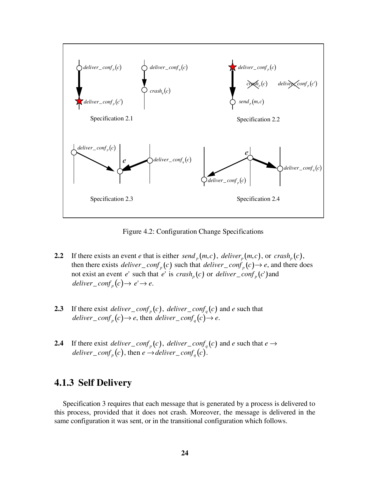

Figure 4.2: Configuration Change Specifications

- **2.2** If there exists an event *e* that is either *send*  $_p(m, c)$ , *deliver*  $_p(m, c)$ , or *crash*  $_p(c)$ , then there exists *deliver* \_ *conf* <sub>p</sub> (*c*) such that *deliver* \_ *conf* <sub>p</sub> (*c*)  $\rightarrow$  *e*, and there does not exist an event *e*' such that *e*' is  $crash_p(c)$  or *deliver* \_ *conf*<sub>p</sub>(*c*') and *deliver\_conf<sub>n</sub></sub>* $(c) \rightarrow e' \rightarrow e$ .
- **2.3** If there exist *deliver* \_ *conf<sub>p</sub>*(*c*), *deliver* \_ *conf<sub>q</sub>*(*c*) and *e* such that  $\text{deliver\_conf}_p(c) \rightarrow e$ , then  $\text{deliver\_conf}_q(c) \rightarrow e$ .
- **2.4** If there exist *deliver* \_ *conf<sub>p</sub>*(*c*), *deliver* \_ *conf<sub>q</sub>*(*c*) and *e* such that  $e \rightarrow$ *deliver* \_  $\text{conf}_p(c)$ , then  $e \rightarrow$ *deliver* \_  $\text{conf}_q(c)$ .

#### **4.1.3 Self Delivery**

Specification 3 requires that each message that is generated by a process is delivered to this process, provided that it does not crash. Moreover, the message is delivered in the same configuration it was sent, or in the transitional configuration which follows.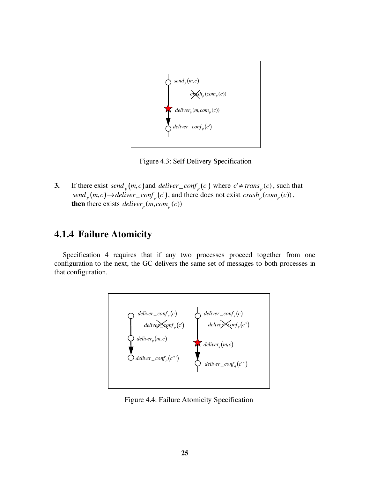

Figure 4.3: Self Delivery Specification

**3.** If there exist *send*  $_{p}(m, c)$  and *deliver* \_ *conf*  $_{p}(c')$  where  $c' \neq trans$   $_{p}(c)$ , such that  $send_p(m, c) \rightarrow deliver\_conf_p(c')$ , and there does not exist  $crash_p(con_p(c))$ , **then** there exists *deliver<sub>p</sub>* (*m*, *com<sub>p</sub>* (*c*))

#### **4.1.4 Failure Atomicity**

Specification 4 requires that if any two processes proceed together from one configuration to the next, the GC delivers the same set of messages to both processes in that configuration.



Figure 4.4: Failure Atomicity Specification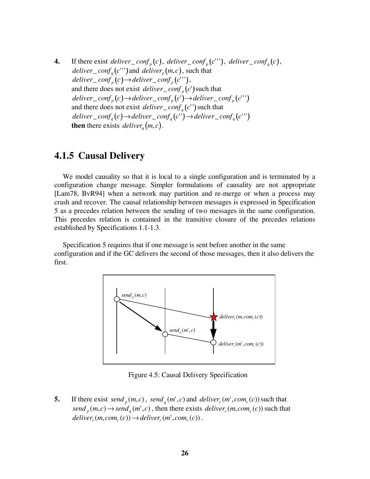**4.** If there exist *deliver\_conf<sub>n</sub>*(*c*), *deliver\_conf<sub>n</sub>*(*c*'''), *deliver\_conf<sub>n</sub>*(*c*), *deliver* \_ *conf* <sub>*a*</sub>(*c*''') and *deliver* <sub>*p*</sub>(*m, c*), such that  $deliver\_conf_n(c) \rightarrow deliver\_conf_n(c'')$ , and there does not exist *deliver* \_  $\text{conf}_p(c')$  such that  $deliver\_conf_p(c) \rightarrow deliver\_conf_p(c') \rightarrow deliver\_conf_p(c'')$ and there does not exist *deliver* \_  $conf_a$  (  $c'$  ') such that  $deliver\_conf_a(c) \rightarrow deliver\_conf_a(c'') \rightarrow deliver\_conf_a(c''')$ **then** there exists *deliver<sub>a</sub>*  $(m, c)$ .

#### **4.1.5 Causal Delivery**

We model causality so that it is local to a single configuration and is terminated by a configuration change message. Simpler formulations of causality are not appropriate [Lam78, BvR94] when a network may partition and re-merge or when a process may crash and recover. The causal relationship between messages is expressed in Specification 5 as a precedes relation between the sending of two messages in the same configuration. This precedes relation is contained in the transitive closure of the precedes relations established by Specifications 1.1-1.3.

Specification 5 requires that if one message is sent before another in the same configuration and if the GC delivers the second of those messages, then it also delivers the first.



Figure 4.5: Causal Delivery Specification

**5.** If there exist *send*  $_m(m, c)$ , *send*  $_m(m', c)$  and *deliver*  $_m(m', com_r(c))$  such that  $send_n(m, c) \rightarrow send_n(m', c)$ , then there exists *deliver*<sub>r</sub> (*m*, *com*<sub>r</sub> (*c*)) such that  $deliver_r(m, com_r(c)) \rightarrow deliver_r(m', com_r(c))$ .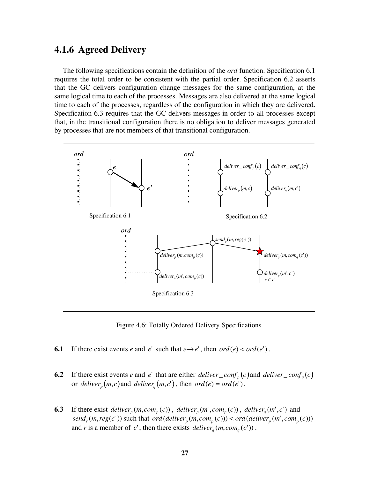#### **4.1.6 Agreed Delivery**

The following specifications contain the definition of the *ord* function. Specification 6.1 requires the total order to be consistent with the partial order. Specification 6.2 asserts that the GC delivers configuration change messages for the same configuration, at the same logical time to each of the processes. Messages are also delivered at the same logical time to each of the processes, regardless of the configuration in which they are delivered. Specification 6.3 requires that the GC delivers messages in order to all processes except that, in the transitional configuration there is no obligation to deliver messages generated by processes that are not members of that transitional configuration.



Figure 4.6: Totally Ordered Delivery Specifications

- **6.1** If there exist events *e* and *e*' such that  $e \rightarrow e'$ , then  $ord(e) < ord(e')$ .
- **6.2** If there exist events *e* and *e*' that are either *deliver* \_ *conf*<sub>p</sub>(*c*) and *deliver* \_ *conf*<sub>q</sub>(*c*) or *deliver*<sub>*p*</sub> $(m, c)$  and *deliver*<sub>*a*</sub> $(m, c')$ , then *ord* $(e) = ord(e')$ .
- **6.3** If there exist *deliver*<sub>p</sub> $(m, com_p(c))$ , *deliver*<sub>p</sub> $(m', com_p(c))$ , *deliver*<sub>q</sub> $(m', c')$  and *send<sub>r</sub>*( $m, reg(c')$ ) such that  $ord(detiver_p(m, com_p(c))) < ord(detiver_p(m', com_p(c)))$ and *r* is a member of *c*', then there exists *deliver*<sub>q</sub> $(m, com_q(c'))$ .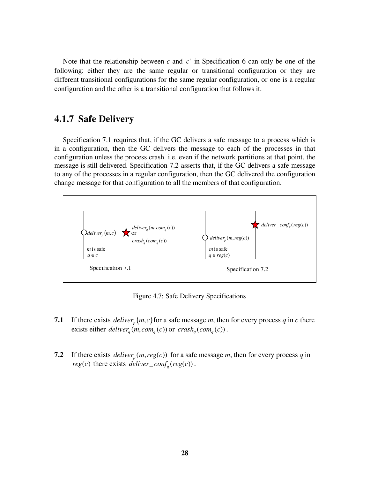Note that the relationship between *c* and *c*' in Specification 6 can only be one of the following: either they are the same regular or transitional configuration or they are different transitional configurations for the same regular configuration, or one is a regular configuration and the other is a transitional configuration that follows it.

#### **4.1.7 Safe Delivery**

Specification 7.1 requires that, if the GC delivers a safe message to a process which is in a configuration, then the GC delivers the message to each of the processes in that configuration unless the process crash. i.e. even if the network partitions at that point, the message is still delivered. Specification 7.2 asserts that, if the GC delivers a safe message to any of the processes in a regular configuration, then the GC delivered the configuration change message for that configuration to all the members of that configuration.



Figure 4.7: Safe Delivery Specifications

- **7.1** If there exists *deliver*<sub>p</sub> $(m, c)$  for a safe message *m*, then for every process *q* in *c* there exists either  $deliver_a(m, com_a(c))$  or  $crash_a(com_a(c))$ .
- **7.2** If there exists *deliver*<sub>p</sub> $(m, reg(c))$  for a safe message *m*, then for every process *q* in *reg(c)* there exists *deliver* \_ *conf<sub>a</sub>*(*reg(c)*).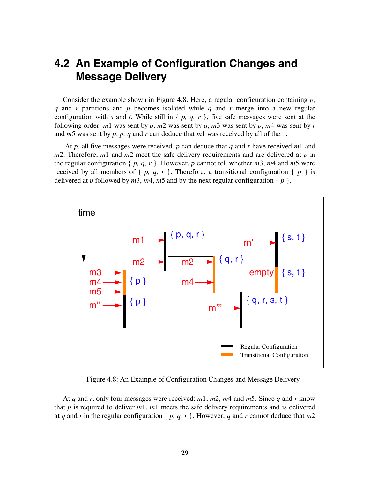### **4.2 An Example of Configuration Changes and Message Delivery**

Consider the example shown in Figure 4.8. Here, a regular configuration containing *p*, *q* and *r* partitions and *p* becomes isolated while *q* and *r* merge into a new regular configuration with *s* and *t*. While still in  $\{p, q, r\}$ , five safe messages were sent at the following order: *m*1 was sent by *p*, *m*2 was sent by *q*, *m*3 was sent by *p*, *m*4 was sent by *r* and *m*5 was sent by *p*. *p, q* and *r* can deduce that *m*1 was received by all of them.

 At *p*, all five messages were received. *p* can deduce that *q* and *r* have received *m*1 and *m*2. Therefore, *m*1 and *m*2 meet the safe delivery requirements and are delivered at *p* in the regular configuration { *p, q, r* }. However, *p* cannot tell whether *m*3, *m*4 and *m*5 were received by all members of  $\{p, q, r\}$ . Therefore, a transitional configuration  $\{p\}$  is delivered at *p* followed by  $m3$ ,  $m4$ ,  $m5$  and by the next regular configuration {  $p$  }.



Figure 4.8: An Example of Configuration Changes and Message Delivery

At *q* and *r*, only four messages were received: *m*1, *m*2, *m*4 and *m*5. Since *q* and *r* know that *p* is required to deliver *m*1, *m*1 meets the safe delivery requirements and is delivered at *q* and *r* in the regular configuration {  $p$ ,  $q$ ,  $r$  }. However,  $q$  and  $r$  cannot deduce that  $m2$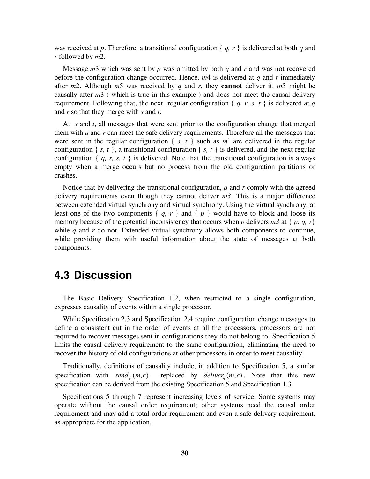was received at *p*. Therefore, a transitional configuration { *q, r* } is delivered at both *q* and *r* followed by *m*2.

Message *m*3 which was sent by *p* was omitted by both *q* and *r* and was not recovered before the configuration change occurred. Hence, *m*4 is delivered at *q* and *r* immediately after *m*2. Although *m*5 was received by *q* and *r*, they **cannot** deliver it. *m*5 might be causally after *m*3 ( which is true in this example ) and does not meet the causal delivery requirement. Following that, the next regular configuration { *q, r, s, t* } is delivered at *q* and *r* so that they merge with *s* and *t*.

At *s* and *t*, all messages that were sent prior to the configuration change that merged them with  $q$  and  $r$  can meet the safe delivery requirements. Therefore all the messages that were sent in the regular configuration  $\{ s, t \}$  such as  $m^2$  are delivered in the regular configuration  $\{ s, t \}$ , a transitional configuration  $\{ s, t \}$  is delivered, and the next regular configuration  $\{q, r, s, t\}$  is delivered. Note that the transitional configuration is always empty when a merge occurs but no process from the old configuration partitions or crashes.

Notice that by delivering the transitional configuration, *q* and *r* comply with the agreed delivery requirements even though they cannot deliver *m3*. This is a major difference between extended virtual synchrony and virtual synchrony. Using the virtual synchrony, at least one of the two components  $\{q, r\}$  and  $\{p\}$  would have to block and loose its memory because of the potential inconsistency that occurs when *p* delivers  $m3$  at {  $p$ ,  $q$ ,  $r$ } while *q* and *r* do not. Extended virtual synchrony allows both components to continue, while providing them with useful information about the state of messages at both components.

### **4.3 Discussion**

The Basic Delivery Specification 1.2, when restricted to a single configuration, expresses causality of events within a single processor.

While Specification 2.3 and Specification 2.4 require configuration change messages to define a consistent cut in the order of events at all the processors, processors are not required to recover messages sent in configurations they do not belong to. Specification 5 limits the causal delivery requirement to the same configuration, eliminating the need to recover the history of old configurations at other processors in order to meet causality.

Traditionally, definitions of causality include, in addition to Specification 5, a similar specification with *send*  $_{p}(m, c)$  replaced by *deliver*  $_{q}(m, c)$ . Note that this new specification can be derived from the existing Specification 5 and Specification 1.3.

Specifications 5 through 7 represent increasing levels of service. Some systems may operate without the causal order requirement; other systems need the causal order requirement and may add a total order requirement and even a safe delivery requirement, as appropriate for the application.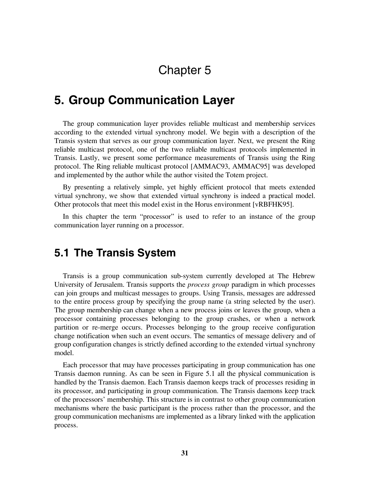# Chapter 5

# **5. Group Communication Layer**

The group communication layer provides reliable multicast and membership services according to the extended virtual synchrony model. We begin with a description of the Transis system that serves as our group communication layer. Next, we present the Ring reliable multicast protocol, one of the two reliable multicast protocols implemented in Transis. Lastly, we present some performance measurements of Transis using the Ring protocol. The Ring reliable multicast protocol [AMMAC93, AMMAC95] was developed and implemented by the author while the author visited the Totem project.

By presenting a relatively simple, yet highly efficient protocol that meets extended virtual synchrony, we show that extended virtual synchrony is indeed a practical model. Other protocols that meet this model exist in the Horus environment [vRBFHK95].

In this chapter the term "processor" is used to refer to an instance of the group communication layer running on a processor.

## **5.1 The Transis System**

Transis is a group communication sub-system currently developed at The Hebrew University of Jerusalem. Transis supports the *process group* paradigm in which processes can join groups and multicast messages to groups. Using Transis, messages are addressed to the entire process group by specifying the group name (a string selected by the user). The group membership can change when a new process joins or leaves the group, when a processor containing processes belonging to the group crashes, or when a network partition or re-merge occurs. Processes belonging to the group receive configuration change notification when such an event occurs. The semantics of message delivery and of group configuration changes is strictly defined according to the extended virtual synchrony model.

Each processor that may have processes participating in group communication has one Transis daemon running. As can be seen in Figure 5.1 all the physical communication is handled by the Transis daemon. Each Transis daemon keeps track of processes residing in its processor, and participating in group communication. The Transis daemons keep track of the processors' membership. This structure is in contrast to other group communication mechanisms where the basic participant is the process rather than the processor, and the group communication mechanisms are implemented as a library linked with the application process.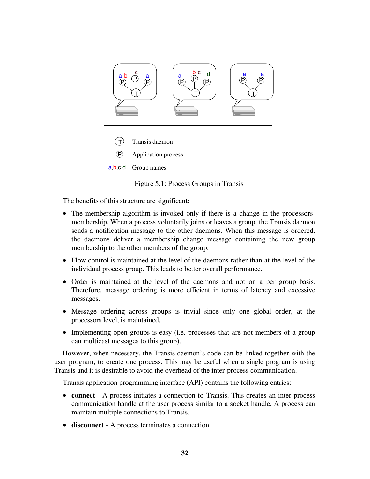

Figure 5.1: Process Groups in Transis

The benefits of this structure are significant:

- The membership algorithm is invoked only if there is a change in the processors' membership. When a process voluntarily joins or leaves a group, the Transis daemon sends a notification message to the other daemons. When this message is ordered, the daemons deliver a membership change message containing the new group membership to the other members of the group.
- Flow control is maintained at the level of the daemons rather than at the level of the individual process group. This leads to better overall performance.
- Order is maintained at the level of the daemons and not on a per group basis. Therefore, message ordering is more efficient in terms of latency and excessive messages.
- Message ordering across groups is trivial since only one global order, at the processors level, is maintained.
- Implementing open groups is easy (i.e. processes that are not members of a group can multicast messages to this group).

However, when necessary, the Transis daemon's code can be linked together with the user program, to create one process. This may be useful when a single program is using Transis and it is desirable to avoid the overhead of the inter-process communication.

Transis application programming interface (API) contains the following entries:

- **connect** A process initiates a connection to Transis. This creates an inter process communication handle at the user process similar to a socket handle. A process can maintain multiple connections to Transis.
- **disconnect** A process terminates a connection.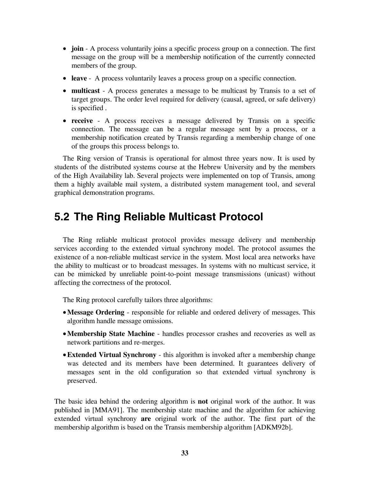- **join** A process voluntarily joins a specific process group on a connection. The first message on the group will be a membership notification of the currently connected members of the group.
- **leave** A process voluntarily leaves a process group on a specific connection.
- **multicast** A process generates a message to be multicast by Transis to a set of target groups. The order level required for delivery (causal, agreed, or safe delivery) is specified .
- **receive** A process receives a message delivered by Transis on a specific connection. The message can be a regular message sent by a process, or a membership notification created by Transis regarding a membership change of one of the groups this process belongs to.

The Ring version of Transis is operational for almost three years now. It is used by students of the distributed systems course at the Hebrew University and by the members of the High Availability lab. Several projects were implemented on top of Transis, among them a highly available mail system, a distributed system management tool, and several graphical demonstration programs.

# **5.2 The Ring Reliable Multicast Protocol**

The Ring reliable multicast protocol provides message delivery and membership services according to the extended virtual synchrony model. The protocol assumes the existence of a non-reliable multicast service in the system. Most local area networks have the ability to multicast or to broadcast messages. In systems with no multicast service, it can be mimicked by unreliable point-to-point message transmissions (unicast) without affecting the correctness of the protocol.

The Ring protocol carefully tailors three algorithms:

- **Message Ordering** responsible for reliable and ordered delivery of messages. This algorithm handle message omissions.
- **Membership State Machine** handles processor crashes and recoveries as well as network partitions and re-merges.
- **Extended Virtual Synchrony** this algorithm is invoked after a membership change was detected and its members have been determined. It guarantees delivery of messages sent in the old configuration so that extended virtual synchrony is preserved.

The basic idea behind the ordering algorithm is **not** original work of the author. It was published in [MMA91]. The membership state machine and the algorithm for achieving extended virtual synchrony **are** original work of the author. The first part of the membership algorithm is based on the Transis membership algorithm [ADKM92b].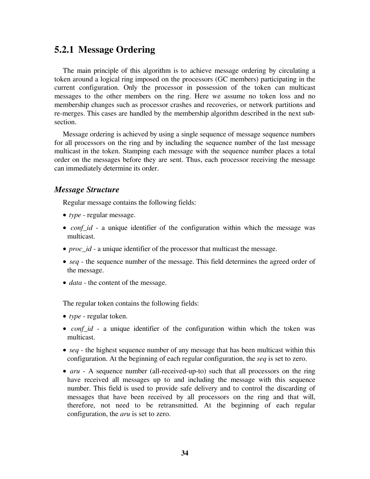## **5.2.1 Message Ordering**

The main principle of this algorithm is to achieve message ordering by circulating a token around a logical ring imposed on the processors (GC members) participating in the current configuration. Only the processor in possession of the token can multicast messages to the other members on the ring. Here we assume no token loss and no membership changes such as processor crashes and recoveries, or network partitions and re-merges. This cases are handled by the membership algorithm described in the next subsection.

Message ordering is achieved by using a single sequence of message sequence numbers for all processors on the ring and by including the sequence number of the last message multicast in the token. Stamping each message with the sequence number places a total order on the messages before they are sent. Thus, each processor receiving the message can immediately determine its order.

### *Message Structure*

Regular message contains the following fields:

- *type* regular message.
- *conf\_id* a unique identifier of the configuration within which the message was multicast.
- *proc\_id* a unique identifier of the processor that multicast the message.
- *seq* the sequence number of the message. This field determines the agreed order of the message.
- *data* the content of the message.

The regular token contains the following fields:

- *type* regular token.
- *conf\_id* a unique identifier of the configuration within which the token was multicast.
- *seq* the highest sequence number of any message that has been multicast within this configuration. At the beginning of each regular configuration, the *seq* is set to zero.
- *aru* A sequence number (all-received-up-to) such that all processors on the ring have received all messages up to and including the message with this sequence number. This field is used to provide safe delivery and to control the discarding of messages that have been received by all processors on the ring and that will, therefore, not need to be retransmitted. At the beginning of each regular configuration, the *aru* is set to zero.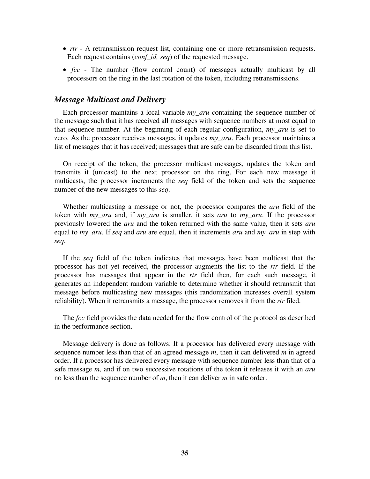- *rtr* A retransmission request list, containing one or more retransmission requests. Each request contains (*conf\_id, seq*) of the requested message.
- *fcc*  The number (flow control count) of messages actually multicast by all processors on the ring in the last rotation of the token, including retransmissions.

## *Message Multicast and Delivery*

Each processor maintains a local variable *my\_aru* containing the sequence number of the message such that it has received all messages with sequence numbers at most equal to that sequence number. At the beginning of each regular configuration, *my\_aru* is set to zero. As the processor receives messages, it updates *my\_aru*. Each processor maintains a list of messages that it has received; messages that are safe can be discarded from this list.

On receipt of the token, the processor multicast messages, updates the token and transmits it (unicast) to the next processor on the ring. For each new message it multicasts, the processor increments the *seq* field of the token and sets the sequence number of the new messages to this *seq*.

Whether multicasting a message or not, the processor compares the *aru* field of the token with *my\_aru* and, if *my\_aru* is smaller, it sets *aru* to *my\_aru*. If the processor previously lowered the *aru* and the token returned with the same value, then it sets *aru* equal to *my\_aru*. If *seq* and *aru* are equal, then it increments *aru* and *my\_aru* in step with *seq*.

If the *seq* field of the token indicates that messages have been multicast that the processor has not yet received, the processor augments the list to the *rtr* field. If the processor has messages that appear in the *rtr* field then, for each such message, it generates an independent random variable to determine whether it should retransmit that message before multicasting new messages (this randomization increases overall system reliability). When it retransmits a message, the processor removes it from the *rtr* filed.

The *fcc* field provides the data needed for the flow control of the protocol as described in the performance section.

Message delivery is done as follows: If a processor has delivered every message with sequence number less than that of an agreed message *m*, then it can delivered *m* in agreed order. If a processor has delivered every message with sequence number less than that of a safe message *m*, and if on two successive rotations of the token it releases it with an *aru* no less than the sequence number of *m*, then it can deliver *m* in safe order.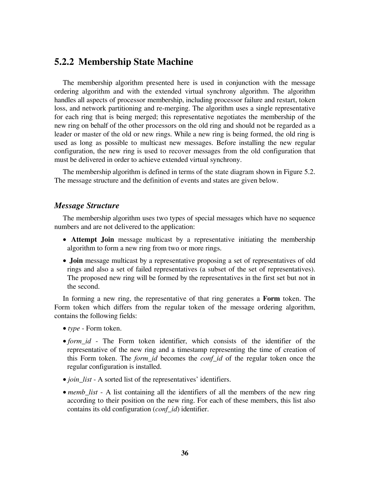## **5.2.2 Membership State Machine**

The membership algorithm presented here is used in conjunction with the message ordering algorithm and with the extended virtual synchrony algorithm. The algorithm handles all aspects of processor membership, including processor failure and restart, token loss, and network partitioning and re-merging. The algorithm uses a single representative for each ring that is being merged; this representative negotiates the membership of the new ring on behalf of the other processors on the old ring and should not be regarded as a leader or master of the old or new rings. While a new ring is being formed, the old ring is used as long as possible to multicast new messages. Before installing the new regular configuration, the new ring is used to recover messages from the old configuration that must be delivered in order to achieve extended virtual synchrony.

The membership algorithm is defined in terms of the state diagram shown in Figure 5.2. The message structure and the definition of events and states are given below.

#### *Message Structure*

The membership algorithm uses two types of special messages which have no sequence numbers and are not delivered to the application:

- **Attempt Join** message multicast by a representative initiating the membership algorithm to form a new ring from two or more rings.
- **Join** message multicast by a representative proposing a set of representatives of old rings and also a set of failed representatives (a subset of the set of representatives). The proposed new ring will be formed by the representatives in the first set but not in the second.

In forming a new ring, the representative of that ring generates a **Form** token. The Form token which differs from the regular token of the message ordering algorithm, contains the following fields:

- *type* Form token.
- *form id* The Form token identifier, which consists of the identifier of the representative of the new ring and a timestamp representing the time of creation of this Form token. The *form\_id* becomes the *conf\_id* of the regular token once the regular configuration is installed.
- *join\_list* A sorted list of the representatives' identifiers.
- *memb\_list* A list containing all the identifiers of all the members of the new ring according to their position on the new ring. For each of these members, this list also contains its old configuration (*conf\_id*) identifier.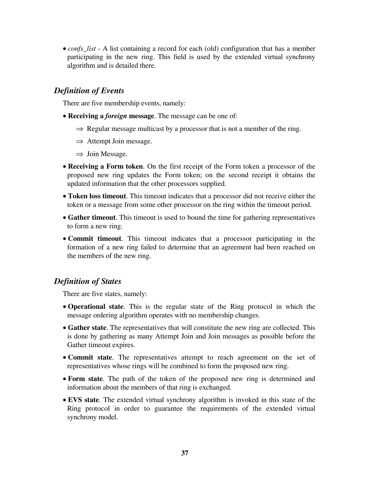• *confs\_list* - A list containing a record for each (old) configuration that has a member participating in the new ring. This field is used by the extended virtual synchrony algorithm and is detailed there.

## *Definition of Events*

There are five membership events, namely:

- **Receiving a** *foreign* **message**. The message can be one of:
	- $\Rightarrow$  Regular message multicast by a processor that is not a member of the ring.
	- $\Rightarrow$  Attempt Join message.
	- $\Rightarrow$  Join Message.
- **Receiving a Form token**. On the first receipt of the Form token a processor of the proposed new ring updates the Form token; on the second receipt it obtains the updated information that the other processors supplied.
- **Token loss timeout**. This timeout indicates that a processor did not receive either the token or a message from some other processor on the ring within the timeout period.
- **Gather timeout**. This timeout is used to bound the time for gathering representatives to form a new ring.
- **Commit timeout**. This timeout indicates that a processor participating in the formation of a new ring failed to determine that an agreement had been reached on the members of the new ring.

## *Definition of States*

There are five states, namely:

- **Operational state**. This is the regular state of the Ring protocol in which the message ordering algorithm operates with no membership changes.
- **Gather state**. The representatives that will constitute the new ring are collected. This is done by gathering as many Attempt Join and Join messages as possible before the Gather timeout expires.
- **Commit state**. The representatives attempt to reach agreement on the set of representatives whose rings will be combined to form the proposed new ring.
- **Form state**. The path of the token of the proposed new ring is determined and information about the members of that ring is exchanged.
- **EVS state**. The extended virtual synchrony algorithm is invoked in this state of the Ring protocol in order to guarantee the requirements of the extended virtual synchrony model.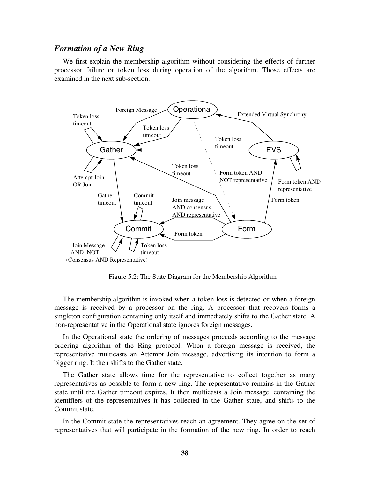#### *Formation of a New Ring*

We first explain the membership algorithm without considering the effects of further processor failure or token loss during operation of the algorithm. Those effects are examined in the next sub-section.



Figure 5.2: The State Diagram for the Membership Algorithm

The membership algorithm is invoked when a token loss is detected or when a foreign message is received by a processor on the ring. A processor that recovers forms a singleton configuration containing only itself and immediately shifts to the Gather state. A non-representative in the Operational state ignores foreign messages.

In the Operational state the ordering of messages proceeds according to the message ordering algorithm of the Ring protocol. When a foreign message is received, the representative multicasts an Attempt Join message, advertising its intention to form a bigger ring. It then shifts to the Gather state.

The Gather state allows time for the representative to collect together as many representatives as possible to form a new ring. The representative remains in the Gather state until the Gather timeout expires. It then multicasts a Join message, containing the identifiers of the representatives it has collected in the Gather state, and shifts to the Commit state.

In the Commit state the representatives reach an agreement. They agree on the set of representatives that will participate in the formation of the new ring. In order to reach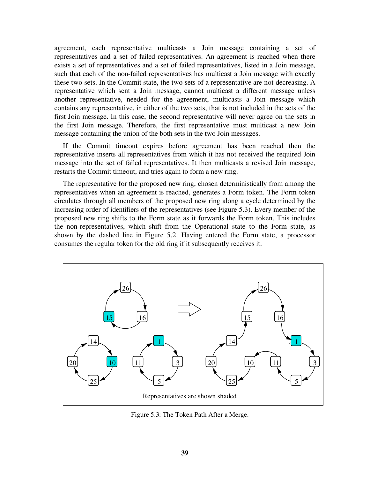agreement, each representative multicasts a Join message containing a set of representatives and a set of failed representatives. An agreement is reached when there exists a set of representatives and a set of failed representatives, listed in a Join message, such that each of the non-failed representatives has multicast a Join message with exactly these two sets. In the Commit state, the two sets of a representative are not decreasing. A representative which sent a Join message, cannot multicast a different message unless another representative, needed for the agreement, multicasts a Join message which contains any representative, in either of the two sets, that is not included in the sets of the first Join message. In this case, the second representative will never agree on the sets in the first Join message. Therefore, the first representative must multicast a new Join message containing the union of the both sets in the two Join messages.

If the Commit timeout expires before agreement has been reached then the representative inserts all representatives from which it has not received the required Join message into the set of failed representatives. It then multicasts a revised Join message, restarts the Commit timeout, and tries again to form a new ring.

The representative for the proposed new ring, chosen deterministically from among the representatives when an agreement is reached, generates a Form token. The Form token circulates through all members of the proposed new ring along a cycle determined by the increasing order of identifiers of the representatives (see Figure 5.3). Every member of the proposed new ring shifts to the Form state as it forwards the Form token. This includes the non-representatives, which shift from the Operational state to the Form state, as shown by the dashed line in Figure 5.2. Having entered the Form state, a processor consumes the regular token for the old ring if it subsequently receives it.



Figure 5.3: The Token Path After a Merge.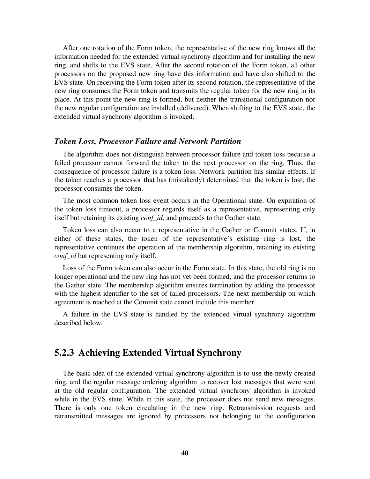After one rotation of the Form token, the representative of the new ring knows all the information needed for the extended virtual synchrony algorithm and for installing the new ring, and shifts to the EVS state. After the second rotation of the Form token, all other processors on the proposed new ring have this information and have also shifted to the EVS state. On receiving the Form token after its second rotation, the representative of the new ring consumes the Form token and transmits the regular token for the new ring in its place. At this point the new ring is formed, but neither the transitional configuration nor the new regular configuration are installed (delivered). When shifting to the EVS state, the extended virtual synchrony algorithm is invoked.

#### *Token Loss, Processor Failure and Network Partition*

The algorithm does not distinguish between processor failure and token loss because a failed processor cannot forward the token to the next processor on the ring. Thus, the consequence of processor failure is a token loss. Network partition has similar effects. If the token reaches a processor that has (mistakenly) determined that the token is lost, the processor consumes the token.

The most common token loss event occurs in the Operational state. On expiration of the token loss timeout, a processor regards itself as a representative, representing only itself but retaining its existing *conf\_id*, and proceeds to the Gather state.

Token loss can also occur to a representative in the Gather or Commit states. If, in either of these states, the token of the representative's existing ring is lost, the representative continues the operation of the membership algorithm, retaining its existing *conf\_id* but representing only itself.

Loss of the Form token can also occur in the Form state. In this state, the old ring is no longer operational and the new ring has not yet been formed, and the processor returns to the Gather state. The membership algorithm ensures termination by adding the processor with the highest identifier to the set of failed processors. The next membership on which agreement is reached at the Commit state cannot include this member.

A failure in the EVS state is handled by the extended virtual synchrony algorithm described below.

## **5.2.3 Achieving Extended Virtual Synchrony**

The basic idea of the extended virtual synchrony algorithm is to use the newly created ring, and the regular message ordering algorithm to recover lost messages that were sent at the old regular configuration. The extended virtual synchrony algorithm is invoked while in the EVS state. While in this state, the processor does not send new messages. There is only one token circulating in the new ring. Retransmission requests and retransmitted messages are ignored by processors not belonging to the configuration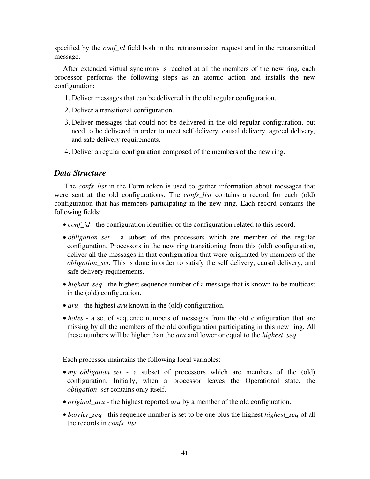specified by the *conf\_id* field both in the retransmission request and in the retransmitted message.

After extended virtual synchrony is reached at all the members of the new ring, each processor performs the following steps as an atomic action and installs the new configuration:

- 1. Deliver messages that can be delivered in the old regular configuration.
- 2. Deliver a transitional configuration.
- 3. Deliver messages that could not be delivered in the old regular configuration, but need to be delivered in order to meet self delivery, causal delivery, agreed delivery, and safe delivery requirements.
- 4. Deliver a regular configuration composed of the members of the new ring.

## *Data Structure*

The *confs\_list* in the Form token is used to gather information about messages that were sent at the old configurations. The *confs\_list* contains a record for each (old) configuration that has members participating in the new ring. Each record contains the following fields:

- *conf\_id* the configuration identifier of the configuration related to this record.
- *obligation set* a subset of the processors which are member of the regular configuration. Processors in the new ring transitioning from this (old) configuration, deliver all the messages in that configuration that were originated by members of the *obligation\_set*. This is done in order to satisfy the self delivery, causal delivery, and safe delivery requirements.
- *highest\_seq* the highest sequence number of a message that is known to be multicast in the (old) configuration.
- *aru* the highest *aru* known in the (old) configuration.
- *holes* a set of sequence numbers of messages from the old configuration that are missing by all the members of the old configuration participating in this new ring. All these numbers will be higher than the *aru* and lower or equal to the *highest\_seq*.

Each processor maintains the following local variables:

- *my\_obligation\_set* a subset of processors which are members of the (old) configuration. Initially, when a processor leaves the Operational state, the *obligation\_set* contains only itself.
- *original\_aru* the highest reported *aru* by a member of the old configuration.
- *barrier\_seq* this sequence number is set to be one plus the highest *highest\_seq* of all the records in *confs\_list*.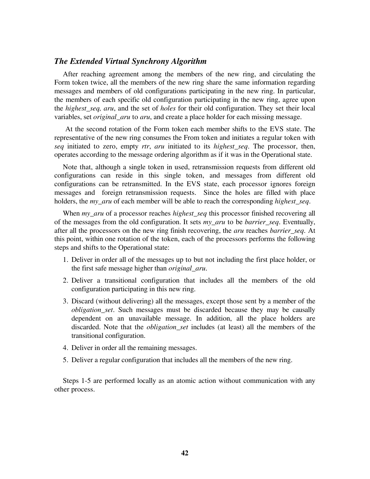#### *The Extended Virtual Synchrony Algorithm*

After reaching agreement among the members of the new ring, and circulating the Form token twice, all the members of the new ring share the same information regarding messages and members of old configurations participating in the new ring. In particular, the members of each specific old configuration participating in the new ring, agree upon the *highest\_seq, aru*, and the set of *holes* for their old configuration. They set their local variables, set *original\_aru* to *aru*, and create a place holder for each missing message.

 At the second rotation of the Form token each member shifts to the EVS state. The representative of the new ring consumes the From token and initiates a regular token with *seq* initiated to zero, empty *rtr*, *aru* initiated to its *highest\_seq*. The processor, then, operates according to the message ordering algorithm as if it was in the Operational state.

Note that, although a single token in used, retransmission requests from different old configurations can reside in this single token, and messages from different old configurations can be retransmitted. In the EVS state, each processor ignores foreign messages and foreign retransmission requests. Since the holes are filled with place holders, the *my\_aru* of each member will be able to reach the corresponding *highest\_seq*.

When *my\_aru* of a processor reaches *highest\_seq* this processor finished recovering all of the messages from the old configuration. It sets *my\_aru* to be *barrier\_seq*. Eventually, after all the processors on the new ring finish recovering, the *aru* reaches *barrier\_seq*. At this point, within one rotation of the token, each of the processors performs the following steps and shifts to the Operational state:

- 1. Deliver in order all of the messages up to but not including the first place holder, or the first safe message higher than *original\_aru*.
- 2. Deliver a transitional configuration that includes all the members of the old configuration participating in this new ring.
- 3. Discard (without delivering) all the messages, except those sent by a member of the *obligation\_set*. Such messages must be discarded because they may be causally dependent on an unavailable message. In addition, all the place holders are discarded. Note that the *obligation\_set* includes (at least) all the members of the transitional configuration.
- 4. Deliver in order all the remaining messages.
- 5. Deliver a regular configuration that includes all the members of the new ring.

Steps 1-5 are performed locally as an atomic action without communication with any other process.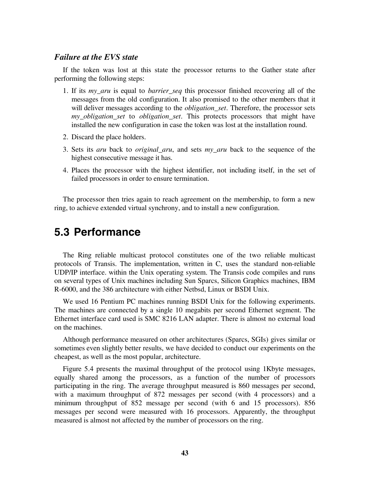### *Failure at the EVS state*

If the token was lost at this state the processor returns to the Gather state after performing the following steps:

- 1. If its *my\_aru* is equal to *barrier\_seq* this processor finished recovering all of the messages from the old configuration. It also promised to the other members that it will deliver messages according to the *obligation set*. Therefore, the processor sets *my\_obligation\_set* to *obligation\_set*. This protects processors that might have installed the new configuration in case the token was lost at the installation round.
- 2. Discard the place holders.
- 3. Sets its *aru* back to *original\_aru*, and sets *my\_aru* back to the sequence of the highest consecutive message it has.
- 4. Places the processor with the highest identifier, not including itself, in the set of failed processors in order to ensure termination.

The processor then tries again to reach agreement on the membership, to form a new ring, to achieve extended virtual synchrony, and to install a new configuration.

# **5.3 Performance**

The Ring reliable multicast protocol constitutes one of the two reliable multicast protocols of Transis. The implementation, written in C, uses the standard non-reliable UDP/IP interface. within the Unix operating system. The Transis code compiles and runs on several types of Unix machines including Sun Sparcs, Silicon Graphics machines, IBM R-6000, and the 386 architecture with either Netbsd, Linux or BSDI Unix.

We used 16 Pentium PC machines running BSDI Unix for the following experiments. The machines are connected by a single 10 megabits per second Ethernet segment. The Ethernet interface card used is SMC 8216 LAN adapter. There is almost no external load on the machines.

Although performance measured on other architectures (Sparcs, SGIs) gives similar or sometimes even slightly better results, we have decided to conduct our experiments on the cheapest, as well as the most popular, architecture.

Figure 5.4 presents the maximal throughput of the protocol using 1Kbyte messages, equally shared among the processors, as a function of the number of processors participating in the ring. The average throughput measured is 860 messages per second, with a maximum throughput of 872 messages per second (with 4 processors) and a minimum throughput of 852 message per second (with 6 and 15 processors). 856 messages per second were measured with 16 processors. Apparently, the throughput measured is almost not affected by the number of processors on the ring.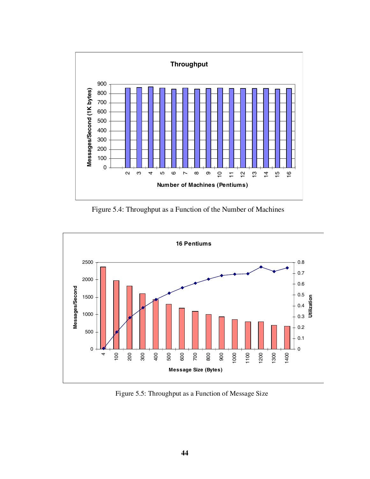

Figure 5.4: Throughput as a Function of the Number of Machines



Figure 5.5: Throughput as a Function of Message Size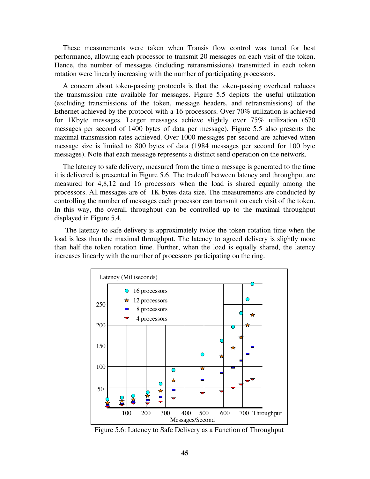These measurements were taken when Transis flow control was tuned for best performance, allowing each processor to transmit 20 messages on each visit of the token. Hence, the number of messages (including retransmissions) transmitted in each token rotation were linearly increasing with the number of participating processors.

A concern about token-passing protocols is that the token-passing overhead reduces the transmission rate available for messages. Figure 5.5 depicts the useful utilization (excluding transmissions of the token, message headers, and retransmissions) of the Ethernet achieved by the protocol with a 16 processors. Over 70% utilization is achieved for 1Kbyte messages. Larger messages achieve slightly over 75% utilization (670 messages per second of 1400 bytes of data per message). Figure 5.5 also presents the maximal transmission rates achieved. Over 1000 messages per second are achieved when message size is limited to 800 bytes of data (1984 messages per second for 100 byte messages). Note that each message represents a distinct send operation on the network.

The latency to safe delivery, measured from the time a message is generated to the time it is delivered is presented in Figure 5.6. The tradeoff between latency and throughput are measured for 4,8,12 and 16 processors when the load is shared equally among the processors. All messages are of 1K bytes data size. The measurements are conducted by controlling the number of messages each processor can transmit on each visit of the token. In this way, the overall throughput can be controlled up to the maximal throughput displayed in Figure 5.4.

 The latency to safe delivery is approximately twice the token rotation time when the load is less than the maximal throughput. The latency to agreed delivery is slightly more than half the token rotation time. Further, when the load is equally shared, the latency increases linearly with the number of processors participating on the ring.



Figure 5.6: Latency to Safe Delivery as a Function of Throughput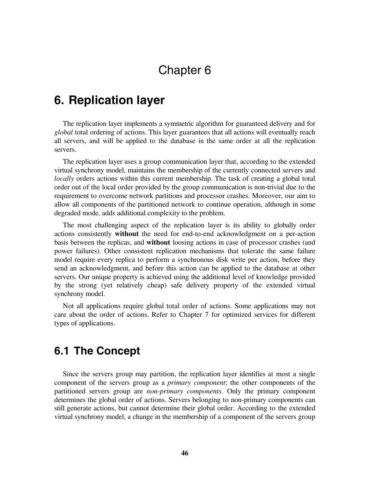# Chapter 6

# **6. Replication layer**

The replication layer implements a symmetric algorithm for guaranteed delivery and for *global* total ordering of actions. This layer guarantees that all actions will eventually reach all servers, and will be applied to the database in the same order at all the replication servers.

The replication layer uses a group communication layer that, according to the extended virtual synchrony model, maintains the membership of the currently connected servers and *locally* orders actions within this current membership. The task of creating a global total order out of the local order provided by the group communication is non-trivial due to the requirement to overcome network partitions and processor crashes. Moreover, our aim to allow all components of the partitioned network to continue operation, although in some degraded mode, adds additional complexity to the problem.

The most challenging aspect of the replication layer is its ability to globally order actions consistently **without** the need for end-to-end acknowledgment on a per-action basis between the replicas, and **without** loosing actions in case of processor crashes (and power failures). Other consistent replication mechanisms that tolerate the same failure model require every replica to perform a synchronous disk write per action, before they send an acknowledgment, and before this action can be applied to the database at other servers. Our unique property is achieved using the additional level of knowledge provided by the strong (yet relatively cheap) safe delivery property of the extended virtual synchrony model.

Not all applications require global total order of actions. Some applications may not care about the order of actions. Refer to Chapter 7 for optimized services for different types of applications.

## **6.1 The Concept**

Since the servers group may partition, the replication layer identifies at most a single component of the servers group as a *primary component*; the other components of the partitioned servers group are *non-primary components*. Only the primary component determines the global order of actions. Servers belonging to non-primary components can still generate actions, but cannot determine their global order. According to the extended virtual synchrony model, a change in the membership of a component of the servers group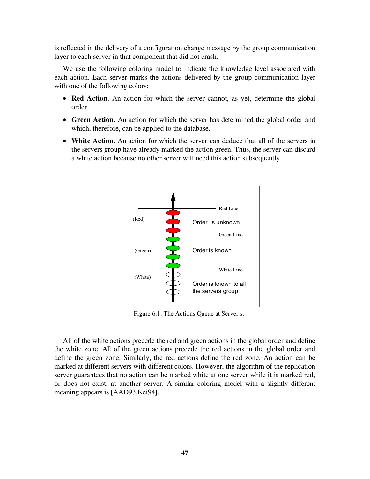is reflected in the delivery of a configuration change message by the group communication layer to each server in that component that did not crash.

We use the following coloring model to indicate the knowledge level associated with each action. Each server marks the actions delivered by the group communication layer with one of the following colors:

- **Red Action**. An action for which the server cannot, as yet, determine the global order.
- **Green Action**. An action for which the server has determined the global order and which, therefore, can be applied to the database.
- **White Action**. An action for which the server can deduce that all of the servers in the servers group have already marked the action green. Thus, the server can discard a white action because no other server will need this action subsequently.



Figure 6.1: The Actions Queue at Server *s*.

All of the white actions precede the red and green actions in the global order and define the white zone. All of the green actions precede the red actions in the global order and define the green zone. Similarly, the red actions define the red zone. An action can be marked at different servers with different colors. However, the algorithm of the replication server guarantees that no action can be marked white at one server while it is marked red, or does not exist, at another server. A similar coloring model with a slightly different meaning appears is [AAD93,Kei94].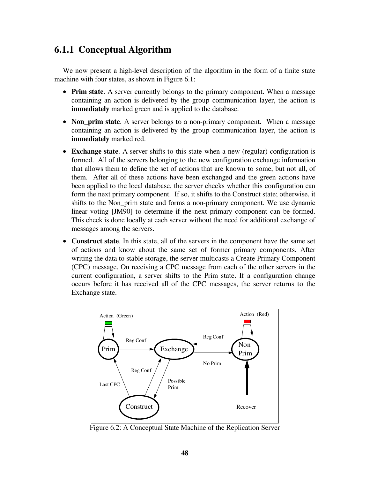## **6.1.1 Conceptual Algorithm**

We now present a high-level description of the algorithm in the form of a finite state machine with four states, as shown in Figure 6.1:

- **Prim state**. A server currently belongs to the primary component. When a message containing an action is delivered by the group communication layer, the action is **immediately** marked green and is applied to the database.
- **Non\_prim state**. A server belongs to a non-primary component. When a message containing an action is delivered by the group communication layer, the action is **immediately** marked red.
- **Exchange state**. A server shifts to this state when a new (regular) configuration is formed. All of the servers belonging to the new configuration exchange information that allows them to define the set of actions that are known to some, but not all, of them. After all of these actions have been exchanged and the green actions have been applied to the local database, the server checks whether this configuration can form the next primary component. If so, it shifts to the Construct state; otherwise, it shifts to the Non\_prim state and forms a non-primary component. We use dynamic linear voting [JM90] to determine if the next primary component can be formed. This check is done locally at each server without the need for additional exchange of messages among the servers.
- **Construct state**. In this state, all of the servers in the component have the same set of actions and know about the same set of former primary components. After writing the data to stable storage, the server multicasts a Create Primary Component (CPC) message. On receiving a CPC message from each of the other servers in the current configuration, a server shifts to the Prim state. If a configuration change occurs before it has received all of the CPC messages, the server returns to the Exchange state.



Figure 6.2: A Conceptual State Machine of the Replication Server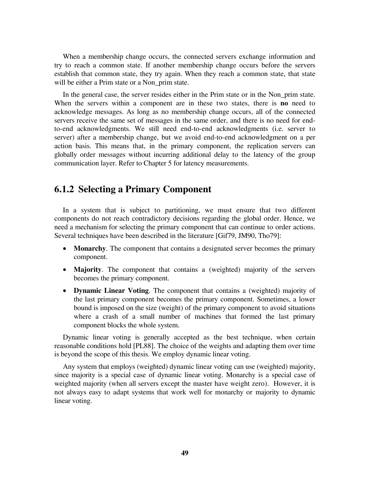When a membership change occurs, the connected servers exchange information and try to reach a common state. If another membership change occurs before the servers establish that common state, they try again. When they reach a common state, that state will be either a Prim state or a Non\_prim state.

In the general case, the server resides either in the Prim state or in the Non\_prim state. When the servers within a component are in these two states, there is **no** need to acknowledge messages. As long as no membership change occurs, all of the connected servers receive the same set of messages in the same order, and there is no need for endto-end acknowledgments. We still need end-to-end acknowledgments (i.e. server to server) after a membership change, but we avoid end-to-end acknowledgment on a per action basis. This means that, in the primary component, the replication servers can globally order messages without incurring additional delay to the latency of the group communication layer. Refer to Chapter 5 for latency measurements.

## **6.1.2 Selecting a Primary Component**

In a system that is subject to partitioning, we must ensure that two different components do not reach contradictory decisions regarding the global order. Hence, we need a mechanism for selecting the primary component that can continue to order actions. Several techniques have been described in the literature [Gif79, JM90, Tho79]:

- **Monarchy**. The component that contains a designated server becomes the primary component.
- **Majority**. The component that contains a (weighted) majority of the servers becomes the primary component.
- **Dynamic Linear Voting**. The component that contains a (weighted) majority of the last primary component becomes the primary component. Sometimes, a lower bound is imposed on the size (weight) of the primary component to avoid situations where a crash of a small number of machines that formed the last primary component blocks the whole system.

Dynamic linear voting is generally accepted as the best technique, when certain reasonable conditions hold [PL88]. The choice of the weights and adapting them over time is beyond the scope of this thesis. We employ dynamic linear voting.

Any system that employs (weighted) dynamic linear voting can use (weighted) majority, since majority is a special case of dynamic linear voting. Monarchy is a special case of weighted majority (when all servers except the master have weight zero). However, it is not always easy to adapt systems that work well for monarchy or majority to dynamic linear voting.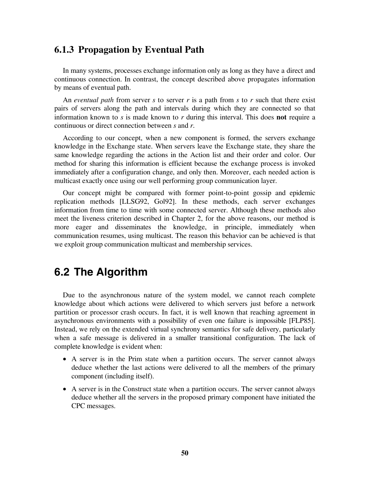## **6.1.3 Propagation by Eventual Path**

In many systems, processes exchange information only as long as they have a direct and continuous connection. In contrast, the concept described above propagates information by means of eventual path.

An *eventual path* from server *s* to server *r* is a path from *s* to *r* such that there exist pairs of servers along the path and intervals during which they are connected so that information known to *s* is made known to *r* during this interval. This does **not** require a continuous or direct connection between *s* and *r*.

According to our concept, when a new component is formed, the servers exchange knowledge in the Exchange state. When servers leave the Exchange state, they share the same knowledge regarding the actions in the Action list and their order and color. Our method for sharing this information is efficient because the exchange process is invoked immediately after a configuration change, and only then. Moreover, each needed action is multicast exactly once using our well performing group communication layer.

Our concept might be compared with former point-to-point gossip and epidemic replication methods [LLSG92, Gol92]. In these methods, each server exchanges information from time to time with some connected server. Although these methods also meet the liveness criterion described in Chapter 2, for the above reasons, our method is more eager and disseminates the knowledge, in principle, immediately when communication resumes, using multicast. The reason this behavior can be achieved is that we exploit group communication multicast and membership services.

## **6.2 The Algorithm**

Due to the asynchronous nature of the system model, we cannot reach complete knowledge about which actions were delivered to which servers just before a network partition or processor crash occurs. In fact, it is well known that reaching agreement in asynchronous environments with a possibility of even one failure is impossible [FLP85]. Instead, we rely on the extended virtual synchrony semantics for safe delivery, particularly when a safe message is delivered in a smaller transitional configuration. The lack of complete knowledge is evident when:

- A server is in the Prim state when a partition occurs. The server cannot always deduce whether the last actions were delivered to all the members of the primary component (including itself).
- A server is in the Construct state when a partition occurs. The server cannot always deduce whether all the servers in the proposed primary component have initiated the CPC messages.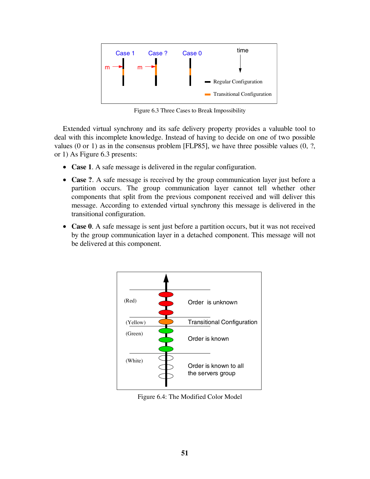

Figure 6.3 Three Cases to Break Impossibility

Extended virtual synchrony and its safe delivery property provides a valuable tool to deal with this incomplete knowledge. Instead of having to decide on one of two possible values  $(0 \text{ or } 1)$  as in the consensus problem [FLP85], we have three possible values  $(0, ?$ , or 1) As Figure 6.3 presents:

- **Case 1**. A safe message is delivered in the regular configuration.
- **Case ?**. A safe message is received by the group communication layer just before a partition occurs. The group communication layer cannot tell whether other components that split from the previous component received and will deliver this message. According to extended virtual synchrony this message is delivered in the transitional configuration.
- **Case 0**. A safe message is sent just before a partition occurs, but it was not received by the group communication layer in a detached component. This message will not be delivered at this component.



Figure 6.4: The Modified Color Model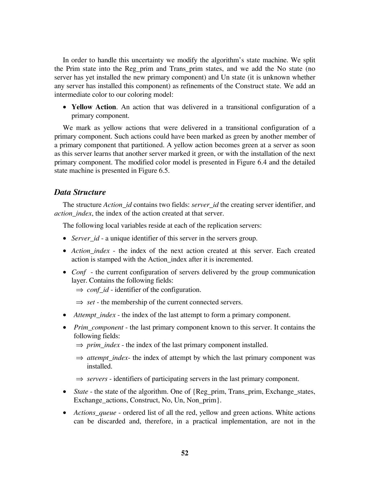In order to handle this uncertainty we modify the algorithm's state machine. We split the Prim state into the Reg\_prim and Trans\_prim states, and we add the No state (no server has yet installed the new primary component) and Un state (it is unknown whether any server has installed this component) as refinements of the Construct state. We add an intermediate color to our coloring model:

• **Yellow Action**. An action that was delivered in a transitional configuration of a primary component.

We mark as yellow actions that were delivered in a transitional configuration of a primary component. Such actions could have been marked as green by another member of a primary component that partitioned. A yellow action becomes green at a server as soon as this server learns that another server marked it green, or with the installation of the next primary component. The modified color model is presented in Figure 6.4 and the detailed state machine is presented in Figure 6.5.

## *Data Structure*

The structure *Action\_id* contains two fields: *server\_id* the creating server identifier, and *action\_index*, the index of the action created at that server.

The following local variables reside at each of the replication servers:

- *Server\_id* a unique identifier of this server in the servers group.
- *Action index* the index of the next action created at this server. Each created action is stamped with the Action\_index after it is incremented.
- *Conf* the current configuration of servers delivered by the group communication layer. Contains the following fields:
	- ⇒ *conf\_id* identifier of the configuration.
	- ⇒ *set* the membership of the current connected servers.
- *Attempt\_index* the index of the last attempt to form a primary component.
- *Prim\_component* the last primary component known to this server. It contains the following fields:
	- $\Rightarrow$  *prim\_index* the index of the last primary component installed.
	- ⇒ *attempt\_index* the index of attempt by which the last primary component was installed.
	- ⇒ *servers* identifiers of participating servers in the last primary component.
- *State* the state of the algorithm. One of {Reg\_prim, Trans\_prim, Exchange\_states, Exchange actions, Construct, No, Un, Non prim}.
- *Actions queue* ordered list of all the red, yellow and green actions. White actions can be discarded and, therefore, in a practical implementation, are not in the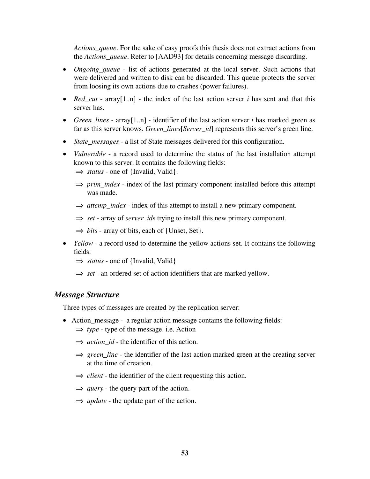*Actions\_queue*. For the sake of easy proofs this thesis does not extract actions from the *Actions\_queue*. Refer to [AAD93] for details concerning message discarding.

- *Ongoing\_queue* list of actions generated at the local server. Such actions that were delivered and written to disk can be discarded. This queue protects the server from loosing its own actions due to crashes (power failures).
- *Red\_cut* array [1..n] the index of the last action server *i* has sent and that this server has.
- *Green lines* array[1..n] identifier of the last action server *i* has marked green as far as this server knows. *Green\_lines*[*Server\_id*] represents this server's green line.
- *State messages* a list of State messages delivered for this configuration.
- *Vulnerable* a record used to determine the status of the last installation attempt known to this server. It contains the following fields:
	- ⇒ *status* one of {Invalid, Valid}.
	- $\Rightarrow$  *prim\_index* index of the last primary component installed before this attempt was made.
	- $\Rightarrow$  *attemp\_index* index of this attempt to install a new primary component.
	- ⇒ *set* array of *server\_id*s trying to install this new primary component.
	- $\Rightarrow$  *bits* array of bits, each of {Unset, Set}.
- *Yellow* a record used to determine the yellow actions set. It contains the following fields:
	- ⇒ *status* one of {Invalid, Valid}
	- ⇒ *set* an ordered set of action identifiers that are marked yellow.

#### *Message Structure*

Three types of messages are created by the replication server:

- Action message a regular action message contains the following fields:
	- ⇒ *type* type of the message. i.e. Action
	- $\Rightarrow$  *action id* the identifier of this action.
	- ⇒ *green\_line* the identifier of the last action marked green at the creating server at the time of creation.
	- $\Rightarrow$  *client* the identifier of the client requesting this action.
	- $\Rightarrow$  *query* the query part of the action.
	- ⇒ *update* the update part of the action.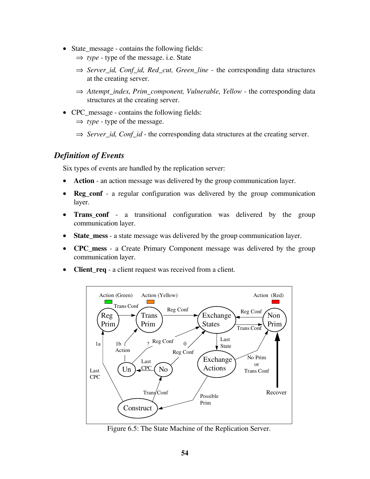- State\_message contains the following fields:
	- ⇒ *type* type of the message. i.e. State
	- ⇒ *Server\_id, Conf\_id, Red\_cut, Green\_line* the corresponding data structures at the creating server.
	- ⇒ *Attempt\_index, Prim\_component, Vulnerable, Yellow* the corresponding data structures at the creating server.
- CPC\_message contains the following fields:
	- ⇒ *type* type of the message.
	- ⇒ *Server\_id, Conf\_id* the corresponding data structures at the creating server.

## *Definition of Events*

Six types of events are handled by the replication server:

- **Action**  an action message was delivered by the group communication layer.
- **Reg\_conf** a regular configuration was delivered by the group communication layer.
- **Trans\_conf** a transitional configuration was delivered by the group communication layer.
- **State\_mess** a state message was delivered by the group communication layer.
- **CPC\_mess** a Create Primary Component message was delivered by the group communication layer.
- **Client\_req** a client request was received from a client.



Figure 6.5: The State Machine of the Replication Server.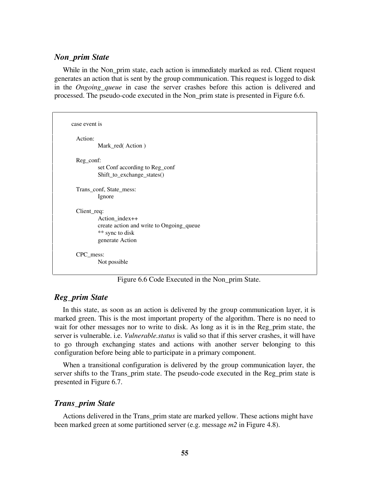## *Non\_prim State*

While in the Non\_prim state, each action is immediately marked as red. Client request generates an action that is sent by the group communication. This request is logged to disk in the *Ongoing\_queue* in case the server crashes before this action is delivered and processed. The pseudo-code executed in the Non\_prim state is presented in Figure 6.6.

```
case event is
 Action:
          Mark_red( Action )
 Reg_conf:
          set Conf according to Reg_conf
          Shift_to_exchange_states()
 Trans_conf, State_mess:
          Ignore
 Client req:
          Action_index++
          create action and write to Ongoing_queue
          ** sync to disk
          generate Action
 CPC_mess:
         Not possible
```
Figure 6.6 Code Executed in the Non\_prim State.

## *Reg\_prim State*

In this state, as soon as an action is delivered by the group communication layer, it is marked green. This is the most important property of the algorithm. There is no need to wait for other messages nor to write to disk. As long as it is in the Reg prim state, the server is vulnerable. i.e. *Vulnerable.status* is valid so that if this server crashes, it will have to go through exchanging states and actions with another server belonging to this configuration before being able to participate in a primary component.

When a transitional configuration is delivered by the group communication layer, the server shifts to the Trans\_prim state. The pseudo-code executed in the Reg\_prim state is presented in Figure 6.7.

## *Trans\_prim State*

Actions delivered in the Trans\_prim state are marked yellow. These actions might have been marked green at some partitioned server (e.g. message *m2* in Figure 4.8).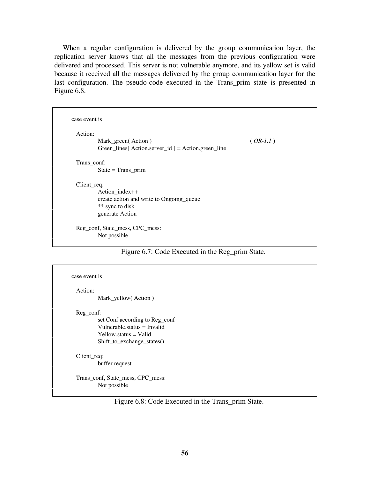When a regular configuration is delivered by the group communication layer, the replication server knows that all the messages from the previous configuration were delivered and processed. This server is not vulnerable anymore, and its yellow set is valid because it received all the messages delivered by the group communication layer for the last configuration. The pseudo-code executed in the Trans\_prim state is presented in Figure 6.8.

| Action:     |                                                            |            |
|-------------|------------------------------------------------------------|------------|
|             | Mark_green(Action)                                         | $(OR-I.1)$ |
|             | $Green_{_}}$ lines[ Action.server_id ] = Action.green_line |            |
| Trans_conf: |                                                            |            |
|             | $State = Trans\_prim$                                      |            |
| Client_req: |                                                            |            |
|             | Action_index++                                             |            |
|             | create action and write to Ongoing_queue                   |            |
|             | ** sync to disk                                            |            |
|             | generate Action                                            |            |

Figure 6.7: Code Executed in the Reg\_prim State.

| case event is                                                                                                                         |
|---------------------------------------------------------------------------------------------------------------------------------------|
| Mark_yellow(Action)                                                                                                                   |
| Reg_conf:<br>set Conf according to Reg_conf<br>Vulnerable status $=$ Invalid<br>$Yellowsstatus = Valid$<br>Shift_to_exchange_states() |
| $Client\_req$ :<br>buffer request<br>Trans_conf, State_mess, CPC_mess:<br>Not possible                                                |
|                                                                                                                                       |

Figure 6.8: Code Executed in the Trans\_prim State.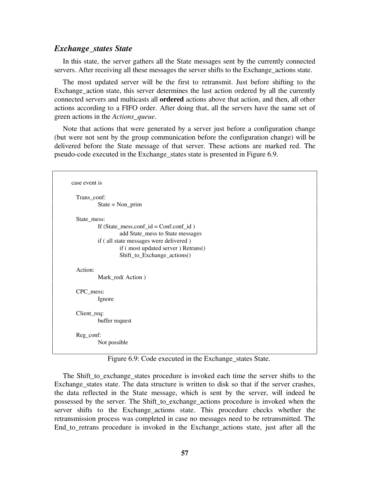### *Exchange\_states State*

In this state, the server gathers all the State messages sent by the currently connected servers. After receiving all these messages the server shifts to the Exchange\_actions state.

The most updated server will be the first to retransmit. Just before shifting to the Exchange action state, this server determines the last action ordered by all the currently connected servers and multicasts all **ordered** actions above that action, and then, all other actions according to a FIFO order. After doing that, all the servers have the same set of green actions in the *Actions\_queue*.

Note that actions that were generated by a server just before a configuration change (but were not sent by the group communication before the configuration change) will be delivered before the State message of that server. These actions are marked red. The pseudo-code executed in the Exchange\_states state is presented in Figure 6.9.

```
case event is
 Trans_conf:
          State = Non\_primState_mess:
          If (State_mess.conf_id = Conf\_id)
                  add State_mess to State messages
          if ( all state messages were delivered )
                  if ( most updated server ) Retrans()
                  Shift to Exchange actions()
 Action:
          Mark red( Action )
 CPC_mess:
          Ignore
 Client req:
          buffer request
 Reg_conf:
          Not possible
```
Figure 6.9: Code executed in the Exchange\_states State.

The Shift\_to\_exchange\_states procedure is invoked each time the server shifts to the Exchange\_states state. The data structure is written to disk so that if the server crashes, the data reflected in the State message, which is sent by the server, will indeed be possessed by the server. The Shift\_to\_exchange\_actions procedure is invoked when the server shifts to the Exchange\_actions state. This procedure checks whether the retransmission process was completed in case no messages need to be retransmitted. The End\_to\_retrans procedure is invoked in the Exchange\_actions state, just after all the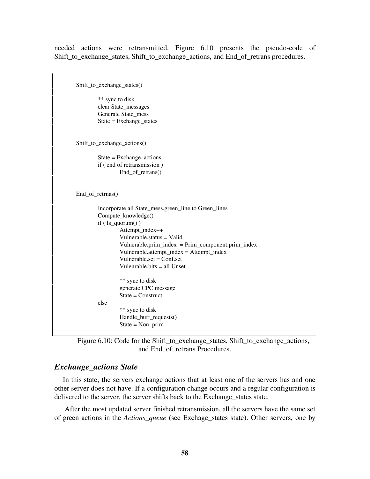needed actions were retransmitted. Figure 6.10 presents the pseudo-code of Shift to exchange states, Shift to exchange actions, and End of retrans procedures.

```
Shift_to_exchange_states()
        ** sync to disk
        clear State_messages
        Generate State_mess
        State = Exchange_states
Shift_to_exchange_actions()
        State = Exchange_actions
        if ( end of retransmission )
                End_of_retrans()
End_of_retrnas()
        Incorporate all State_mess.green_line to Green_lines
        Compute_knowledge()
        if ( Is_quorum() )
                Attempt_index++
                 Vulnerable.status = Valid
                 Vulnerable.prim_index = Prim_component.prim_index
                 Vulnerable.attempt_index = Attempt_index
                 Vulnerable.set = Conf.set
                 Vulenrable.bits = all Unset
                 ** sync to disk
                generate CPC message
                State = Construct
        else
                 ** sync to disk
                Handle_buff_requests()
                State = Non_prim
```
## *Exchange\_actions State*

In this state, the servers exchange actions that at least one of the servers has and one other server does not have. If a configuration change occurs and a regular configuration is delivered to the server, the server shifts back to the Exchange\_states state.

 After the most updated server finished retransmission, all the servers have the same set of green actions in the *Actions\_queue* (see Exchage\_states state). Other servers, one by

Figure 6.10: Code for the Shift\_to\_exchange\_states, Shift\_to\_exchange\_actions, and End of retrans Procedures.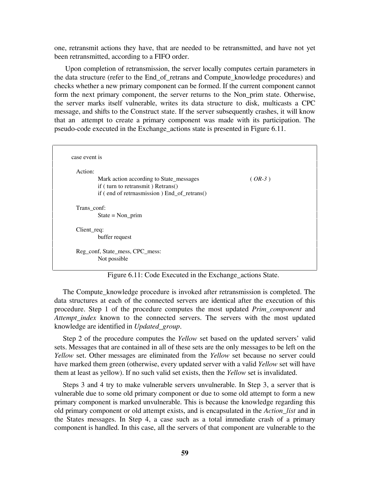one, retransmit actions they have, that are needed to be retransmitted, and have not yet been retransmitted, according to a FIFO order.

 Upon completion of retransmission, the server locally computes certain parameters in the data structure (refer to the End\_of\_retrans and Compute\_knowledge procedures) and checks whether a new primary component can be formed. If the current component cannot form the next primary component, the server returns to the Non\_prim state. Otherwise, the server marks itself vulnerable, writes its data structure to disk, multicasts a CPC message, and shifts to the Construct state. If the server subsequently crashes, it will know that an attempt to create a primary component was made with its participation. The pseudo-code executed in the Exchange\_actions state is presented in Figure 6.11.

| Action:         |                                             |          |
|-----------------|---------------------------------------------|----------|
|                 | Mark action according to State_messages     | $(OR-3)$ |
|                 | if (turn to retransmit) Retrans()           |          |
|                 | if (end of retrnasmission) End_of_retrans() |          |
| Trans_conf:     |                                             |          |
|                 |                                             |          |
|                 | $State = Non\_prim$                         |          |
| $Client\_req$ : |                                             |          |
|                 | buffer request                              |          |

Figure 6.11: Code Executed in the Exchange\_actions State.

The Compute\_knowledge procedure is invoked after retransmission is completed. The data structures at each of the connected servers are identical after the execution of this procedure. Step 1 of the procedure computes the most updated *Prim\_component* and *Attempt\_index* known to the connected servers. The servers with the most updated knowledge are identified in *Updated\_group*.

Step 2 of the procedure computes the *Yellow* set based on the updated servers' valid sets. Messages that are contained in all of these sets are the only messages to be left on the *Yellow* set. Other messages are eliminated from the *Yellow* set because no server could have marked them green (otherwise, every updated server with a valid *Yellow* set will have them at least as yellow). If no such valid set exists, then the *Yellow* set is invalidated.

Steps 3 and 4 try to make vulnerable servers unvulnerable. In Step 3, a server that is vulnerable due to some old primary component or due to some old attempt to form a new primary component is marked unvulnerable. This is because the knowledge regarding this old primary component or old attempt exists, and is encapsulated in the *Action\_list* and in the States messages. In Step 4, a case such as a total immediate crash of a primary component is handled. In this case, all the servers of that component are vulnerable to the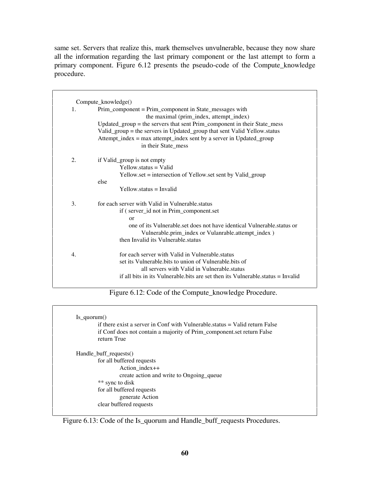same set. Servers that realize this, mark themselves unvulnerable, because they now share all the information regarding the last primary component or the last attempt to form a primary component. Figure 6.12 presents the pseudo-code of the Compute\_knowledge procedure.

| 1.<br>2. | Prim_component = Prim_component in State_messages with<br>the maximal (prim_index, attempt_index)<br>Updated_group = the servers that sent Prim_component in their State_mess<br>Valid_group = the servers in Updated_group that sent Valid Yellow status<br>Attempt_index = max attempt_index sent by a server in Updated_group<br>in their State_mess<br>if Valid_group is not empty<br>$Yellowsstatus = Valid$ |
|----------|-------------------------------------------------------------------------------------------------------------------------------------------------------------------------------------------------------------------------------------------------------------------------------------------------------------------------------------------------------------------------------------------------------------------|
|          |                                                                                                                                                                                                                                                                                                                                                                                                                   |
|          |                                                                                                                                                                                                                                                                                                                                                                                                                   |
|          |                                                                                                                                                                                                                                                                                                                                                                                                                   |
|          |                                                                                                                                                                                                                                                                                                                                                                                                                   |
|          |                                                                                                                                                                                                                                                                                                                                                                                                                   |
|          |                                                                                                                                                                                                                                                                                                                                                                                                                   |
|          |                                                                                                                                                                                                                                                                                                                                                                                                                   |
|          |                                                                                                                                                                                                                                                                                                                                                                                                                   |
|          | Yellow set = intersection of Yellow set sent by Valid_group                                                                                                                                                                                                                                                                                                                                                       |
|          | else                                                                                                                                                                                                                                                                                                                                                                                                              |
|          | $Y$ ellow.status = Invalid                                                                                                                                                                                                                                                                                                                                                                                        |
| 3.       | for each server with Valid in Vulnerable, status                                                                                                                                                                                                                                                                                                                                                                  |
|          | if (server_id not in Prim_component.set                                                                                                                                                                                                                                                                                                                                                                           |
|          | $\alpha$                                                                                                                                                                                                                                                                                                                                                                                                          |
|          | one of its Vulnerable, set does not have identical Vulnerable, status or                                                                                                                                                                                                                                                                                                                                          |
|          |                                                                                                                                                                                                                                                                                                                                                                                                                   |
|          | Vulnerable.prim_index or Vulanrable.attempt_index )                                                                                                                                                                                                                                                                                                                                                               |
|          | then Invalid its Vulnerable status                                                                                                                                                                                                                                                                                                                                                                                |
| 4.       | for each server with Valid in Vulnerable, status                                                                                                                                                                                                                                                                                                                                                                  |
|          | set its Vulnerable bits to union of Vulnerable bits of                                                                                                                                                                                                                                                                                                                                                            |
|          | all servers with Valid in Vulnerable.status                                                                                                                                                                                                                                                                                                                                                                       |

Figure 6.12: Code of the Compute\_knowledge Procedure.

| if there exist a server in Conf with Vulnerable status = Valid return False |
|-----------------------------------------------------------------------------|
| if Conf does not contain a majority of Prim_component.set return False      |
| return True                                                                 |
| Handle_buff_requests()                                                      |
| for all buffered requests                                                   |
| Action index++                                                              |
| create action and write to Ongoing_queue                                    |
| ** sync to disk                                                             |
| for all buffered requests                                                   |
| generate Action                                                             |
| clear buffered requests                                                     |

Figure 6.13: Code of the Is\_quorum and Handle\_buff\_requests Procedures.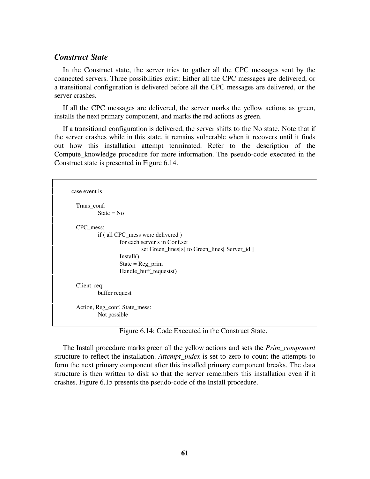## *Construct State*

In the Construct state, the server tries to gather all the CPC messages sent by the connected servers. Three possibilities exist: Either all the CPC messages are delivered, or a transitional configuration is delivered before all the CPC messages are delivered, or the server crashes.

If all the CPC messages are delivered, the server marks the yellow actions as green, installs the next primary component, and marks the red actions as green.

If a transitional configuration is delivered, the server shifts to the No state. Note that if the server crashes while in this state, it remains vulnerable when it recovers until it finds out how this installation attempt terminated. Refer to the description of the Compute\_knowledge procedure for more information. The pseudo-code executed in the Construct state is presented in Figure 6.14.

```
case event is
 Trans_conf:
          State = NoCPC_mess:
          if ( all CPC_mess were delivered )
                   for each server s in Conf.set
                           set Green_lines[s] to Green_lines[ Server_id ]
                   Install()
                   State = Reg_prim
                   Handle buff requests()
 Client req:
          buffer request
 Action, Reg_conf, State_mess:
          Not possible
```
Figure 6.14: Code Executed in the Construct State.

The Install procedure marks green all the yellow actions and sets the *Prim\_component* structure to reflect the installation. *Attempt\_index* is set to zero to count the attempts to form the next primary component after this installed primary component breaks. The data structure is then written to disk so that the server remembers this installation even if it crashes. Figure 6.15 presents the pseudo-code of the Install procedure.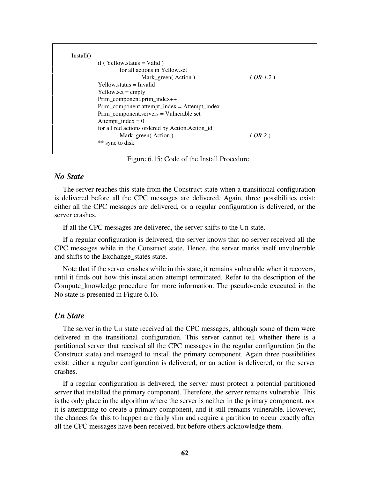| Install()                                          |            |
|----------------------------------------------------|------------|
| if (Yellow.status = Valid)                         |            |
| for all actions in Yellow set                      |            |
| Mark_green(Action)                                 | $(OR-1.2)$ |
| $Y$ ellow status = Invalid                         |            |
| $Y$ ellow.set = empty                              |            |
| Prim_component.prim_index++                        |            |
| $Prim\_component. attempt\_index = Attempt\_index$ |            |
| Prim_component.servers = Vulnerable.set            |            |
| Attempt_index = $0$                                |            |
| for all red actions ordered by Action. Action_id   |            |
| Mark_green(Action)                                 | $(OR-2)$   |
| ** sync to disk                                    |            |

Figure 6.15: Code of the Install Procedure.

### *No State*

The server reaches this state from the Construct state when a transitional configuration is delivered before all the CPC messages are delivered. Again, three possibilities exist: either all the CPC messages are delivered, or a regular configuration is delivered, or the server crashes.

If all the CPC messages are delivered, the server shifts to the Un state.

If a regular configuration is delivered, the server knows that no server received all the CPC messages while in the Construct state. Hence, the server marks itself unvulnerable and shifts to the Exchange\_states state.

Note that if the server crashes while in this state, it remains vulnerable when it recovers, until it finds out how this installation attempt terminated. Refer to the description of the Compute\_knowledge procedure for more information. The pseudo-code executed in the No state is presented in Figure 6.16.

#### *Un State*

The server in the Un state received all the CPC messages, although some of them were delivered in the transitional configuration. This server cannot tell whether there is a partitioned server that received all the CPC messages in the regular configuration (in the Construct state) and managed to install the primary component. Again three possibilities exist: either a regular configuration is delivered, or an action is delivered, or the server crashes.

If a regular configuration is delivered, the server must protect a potential partitioned server that installed the primary component. Therefore, the server remains vulnerable. This is the only place in the algorithm where the server is neither in the primary component, nor it is attempting to create a primary component, and it still remains vulnerable. However, the chances for this to happen are fairly slim and require a partition to occur exactly after all the CPC messages have been received, but before others acknowledge them.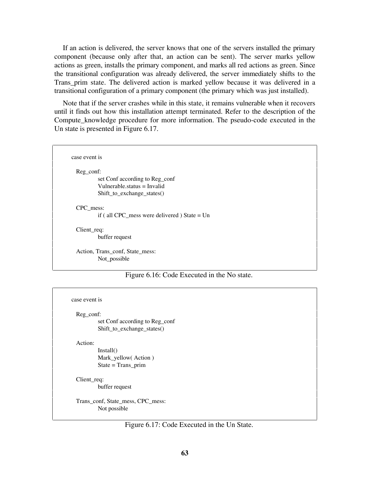If an action is delivered, the server knows that one of the servers installed the primary component (because only after that, an action can be sent). The server marks yellow actions as green, installs the primary component, and marks all red actions as green. Since the transitional configuration was already delivered, the server immediately shifts to the Trans\_prim state. The delivered action is marked yellow because it was delivered in a transitional configuration of a primary component (the primary which was just installed).

Note that if the server crashes while in this state, it remains vulnerable when it recovers until it finds out how this installation attempt terminated. Refer to the description of the Compute knowledge procedure for more information. The pseudo-code executed in the Un state is presented in Figure 6.17.

case event is Reg\_conf: set Conf according to Reg\_conf Vulnerable.status = Invalid Shift to exchange states() CPC\_mess: if ( all CPC\_mess were delivered ) State = Un Client req: buffer request Action, Trans\_conf, State\_mess: Not possible

#### Figure 6.16: Code Executed in the No state.

| case event is |  |
|---------------|--|
|               |  |

Reg\_conf:

set Conf according to Reg\_conf Shift\_to\_exchange\_states()

Action:

Install() Mark\_yellow( Action ) State = Trans\_prim

Client req: buffer request

Trans\_conf, State\_mess, CPC\_mess: Not possible

Figure 6.17: Code Executed in the Un State.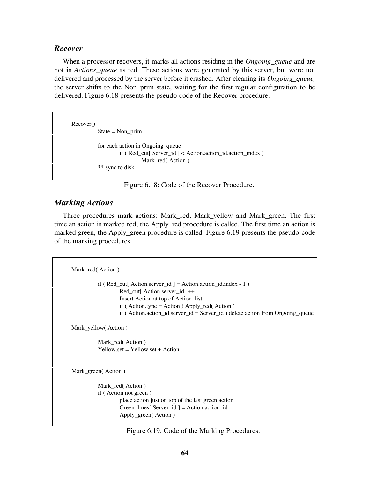#### *Recover*

When a processor recovers, it marks all actions residing in the *Ongoing\_queue* and are not in *Actions\_queue* as red. These actions were generated by this server, but were not delivered and processed by the server before it crashed. After cleaning its *Ongoing\_queue,* the server shifts to the Non\_prim state, waiting for the first regular configuration to be delivered. Figure 6.18 presents the pseudo-code of the Recover procedure.

Recover() State =  $Non\_prim$ for each action in Ongoing\_queue if ( Red\_cut[ Server\_id ] < Action.action\_id.action\_index ) Mark red( Action ) \*\* sync to disk

Figure 6.18: Code of the Recover Procedure.

## *Marking Actions*

Three procedures mark actions: Mark\_red, Mark\_yellow and Mark\_green. The first time an action is marked red, the Apply\_red procedure is called. The first time an action is marked green, the Apply\_green procedure is called. Figure 6.19 presents the pseudo-code of the marking procedures.

```
Mark_red( Action )
          if ( Red cut[ Action.server id ] = Action.action id.index - 1 )
                   Red_cut[ Action.server id ]++
                   Insert Action at top of Action_list
                  if (Action.type = Action) Apply\_red(Action)if ( Action.action id.server id = Server id ) delete action from Ongoing queue
Mark_yellow( Action )
          Mark_red( Action )
          Yellow.set = Yellow.set + Action
Mark_green( Action )
          Mark_red( Action )
          if ( Action not green )
                   place action just on top of the last green action
                   Green_lines[ Server_id ] = Action.action_id
                   Apply_green( Action )
```
Figure 6.19: Code of the Marking Procedures.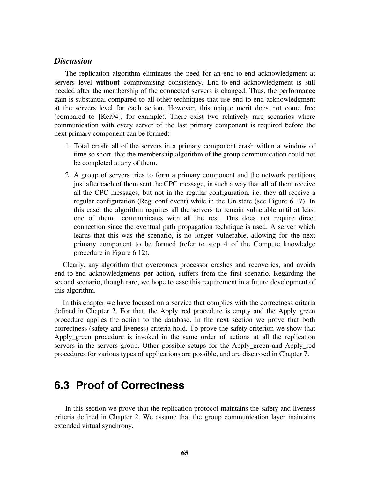### *Discussion*

The replication algorithm eliminates the need for an end-to-end acknowledgment at servers level **without** compromising consistency. End-to-end acknowledgment is still needed after the membership of the connected servers is changed. Thus, the performance gain is substantial compared to all other techniques that use end-to-end acknowledgment at the servers level for each action. However, this unique merit does not come free (compared to [Kei94], for example). There exist two relatively rare scenarios where communication with every server of the last primary component is required before the next primary component can be formed:

- 1. Total crash: all of the servers in a primary component crash within a window of time so short, that the membership algorithm of the group communication could not be completed at any of them.
- 2. A group of servers tries to form a primary component and the network partitions just after each of them sent the CPC message, in such a way that **all** of them receive all the CPC messages, but not in the regular configuration. i.e. they **all** receive a regular configuration (Reg\_conf event) while in the Un state (see Figure 6.17). In this case, the algorithm requires all the servers to remain vulnerable until at least one of them communicates with all the rest. This does not require direct connection since the eventual path propagation technique is used. A server which learns that this was the scenario, is no longer vulnerable, allowing for the next primary component to be formed (refer to step 4 of the Compute\_knowledge procedure in Figure 6.12).

Clearly, any algorithm that overcomes processor crashes and recoveries, and avoids end-to-end acknowledgments per action, suffers from the first scenario. Regarding the second scenario, though rare, we hope to ease this requirement in a future development of this algorithm.

In this chapter we have focused on a service that complies with the correctness criteria defined in Chapter 2. For that, the Apply\_red procedure is empty and the Apply\_green procedure applies the action to the database. In the next section we prove that both correctness (safety and liveness) criteria hold. To prove the safety criterion we show that Apply green procedure is invoked in the same order of actions at all the replication servers in the servers group. Other possible setups for the Apply\_green and Apply\_red procedures for various types of applications are possible, and are discussed in Chapter 7.

# **6.3 Proof of Correctness**

In this section we prove that the replication protocol maintains the safety and liveness criteria defined in Chapter 2. We assume that the group communication layer maintains extended virtual synchrony.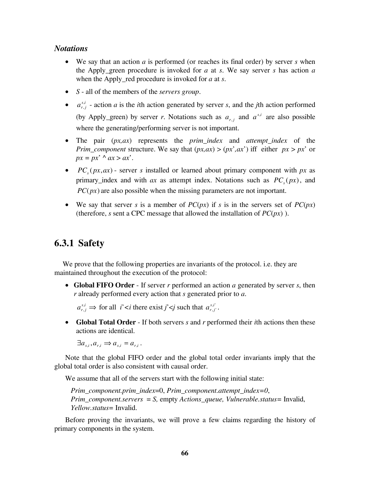## *Notations*

- We say that an action *a* is performed (or reaches its final order) by server *s* when the Apply\_green procedure is invoked for *a* at *s*. We say server *s* has action *a* when the Apply\_red procedure is invoked for *a* at *s*.
- *S* all of the members of the *servers group*.
- $\bullet$  *a*<sup>*s*,*i*</sup></sup>*r*,*j*  $\alpha_{i,j}$  - action *a* is the *i*th action generated by server *s*, and the *j*th action performed (by Apply\_green) by server *r*. Notations such as  $a_{r,j}$  and  $a^{s,i}$  are also possible where the generating/performing server is not important.
- The pair (*px,ax*) represents the *prim\_index* and *attempt\_index* of the *Prim\_component* structure. We say that  $(px, ax) > (px', ax')$  iff either  $px > px'$  or  $px = px' \land ax > ax'.$
- $PC_c(px, ax)$  server *s* installed or learned about primary component with *px* as primary\_index and with *ax* as attempt index. Notations such as  $PC_s(px)$ , and  $PC(px)$  are also possible when the missing parameters are not important.
- We say that server *s* is a member of  $PC(px)$  if *s* is in the servers set of  $PC(px)$ (therefore, *s* sent a CPC message that allowed the installation of  $PC(px)$ ).

## **6.3.1 Safety**

We prove that the following properties are invariants of the protocol. i.e. they are maintained throughout the execution of the protocol:

• **Global FIFO Order** - If server *r* performed an action *a* generated by server *s*, then *r* already performed every action that *s* generated prior to *a*.

 $a_{r,j}^{s,i}$  $\alpha_{i,j}^{i} \Rightarrow$  for all *i*' *there exist <i>j*' *such that*  $a_{r,j}^{s,i}$ , $i'$ ,  $j'$ .

• **Global Total Order** - If both servers *s* and *r* performed their *i*th actions then these actions are identical.

 $\exists a_{s_i}, a_{r_i} \Rightarrow a_{s_i} = a_{r_i}.$ 

Note that the global FIFO order and the global total order invariants imply that the global total order is also consistent with causal order.

We assume that all of the servers start with the following initial state:

*Prim\_component.prim\_index*=0, *Prim\_component.attempt\_index=0*, *Prim\_component.servers* = *S,* empty *Actions\_queue, Vulnerable.status=* Invalid, *Yellow.status=* Invalid.

Before proving the invariants, we will prove a few claims regarding the history of primary components in the system.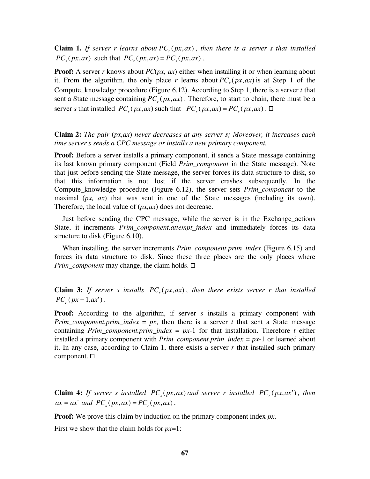**Claim 1.** If server r learns about  $PC_r(px, ax)$ , then there is a server s that installed  $PC_{s}(px, ax)$  such that  $PC_{s}(px, ax) = PC_{s}(px, ax)$ .

**Proof:** A server *r* knows about *PC(px, ax)* either when installing it or when learning about it. From the algorithm, the only place *r* learns about  $PC_r(px, ax)$  is at Step 1 of the Compute knowledge procedure (Figure 6.12). According to Step 1, there is a server *t* that sent a State message containing  $PC<sub>r</sub>(px, ax)$ . Therefore, to start to chain, there must be a server *s* that installed  $PC_s(px, ax)$  such that  $PC_r(px, ax) = PC_s(px, ax)$ .  $\Box$ 

**Claim 2:** *The pair* (*px,ax*) *never decreases at any server s; Moreover, it increases each time server s sends a CPC message or installs a new primary component.*

**Proof:** Before a server installs a primary component, it sends a State message containing its last known primary component (Field *Prim\_component* in the State message). Note that just before sending the State message, the server forces its data structure to disk, so that this information is not lost if the server crashes subsequently. In the Compute\_knowledge procedure (Figure 6.12), the server sets *Prim\_component* to the maximal (*px, ax*) that was sent in one of the State messages (including its own). Therefore, the local value of (*px,ax*) does not decrease.

Just before sending the CPC message, while the server is in the Exchange\_actions State, it increments *Prim\_component.attempt\_index* and immediately forces its data structure to disk (Figure 6.10).

When installing, the server increments *Prim\_component.prim\_index* (Figure 6.15) and forces its data structure to disk. Since these three places are the only places where *Prim\_component* may change, the claim holds. □

**Claim 3:** *If server s installs PC<sub>s</sub>(* $px, ax$ *)*, *then there exists server r that installed*  $PC_{r} ( px - 1, ax^{r})$ .

**Proof:** According to the algorithm, if server *s* installs a primary component with *Prim\_component.prim\_index = px,* then there is a server *t* that sent a State message containing *Prim\_component.prim\_index* =  $px-1$  for that installation. Therefore *t* either installed a primary component with *Prim\_component.prim\_index* = *px-*1 or learned about it. In any case, according to Claim 1, there exists a server  $r$  that installed such primary component.  $\square$ 

**Claim 4:** *If server s installed PC<sub>s</sub>(px, ax) and server r installed PC<sub>r</sub>(px, ax'), then*  $ax = ax'$  *and PC<sub>s</sub>* ( $px, ax$ ) = *PC<sub>s</sub>* ( $px, ax$ ).

**Proof:** We prove this claim by induction on the primary component index *px*.

First we show that the claim holds for *px*=1: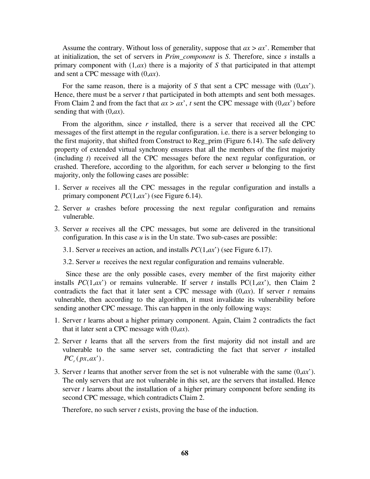Assume the contrary. Without loss of generality, suppose that *ax* > *ax*'. Remember that at initialization, the set of servers in *Prim\_component* is *S*. Therefore, since *s* installs a primary component with (1*,ax*) there is a majority of *S* that participated in that attempt and sent a CPC message with (0,*ax*).

For the same reason, there is a majority of *S* that sent a CPC message with (0,*ax*'). Hence, there must be a server *t* that participated in both attempts and sent both messages. From Claim 2 and from the fact that  $ax > ax$ , t sent the CPC message with  $(0, ax)$  before sending that with (0,*ax*).

From the algorithm, since *r* installed, there is a server that received all the CPC messages of the first attempt in the regular configuration. i.e. there is a server belonging to the first majority, that shifted from Construct to Reg\_prim (Figure 6.14). The safe delivery property of extended virtual synchrony ensures that all the members of the first majority (including *t*) received all the CPC messages before the next regular configuration, or crashed. Therefore, according to the algorithm, for each server *u* belonging to the first majority, only the following cases are possible:

- 1. Server *u* receives all the CPC messages in the regular configuration and installs a primary component *PC*(1,*ax*') (see Figure 6.14).
- 2. Server *u* crashes before processing the next regular configuration and remains vulnerable.
- 3. Server *u* receives all the CPC messages, but some are delivered in the transitional configuration. In this case  $u$  is in the Un state. Two sub-cases are possible:
	- 3.1.Server *u* receives an action, and installs *PC*(1,*ax*') (see Figure 6.17).
	- 3.2.Server *u* receives the next regular configuration and remains vulnerable.

 Since these are the only possible cases, every member of the first majority either installs  $PC(1,ax^r)$  or remains vulnerable. If server *t* installs  $PC(1,ax^r)$ , then Claim 2 contradicts the fact that it later sent a CPC message with  $(0, ax)$ . If server *t* remains vulnerable, then according to the algorithm, it must invalidate its vulnerability before sending another CPC message. This can happen in the only following ways:

- 1. Server *t* learns about a higher primary component. Again, Claim 2 contradicts the fact that it later sent a CPC message with (0,*ax*).
- 2. Server *t* learns that all the servers from the first majority did not install and are vulnerable to the same server set, contradicting the fact that server  $r$  installed  $PC_{r} (px, ax')$ .
- 3. Server *t* learns that another server from the set is not vulnerable with the same (0,*ax*'). The only servers that are not vulnerable in this set, are the servers that installed. Hence server *t* learns about the installation of a higher primary component before sending its second CPC message, which contradicts Claim 2.

Therefore, no such server *t* exists, proving the base of the induction.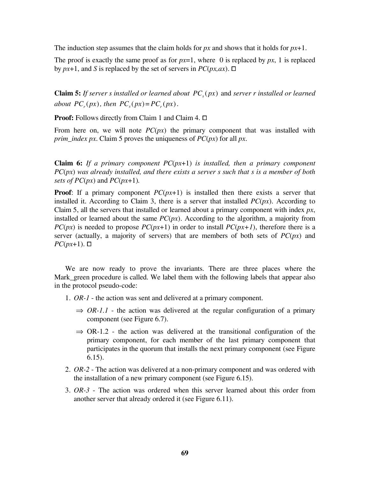The induction step assumes that the claim holds for *px* and shows that it holds for *px*+1.

The proof is exactly the same proof as for  $px=1$ , where 0 is replaced by  $px$ , 1 is replaced by  $px+1$ , and *S* is replaced by the set of servers in  $PC(px, ax)$ .  $\Box$ 

**Claim 5:** *If server s installed or learned about PC<sub>s</sub>(* $px$ *)* and *server r installed or learned about PC<sub>r</sub>(px), then PC<sub>r</sub>(px)=PC<sub>r</sub>(px).* 

**Proof:** Follows directly from Claim 1 and Claim 4. □

From here on, we will note  $PC(px)$  the primary component that was installed with *prim\_index px*. Claim 5 proves the uniqueness of *PC*(*px*) for all *px*.

**Claim 6:** *If a primary component PC*(*px*+1) *is installed, then a primary component PC*(*px*) *was already installed, and there exists a server s such that s is a member of both sets of PC(* $px$ *)* and *PC(* $px+1$ *)*.

**Proof:** If a primary component *PC(px*+1) is installed then there exists a server that installed it. According to Claim 3, there is a server that installed  $PC(px)$ . According to Claim 5, all the servers that installed or learned about a primary component with index *px*, installed or learned about the same  $PC(px)$ . According to the algorithm, a majority from *PC*(*px*) is needed to propose *PC*(*px*+1) in order to install *PC*(*px*+1), therefore there is a server (actually, a majority of servers) that are members of both sets of *PC*(*px*) and  $PC(px+1)$ . □

We are now ready to prove the invariants. There are three places where the Mark\_green procedure is called. We label them with the following labels that appear also in the protocol pseudo-code:

- 1. *OR-1* the action was sent and delivered at a primary component.
	- $\Rightarrow$  *OR-1.1* the action was delivered at the regular configuration of a primary component (see Figure 6.7).
	- $\Rightarrow$  OR-1.2 the action was delivered at the transitional configuration of the primary component, for each member of the last primary component that participates in the quorum that installs the next primary component (see Figure 6.15).
- 2. *OR-2* The action was delivered at a non-primary component and was ordered with the installation of a new primary component (see Figure 6.15).
- 3. *OR-3* The action was ordered when this server learned about this order from another server that already ordered it (see Figure 6.11).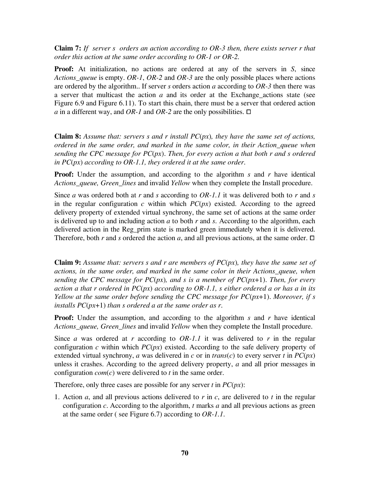**Claim 7:** *If server s orders an action according to OR-3 then, there exists server r that order this action at the same order according to OR-1 or OR-2.*

**Proof:** At initialization, no actions are ordered at any of the servers in *S*, since *Actions\_queue* is empty. *OR-1*, *OR-2* and *OR-3* are the only possible places where actions are ordered by the algorithm.. If server *s* orders action *a* according to *OR-3* then there was a server that multicast the action  $a$  and its order at the Exchange actions state (see Figure 6.9 and Figure 6.11). To start this chain, there must be a server that ordered action *a* in a different way, and *OR-1* and *OR-2* are the only possibilities.  $\Box$ 

**Claim 8:** *Assume that: servers s and r install PC*(*px*)*, they have the same set of actions, ordered in the same order, and marked in the same color, in their Action\_queue when sending the CPC message for PC*(*px*). *Then, for every action a that both r and s ordered in PC*(*px*) *according to OR-1.1, they ordered it at the same order*.

**Proof:** Under the assumption, and according to the algorithm *s* and *r* have identical *Actions\_queue, Green\_lines* and invalid *Yellow* when they complete the Install procedure.

Since *a* was ordered both at *r* and *s* according to *OR-1.1* it was delivered both to *r* and *s* in the regular configuration  $c$  within which  $PC(px)$  existed. According to the agreed delivery property of extended virtual synchrony, the same set of actions at the same order is delivered up to and including action *a* to both *r* and *s*. According to the algorithm, each delivered action in the Reg\_prim state is marked green immediately when it is delivered. Therefore, both  $r$  and  $s$  ordered the action  $a$ , and all previous actions, at the same order.  $\Box$ 

**Claim 9:** *Assume that: servers s and r are members of PC*(*px*)*, they have the same set of actions, in the same order, and marked in the same color in their Actions\_queue, when sending the CPC message for PC*(*px*)*, and s is a member of PC*(*px*+1). *Then, for every action a that r ordered in PC*(*px*) *according to OR-1.1, s either ordered a or has a in its Yellow at the same order before sending the CPC message for PC*(*px*+1). *Moreover, if s installs PC*(*px*+1) *than s ordered a at the same order as r*.

**Proof:** Under the assumption, and according to the algorithm *s* and *r* have identical *Actions\_queue, Green\_lines* and invalid *Yellow* when they complete the Install procedure.

Since *a* was ordered at *r* according to *OR-1.1* it was delivered to *r* in the regular configuration  $c$  within which  $PC(px)$  existed. According to the safe delivery property of extended virtual synchrony, *a* was delivered in *c* or in *trans(c)* to every server *t* in  $PC(px)$ unless it crashes. According to the agreed delivery property, *a* and all prior messages in configuration *com*(*c*) were delivered to *t* in the same order.

Therefore, only three cases are possible for any server *t* in *PC*(*px*):

1. Action *a*, and all previous actions delivered to *r* in *c*, are delivered to *t* in the regular configuration *c*. According to the algorithm, *t* marks *a* and all previous actions as green at the same order ( see Figure 6.7) according to *OR-1.1*.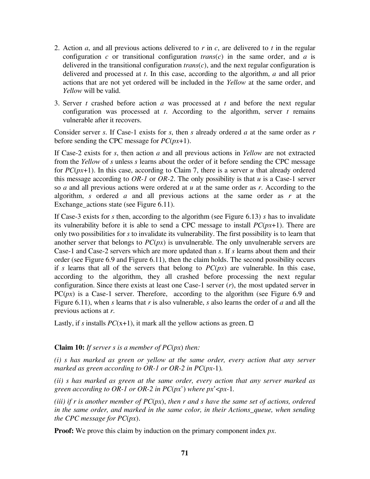- 2. Action *a*, and all previous actions delivered to *r* in *c*, are delivered to *t* in the regular configuration  $c$  or transitional configuration  $trans(c)$  in the same order, and  $a$  is delivered in the transitional configuration *trans*(*c*), and the next regular configuration is delivered and processed at *t*. In this case, according to the algorithm, *a* and all prior actions that are not yet ordered will be included in the *Yellow* at the same order, and *Yellow* will be valid.
- 3. Server *t* crashed before action *a* was processed at *t* and before the next regular configuration was processed at *t*. According to the algorithm, server *t* remains vulnerable after it recovers.

Consider server *s*. If Case-1 exists for *s*, then *s* already ordered *a* at the same order as *r* before sending the CPC message for *PC*(*px*+1).

If Case-2 exists for *s*, then action *a* and all previous actions in *Yellow* are not extracted from the *Yellow* of *s* unless *s* learns about the order of it before sending the CPC message for  $PC(px+1)$ . In this case, according to Claim 7, there is a server *u* that already ordered this message according to *OR-1* or *OR-2*. The only possibility is that *u* is a Case-1 server so *a* and all previous actions were ordered at *u* at the same order as *r*. According to the algorithm, *s* ordered *a* and all previous actions at the same order as *r* at the Exchange actions state (see Figure 6.11).

If Case-3 exists for *s* then, according to the algorithm (see Figure 6.13) *s* has to invalidate its vulnerability before it is able to send a CPC message to install *PC*(*px*+1). There are only two possibilities for *s* to invalidate its vulnerability. The first possibility is to learn that another server that belongs to *PC*(*px*) is unvulnerable. The only unvulnerable servers are Case-1 and Case-2 servers which are more updated than *s*. If *s* learns about them and their order (see Figure 6.9 and Figure 6.11), then the claim holds. The second possibility occurs if *s* learns that all of the servers that belong to  $PC(px)$  are vulnerable. In this case, according to the algorithm, they all crashed before processing the next regular configuration. Since there exists at least one Case-1 server (*r*), the most updated server in  $PC(px)$  is a Case-1 server. Therefore, according to the algorithm (see Figure 6.9 and Figure 6.11), when *s* learns that *r* is also vulnerable, *s* also learns the order of *a* and all the previous actions at *r*.

Lastly, if *s* installs  $PC(x+1)$ , it mark all the yellow actions as green.  $\Box$ 

#### **Claim 10:** *If server s is a member of PC*(*px*) *then:*

*(i) s has marked as green or yellow at the same order, every action that any server marked as green according to OR-1 or OR-2 in PC*(*px*-1)*.*

*(ii) s has marked as green at the same order, every action that any server marked as green according to OR-1 or OR-2 in PC*(*px*') *where px*'<*px*-1*.*

*(iii) if r is another member of PC*(*px*), *then r and s have the same set of actions, ordered in the same order, and marked in the same color, in their Actions\_queue, when sending the CPC message for PC*(*px*).

**Proof:** We prove this claim by induction on the primary component index *px*.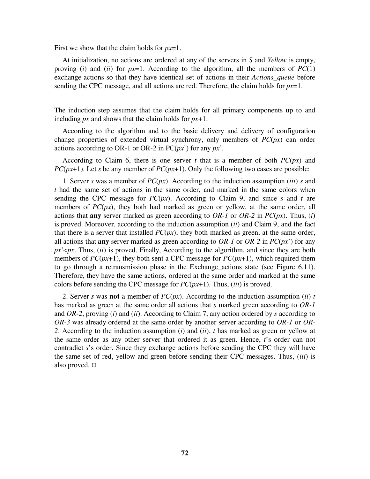First we show that the claim holds for *px*=1.

At initialization, no actions are ordered at any of the servers in *S* and *Yellow* is empty, proving (*i*) and (*ii*) for  $px=1$ . According to the algorithm, all the members of  $PC(1)$ exchange actions so that they have identical set of actions in their *Actions\_queue* before sending the CPC message, and all actions are red. Therefore, the claim holds for *px*=1.

The induction step assumes that the claim holds for all primary components up to and including *px* and shows that the claim holds for *px*+1.

According to the algorithm and to the basic delivery and delivery of configuration change properties of extended virtual synchrony, only members of *PC*(*px*) can order actions according to OR-1 or OR-2 in PC(*px*') for any *px*'.

According to Claim 6, there is one server *t* that is a member of both  $PC(px)$  and *PC*( $px+1$ ). Let *s* be any member of *PC*( $px+1$ ). Only the following two cases are possible:

1.Server *s* was a member of *PC*(*px*). According to the induction assumption (*iii*) *s* and *t* had the same set of actions in the same order, and marked in the same colors when sending the CPC message for  $PC(px)$ . According to Claim 9, and since *s* and *t* are members of  $PC(px)$ , they both had marked as green or yellow, at the same order, all actions that **any** server marked as green according to *OR-1* or *OR-2* in *PC*(*px*). Thus, (*i*) is proved. Moreover, according to the induction assumption (*ii*) and Claim 9, and the fact that there is a server that installed  $PC(px)$ , they both marked as green, at the same order, all actions that **any** server marked as green according to *OR-1* or *OR-2* in *PC*(*px*') for any *px*'<*px*. Thus, (*ii*) is proved. Finally, According to the algorithm, and since they are both members of *PC*(*px*+1), they both sent a CPC message for *PC*(*px*+1), which required them to go through a retransmission phase in the Exchange\_actions state (see Figure 6.11). Therefore, they have the same actions, ordered at the same order and marked at the same colors before sending the CPC message for *PC*(*px*+1). Thus, (*iii*) is proved.

2. Server *s* was **not** a member of  $PC(px)$ . According to the induction assumption (*ii*) *t* has marked as green at the same order all actions that *s* marked green according to *OR-1* and *OR-2*, proving (*i*) and (*ii*). According to Claim 7, any action ordered by *s* according to *OR-3* was already ordered at the same order by another server according to *OR-1* or *OR-2*. According to the induction assumption (*i*) and (*ii*), *t* has marked as green or yellow at the same order as any other server that ordered it as green. Hence, *t*'s order can not contradict *s*'s order. Since they exchange actions before sending the CPC they will have the same set of red, yellow and green before sending their CPC messages. Thus, (*iii*) is also proved.  $\square$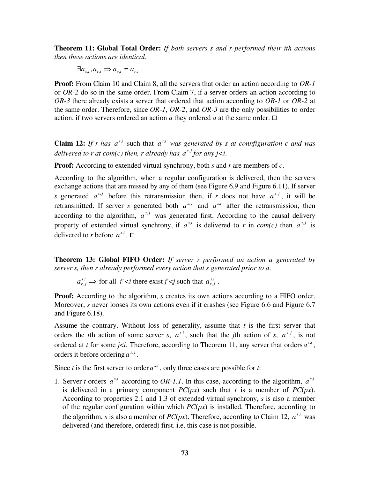**Theorem 11: Global Total Order:** *If both servers s and r performed their ith actions then these actions are identical*.

 $\exists a_{s_i}, a_{r_i} \Rightarrow a_{s_i} = a_{r_i}$ .

**Proof:** From Claim 10 and Claim 8, all the servers that order an action according to *OR-1* or *OR-2* do so in the same order. From Claim 7, if a server orders an action according to *OR-3* there already exists a server that ordered that action according to *OR-1* or *OR-2* at the same order. Therefore, since *OR-1*, *OR-2*, and *OR-3* are the only possibilities to order action, if two servers ordered an action *a* they ordered *a* at the same order.  $\Box$ 

**Claim 12:** If r has  $a^{s,i}$  such that  $a^{s,i}$  was generated by s at connfiguration c and was *delivered to r at com(c) then, r already has*  $a^{s,j}$  *for any*  $j \leq i$ *.* 

**Proof:** According to extended virtual synchrony, both *s* and *r* are members of *c*.

According to the algorithm, when a regular configuration is delivered, then the servers exchange actions that are missed by any of them (see Figure 6.9 and Figure 6.11). If server *s* generated  $a^{s,j}$  before this retransmission then, if *r* does not have  $a^{s,j}$ , it will be retransmitted. If server *s* generated both  $a^{s,j}$  and  $a^{s,i}$  after the retransmission, then according to the algorithm,  $a^{s,j}$  was generated first. According to the causal delivery property of extended virtual synchrony, if  $a^{s,i}$  is delivered to r in *com(c)* then  $a^{s,j}$  is delivered to *r* before  $a^{s,i}$ .  $\Box$ 

**Theorem 13: Global FIFO Order:** *If server r performed an action a generated by server s, then r already performed every action that s generated prior to a*.

 $a_{r,j}^{s,i}$  $\alpha_{i,j}^{i} \Rightarrow$  for all *i*' *there exist <i>j*' *such that*  $a_{r,j}^{s,i}$ , $i'$ ,  $j'$ .

**Proof:** According to the algorithm, *s* creates its own actions according to a FIFO order. Moreover, *s* never looses its own actions even if it crashes (see Figure 6.6 and Figure 6.7 and Figure 6.18).

Assume the contrary. Without loss of generality, assume that *t* is the first server that orders the *i*th action of some server *s*,  $a^{s,i}$ , such that the *j*th action of *s*,  $a^{s,j}$ , is not ordered at *t* for some *j*<*i*. Therefore, according to Theorem 11, any server that orders  $a^{s,i}$ , orders it before ordering  $a^{s,j}$ .

Since *t* is the first server to order  $a^{s,i}$ , only three cases are possible for *t*:

1. Server *t* orders  $a^{s,i}$  according to *OR-1.1*. In this case, according to the algorithm,  $a^{s,i}$ is delivered in a primary component  $PC(px)$  such that *t* is a member of  $PC(px)$ . According to properties 2.1 and 1.3 of extended virtual synchrony, *s* is also a member of the regular configuration within which *PC*(*px*) is installed. Therefore, according to the algorithm, *s* is also a member of  $PC(px)$ . Therefore, according to Claim 12,  $a^{s,i}$  was delivered (and therefore, ordered) first. i.e. this case is not possible.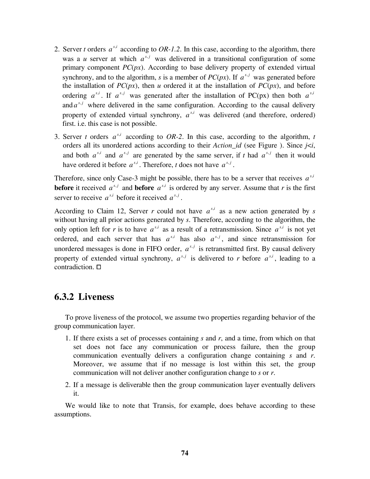- 2. Server *t* orders  $a^{s,i}$  according to *OR-1.2*. In this case, according to the algorithm, there was a *u* server at which  $a^{s,j}$  was delivered in a transitional configuration of some primary component *PC*(*px*). According to base delivery property of extended virtual synchrony, and to the algorithm, *s* is a member of  $PC(px)$ . If  $a^{s,j}$  was generated before the installation of  $PC(px)$ , then *u* ordered it at the installation of  $PC(px)$ , and before ordering  $a^{s,i}$ . If  $a^{s,j}$  was generated after the installation of PC(px) then both  $a^{s,i}$ and  $a^{s,j}$  where delivered in the same configuration. According to the causal delivery property of extended virtual synchrony,  $a^{s,i}$  was delivered (and therefore, ordered) first. i.e. this case is not possible.
- 3. Server *t* orders  $a^{s,i}$  according to *OR-2*. In this case, according to the algorithm, *t* orders all its unordered actions according to their *Action\_id* (see Figure ). Since *j*<*i*, and both  $a^{s,i}$  and  $a^{s,j}$  are generated by the same server, if *t* had  $a^{s,j}$  then it would have ordered it before  $a^{s,i}$ . Therefore, *t* does not have  $a^{s,j}$ .

Therefore, since only Case-3 might be possible, there has to be a server that receives  $a^{s,i}$ **before** it received  $a^{s,j}$  and **before**  $a^{s,i}$  is ordered by any server. Assume that *r* is the first server to receive  $a^{s,i}$  before it received  $a^{s,j}$ .

According to Claim 12, Server *r* could not have  $a^{s,i}$  as a new action generated by *s* without having all prior actions generated by *s*. Therefore, according to the algorithm, the only option left for *r* is to have  $a^{s,i}$  as a result of a retransmission. Since  $a^{s,i}$  is not yet ordered, and each server that has  $a^{s,i}$  has also  $a^{s,j}$ , and since retransmission for unordered messages is done in FIFO order,  $a^{s,j}$  is retransmitted first. By causal delivery property of extended virtual synchrony,  $a^{s,j}$  is delivered to *r* before  $a^{s,i}$ , leading to a contradiction.  $\square$ 

#### **6.3.2 Liveness**

To prove liveness of the protocol, we assume two properties regarding behavior of the group communication layer.

- 1. If there exists a set of processes containing *s* and *r*, and a time, from which on that set does not face any communication or process failure, then the group communication eventually delivers a configuration change containing *s* and *r*. Moreover, we assume that if no message is lost within this set, the group communication will not deliver another configuration change to *s* or *r*.
- 2. If a message is deliverable then the group communication layer eventually delivers it.

We would like to note that Transis, for example, does behave according to these assumptions.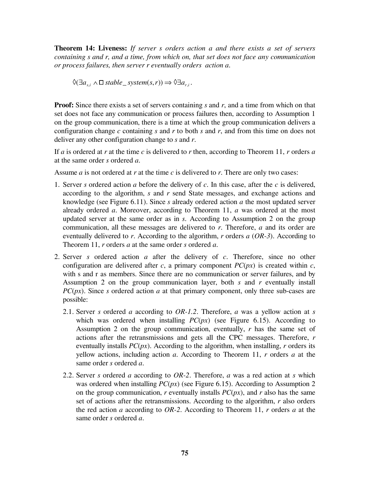**Theorem 14: Liveness:** *If server s orders action a and there exists a set of servers containing s and r, and a time, from which on, that set does not face any communication or process failures, then server r eventually orders action a*.

 $\Diamond$ ( $\exists a_{i}$ ,  $\land$   $\Box$ *stable \_ system*(*s*, *r*))  $\Rightarrow$   $\Diamond$  $\exists a_{i}$ .

**Proof:** Since there exists a set of servers containing *s* and *r*, and a time from which on that set does not face any communication or process failures then, according to Assumption 1 on the group communication, there is a time at which the group communication delivers a configuration change *c* containing *s* and *r* to both *s* and *r*, and from this time on does not deliver any other configuration change to *s* and *r*.

If *a* is ordered at *r* at the time *c* is delivered to *r* then, according to Theorem 11, *r* orders *a* at the same order *s* ordered *a*.

Assume *a* is not ordered at *r* at the time *c* is delivered to *r*. There are only two cases:

- 1. Server *s* ordered action *a* before the delivery of *c*. In this case, after the *c* is delivered, according to the algorithm, *s* and *r* send State messages, and exchange actions and knowledge (see Figure 6.11). Since *s* already ordered action *a* the most updated server already ordered *a*. Moreover, according to Theorem 11, *a* was ordered at the most updated server at the same order as in *s*. According to Assumption 2 on the group communication, all these messages are delivered to *r*. Therefore, *a* and its order are eventually delivered to *r*. According to the algorithm, *r* orders *a* (*OR-3*). According to Theorem 11, *r* orders *a* at the same order *s* ordered *a*.
- 2. Server *s* ordered action *a* after the delivery of *c*. Therefore, since no other configuration are delivered after *c*, a primary component  $PC(px)$  is created within *c*, with s and r as members. Since there are no communication or server failures, and by Assumption 2 on the group communication layer, both *s* and *r* eventually install *PC(px)*. Since *s* ordered action *a* at that primary component, only three sub-cases are possible:
	- 2.1. Server *s* ordered *a* according to *OR-1.2*. Therefore, *a* was a yellow action at *s* which was ordered when installing  $PC(px)$  (see Figure 6.15). According to Assumption 2 on the group communication, eventually, *r* has the same set of actions after the retransmissions and gets all the CPC messages. Therefore, *r* eventually installs *PC*(*px*). According to the algorithm, when installing, *r* orders its yellow actions, including action *a*. According to Theorem 11, *r* orders *a* at the same order *s* ordered *a*.
	- 2.2. Server *s* ordered *a* according to *OR-2*. Therefore, *a* was a red action at *s* which was ordered when installing *PC*(*px*) (see Figure 6.15). According to Assumption 2 on the group communication, *r* eventually installs *PC*(*px*), and *r* also has the same set of actions after the retransmissions. According to the algorithm, *r* also orders the red action *a* according to *OR-2*. According to Theorem 11, *r* orders *a* at the same order *s* ordered *a*.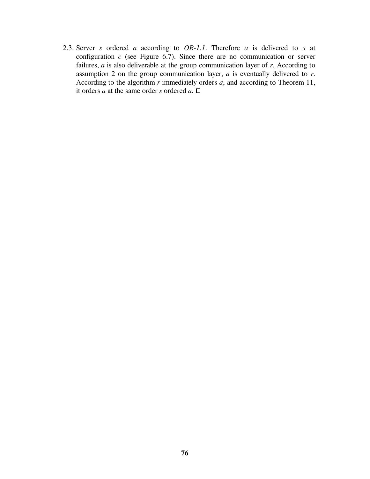2.3. Server *s* ordered *a* according to *OR-1.1*. Therefore *a* is delivered to *s* at configuration  $c$  (see Figure 6.7). Since there are no communication or server failures, *a* is also deliverable at the group communication layer of *r*. According to assumption 2 on the group communication layer, *a* is eventually delivered to *r*. According to the algorithm *r* immediately orders *a*, and according to Theorem 11, it orders *a* at the same order *s* ordered  $\overline{a}$ .  $\Box$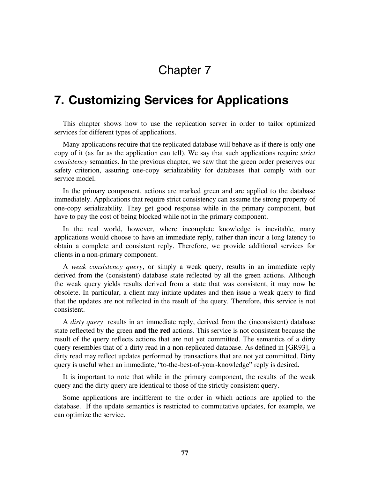# Chapter 7

## **7. Customizing Services for Applications**

This chapter shows how to use the replication server in order to tailor optimized services for different types of applications.

Many applications require that the replicated database will behave as if there is only one copy of it (as far as the application can tell). We say that such applications require *strict consistency* semantics. In the previous chapter, we saw that the green order preserves our safety criterion, assuring one-copy serializability for databases that comply with our service model.

In the primary component, actions are marked green and are applied to the database immediately. Applications that require strict consistency can assume the strong property of one-copy serializability. They get good response while in the primary component, **but** have to pay the cost of being blocked while not in the primary component.

In the real world, however, where incomplete knowledge is inevitable, many applications would choose to have an immediate reply, rather than incur a long latency to obtain a complete and consistent reply. Therefore, we provide additional services for clients in a non-primary component.

A *weak consistency query*, or simply a weak query, results in an immediate reply derived from the (consistent) database state reflected by all the green actions. Although the weak query yields results derived from a state that was consistent, it may now be obsolete. In particular, a client may initiate updates and then issue a weak query to find that the updates are not reflected in the result of the query. Therefore, this service is not consistent.

A *dirty query* results in an immediate reply, derived from the (inconsistent) database state reflected by the green **and the red** actions. This service is not consistent because the result of the query reflects actions that are not yet committed. The semantics of a dirty query resembles that of a dirty read in a non-replicated database. As defined in [GR93], a dirty read may reflect updates performed by transactions that are not yet committed. Dirty query is useful when an immediate, "to-the-best-of-your-knowledge" reply is desired.

It is important to note that while in the primary component, the results of the weak query and the dirty query are identical to those of the strictly consistent query.

Some applications are indifferent to the order in which actions are applied to the database. If the update semantics is restricted to commutative updates, for example, we can optimize the service.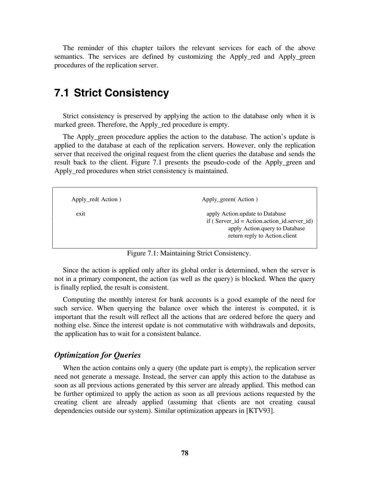The reminder of this chapter tailors the relevant services for each of the above semantics. The services are defined by customizing the Apply red and Apply green procedures of the replication server.

## **7.1 Strict Consistency**

Strict consistency is preserved by applying the action to the database only when it is marked green. Therefore, the Apply\_red procedure is empty.

The Apply\_green procedure applies the action to the database. The action's update is applied to the database at each of the replication servers. However, only the replication server that received the original request from the client queries the database and sends the result back to the client. Figure 7.1 presents the pseudo-code of the Apply\_green and Apply red procedures when strict consistency is maintained.

| Apply_red(Action) | Apply_green(Action)                                                                                                                                  |
|-------------------|------------------------------------------------------------------------------------------------------------------------------------------------------|
| exit              | apply Action update to Database<br>if (Server $id = Action.action$ id.server id)<br>apply Action. query to Database<br>return reply to Action.client |

Figure 7.1: Maintaining Strict Consistency.

Since the action is applied only after its global order is determined, when the server is not in a primary component, the action (as well as the query) is blocked. When the query is finally replied, the result is consistent.

Computing the monthly interest for bank accounts is a good example of the need for such service. When querying the balance over which the interest is computed, it is important that the result will reflect all the actions that are ordered before the query and nothing else. Since the interest update is not commutative with withdrawals and deposits, the application has to wait for a consistent balance.

#### *Optimization for Queries*

When the action contains only a query (the update part is empty), the replication server need not generate a message. Instead, the server can apply this action to the database as soon as all previous actions generated by this server are already applied. This method can be further optimized to apply the action as soon as all previous actions requested by the creating client are already applied (assuming that clients are not creating causal dependencies outside our system). Similar optimization appears in [KTV93].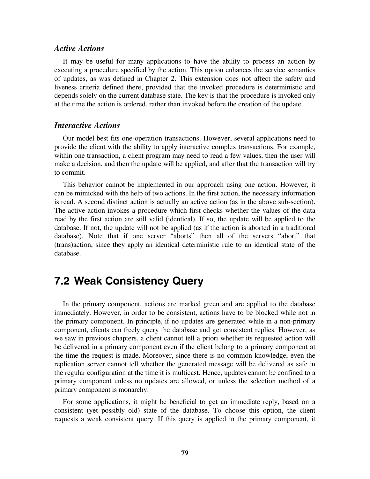#### *Active Actions*

It may be useful for many applications to have the ability to process an action by executing a procedure specified by the action. This option enhances the service semantics of updates, as was defined in Chapter 2. This extension does not affect the safety and liveness criteria defined there, provided that the invoked procedure is deterministic and depends solely on the current database state. The key is that the procedure is invoked only at the time the action is ordered, rather than invoked before the creation of the update.

#### *Interactive Actions*

Our model best fits one-operation transactions. However, several applications need to provide the client with the ability to apply interactive complex transactions. For example, within one transaction, a client program may need to read a few values, then the user will make a decision, and then the update will be applied, and after that the transaction will try to commit.

This behavior cannot be implemented in our approach using one action. However, it can be mimicked with the help of two actions. In the first action, the necessary information is read. A second distinct action is actually an active action (as in the above sub-section). The active action invokes a procedure which first checks whether the values of the data read by the first action are still valid (identical). If so, the update will be applied to the database. If not, the update will not be applied (as if the action is aborted in a traditional database). Note that if one server "aborts" then all of the servers "abort" that (trans)action, since they apply an identical deterministic rule to an identical state of the database.

### **7.2 Weak Consistency Query**

In the primary component, actions are marked green and are applied to the database immediately. However, in order to be consistent, actions have to be blocked while not in the primary component. In principle, if no updates are generated while in a non-primary component, clients can freely query the database and get consistent replies. However, as we saw in previous chapters, a client cannot tell a priori whether its requested action will be delivered in a primary component even if the client belong to a primary component at the time the request is made. Moreover, since there is no common knowledge, even the replication server cannot tell whether the generated message will be delivered as safe in the regular configuration at the time it is multicast. Hence, updates cannot be confined to a primary component unless no updates are allowed, or unless the selection method of a primary component is monarchy.

For some applications, it might be beneficial to get an immediate reply, based on a consistent (yet possibly old) state of the database. To choose this option, the client requests a weak consistent query. If this query is applied in the primary component, it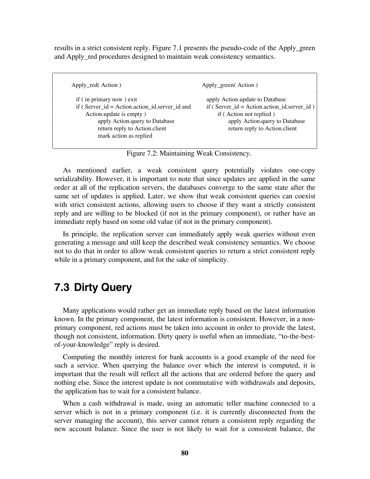results in a strict consistent reply. Figure 7.1 presents the pseudo-code of the Apply\_green and Apply\_red procedures designed to maintain weak consistency semantics.

Apply\_red( Action ) Apply\_green( Action ) if ( in primary now ) exit apply Action.update to Database if ( Server\_id = Action.action\_id.server\_id and if ( Server\_id = Action.action\_id.server\_id ) Action.update is empty ) if (Action not replied ) apply Action.query to Database apply Action.query to Database return reply to Action.client return reply to Action.client mark action as replied

Figure 7.2: Maintaining Weak Consistency.

As mentioned earlier, a weak consistent query potentially violates one-copy serializability. However, it is important to note that since updates are applied in the same order at all of the replication servers, the databases converge to the same state after the same set of updates is applied. Later, we show that weak consistent queries can coexist with strict consistent actions, allowing users to choose if they want a strictly consistent reply and are willing to be blocked (if not in the primary component), or rather have an immediate reply based on some old value (if not in the primary component).

In principle, the replication server can immediately apply weak queries without even generating a message and still keep the described weak consistency semantics. We choose not to do that in order to allow weak consistent queries to return a strict consistent reply while in a primary component, and for the sake of simplicity.

### **7.3 Dirty Query**

Many applications would rather get an immediate reply based on the latest information known. In the primary component, the latest information is consistent. However, in a nonprimary component, red actions must be taken into account in order to provide the latest, though not consistent, information. Dirty query is useful when an immediate, "to-the-bestof-your-knowledge" reply is desired.

Computing the monthly interest for bank accounts is a good example of the need for such a service. When querying the balance over which the interest is computed, it is important that the result will reflect all the actions that are ordered before the query and nothing else. Since the interest update is not commutative with withdrawals and deposits, the application has to wait for a consistent balance.

When a cash withdrawal is made, using an automatic teller machine connected to a server which is not in a primary component (i.e. it is currently disconnected from the server managing the account), this server cannot return a consistent reply regarding the new account balance. Since the user is not likely to wait for a consistent balance, the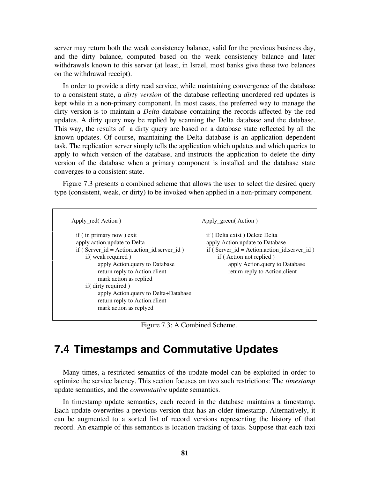server may return both the weak consistency balance, valid for the previous business day, and the dirty balance, computed based on the weak consistency balance and later withdrawals known to this server (at least, in Israel, most banks give these two balances on the withdrawal receipt).

In order to provide a dirty read service, while maintaining convergence of the database to a consistent state, a *dirty version* of the database reflecting unordered red updates is kept while in a non-primary component. In most cases, the preferred way to manage the dirty version is to maintain a *Delta* database containing the records affected by the red updates. A dirty query may be replied by scanning the Delta database and the database. This way, the results of a dirty query are based on a database state reflected by all the known updates. Of course, maintaining the Delta database is an application dependent task. The replication server simply tells the application which updates and which queries to apply to which version of the database, and instructs the application to delete the dirty version of the database when a primary component is installed and the database state converges to a consistent state.

Figure 7.3 presents a combined scheme that allows the user to select the desired query type (consistent, weak, or dirty) to be invoked when applied in a non-primary component.

| Apply red (Action)                                                                                                                                                                                                                                                                                                                                       | Apply_green(Action)                                                                                                                                                                                               |
|----------------------------------------------------------------------------------------------------------------------------------------------------------------------------------------------------------------------------------------------------------------------------------------------------------------------------------------------------------|-------------------------------------------------------------------------------------------------------------------------------------------------------------------------------------------------------------------|
| if (in primary now) exit<br>apply action.update to Delta<br>$if (Server_id = Action.action_id.server_id)$<br>if (weak required)<br>apply Action. query to Database<br>return reply to Action. client<br>mark action as replied<br>if(dirty required)<br>apply Action.query to Delta+Database<br>return reply to Action. client<br>mark action as replyed | if (Delta exist) Delete Delta<br>apply Action.update to Database<br>$if (Server_id = Action.action_id.server_id)$<br>if (Action not replied)<br>apply Action. query to Database<br>return reply to Action. client |

Figure 7.3: A Combined Scheme.

### **7.4 Timestamps and Commutative Updates**

Many times, a restricted semantics of the update model can be exploited in order to optimize the service latency. This section focuses on two such restrictions: The *timestamp* update semantics, and the *commutative* update semantics.

In timestamp update semantics, each record in the database maintains a timestamp. Each update overwrites a previous version that has an older timestamp. Alternatively, it can be augmented to a sorted list of record versions representing the history of that record. An example of this semantics is location tracking of taxis. Suppose that each taxi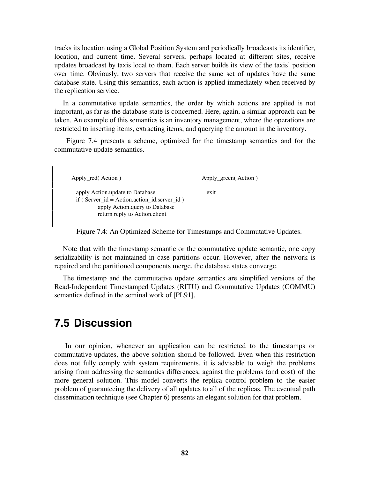tracks its location using a Global Position System and periodically broadcasts its identifier, location, and current time. Several servers, perhaps located at different sites, receive updates broadcast by taxis local to them. Each server builds its view of the taxis' position over time. Obviously, two servers that receive the same set of updates have the same database state. Using this semantics, each action is applied immediately when received by the replication service.

In a commutative update semantics, the order by which actions are applied is not important, as far as the database state is concerned. Here, again, a similar approach can be taken. An example of this semantics is an inventory management, where the operations are restricted to inserting items, extracting items, and querying the amount in the inventory.

 Figure 7.4 presents a scheme, optimized for the timestamp semantics and for the commutative update semantics.

Apply\_red( Action )  $\qquad \qquad \qquad$  Apply\_green( Action )

apply Action.update to Database exit if ( Server\_id = Action.action\_id.server\_id ) apply Action.query to Database return reply to Action.client

Figure 7.4: An Optimized Scheme for Timestamps and Commutative Updates.

Note that with the timestamp semantic or the commutative update semantic, one copy serializability is not maintained in case partitions occur. However, after the network is repaired and the partitioned components merge, the database states converge.

The timestamp and the commutative update semantics are simplified versions of the Read-Independent Timestamped Updates (RITU) and Commutative Updates (COMMU) semantics defined in the seminal work of [PL91].

### **7.5 Discussion**

In our opinion, whenever an application can be restricted to the timestamps or commutative updates, the above solution should be followed. Even when this restriction does not fully comply with system requirements, it is advisable to weigh the problems arising from addressing the semantics differences, against the problems (and cost) of the more general solution. This model converts the replica control problem to the easier problem of guaranteeing the delivery of all updates to all of the replicas. The eventual path dissemination technique (see Chapter 6) presents an elegant solution for that problem.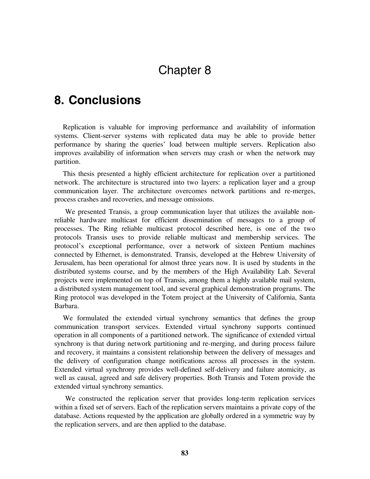# Chapter 8

## **8. Conclusions**

Replication is valuable for improving performance and availability of information systems. Client-server systems with replicated data may be able to provide better performance by sharing the queries' load between multiple servers. Replication also improves availability of information when servers may crash or when the network may partition.

This thesis presented a highly efficient architecture for replication over a partitioned network. The architecture is structured into two layers: a replication layer and a group communication layer. The architecture overcomes network partitions and re-merges, process crashes and recoveries, and message omissions.

We presented Transis, a group communication layer that utilizes the available nonreliable hardware multicast for efficient dissemination of messages to a group of processes. The Ring reliable multicast protocol described here, is one of the two protocols Transis uses to provide reliable multicast and membership services. The protocol's exceptional performance, over a network of sixteen Pentium machines connected by Ethernet, is demonstrated. Transis, developed at the Hebrew University of Jerusalem, has been operational for almost three years now. It is used by students in the distributed systems course, and by the members of the High Availability Lab. Several projects were implemented on top of Transis, among them a highly available mail system, a distributed system management tool, and several graphical demonstration programs. The Ring protocol was developed in the Totem project at the University of California, Santa Barbara.

We formulated the extended virtual synchrony semantics that defines the group communication transport services. Extended virtual synchrony supports continued operation in all components of a partitioned network. The significance of extended virtual synchrony is that during network partitioning and re-merging, and during process failure and recovery, it maintains a consistent relationship between the delivery of messages and the delivery of configuration change notifications across all processes in the system. Extended virtual synchrony provides well-defined self-delivery and failure atomicity, as well as causal, agreed and safe delivery properties. Both Transis and Totem provide the extended virtual synchrony semantics.

We constructed the replication server that provides long-term replication services within a fixed set of servers. Each of the replication servers maintains a private copy of the database. Actions requested by the application are globally ordered in a symmetric way by the replication servers, and are then applied to the database.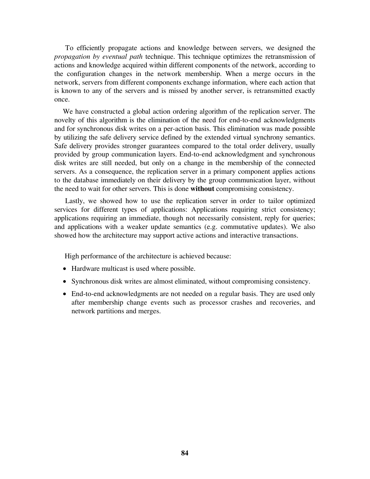To efficiently propagate actions and knowledge between servers, we designed the *propagation by eventual path* technique. This technique optimizes the retransmission of actions and knowledge acquired within different components of the network, according to the configuration changes in the network membership. When a merge occurs in the network, servers from different components exchange information, where each action that is known to any of the servers and is missed by another server, is retransmitted exactly once.

We have constructed a global action ordering algorithm of the replication server. The novelty of this algorithm is the elimination of the need for end-to-end acknowledgments and for synchronous disk writes on a per-action basis. This elimination was made possible by utilizing the safe delivery service defined by the extended virtual synchrony semantics. Safe delivery provides stronger guarantees compared to the total order delivery, usually provided by group communication layers. End-to-end acknowledgment and synchronous disk writes are still needed, but only on a change in the membership of the connected servers. As a consequence, the replication server in a primary component applies actions to the database immediately on their delivery by the group communication layer, without the need to wait for other servers. This is done **without** compromising consistency.

Lastly, we showed how to use the replication server in order to tailor optimized services for different types of applications: Applications requiring strict consistency; applications requiring an immediate, though not necessarily consistent, reply for queries; and applications with a weaker update semantics (e.g. commutative updates). We also showed how the architecture may support active actions and interactive transactions.

High performance of the architecture is achieved because:

- Hardware multicast is used where possible.
- Synchronous disk writes are almost eliminated, without compromising consistency.
- End-to-end acknowledgments are not needed on a regular basis. They are used only after membership change events such as processor crashes and recoveries, and network partitions and merges.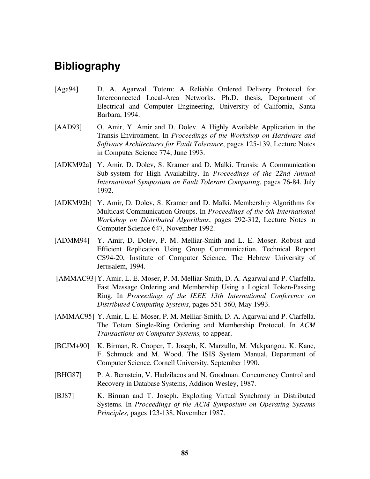## **Bibliography**

- [Aga94] D. A. Agarwal. Totem: A Reliable Ordered Delivery Protocol for Interconnected Local-Area Networks. Ph.D. thesis, Department of Electrical and Computer Engineering, University of California, Santa Barbara, 1994.
- [AAD93] O. Amir, Y. Amir and D. Dolev. A Highly Available Application in the Transis Environment. In *Proceedings of the Workshop on Hardware and Software Architectures for Fault Tolerance*, pages 125-139, Lecture Notes in Computer Science 774, June 1993.
- [ADKM92a] Y. Amir, D. Dolev, S. Kramer and D. Malki. Transis: A Communication Sub-system for High Availability. In *Proceedings of the 22nd Annual International Symposium on Fault Tolerant Computing*, pages 76-84, July 1992.
- [ADKM92b] Y. Amir, D. Dolev, S. Kramer and D. Malki. Membership Algorithms for Multicast Communication Groups. In *Proceedings of the 6th International Workshop on Distributed Algorithms*, pages 292-312, Lecture Notes in Computer Science 647, November 1992.
- [ADMM94] Y. Amir, D. Dolev, P. M. Melliar-Smith and L. E. Moser. Robust and Efficient Replication Using Group Communication. Technical Report CS94-20, Institute of Computer Science, The Hebrew University of Jerusalem, 1994.
- [AMMAC93] Y. Amir, L. E. Moser, P. M. Melliar-Smith, D. A. Agarwal and P. Ciarfella. Fast Message Ordering and Membership Using a Logical Token-Passing Ring. In *Proceedings of the IEEE 13th International Conference on Distributed Computing Systems*, pages 551-560, May 1993.
- [AMMAC95] Y. Amir, L. E. Moser, P. M. Melliar-Smith, D. A. Agarwal and P. Ciarfella. The Totem Single-Ring Ordering and Membership Protocol. In *ACM Transactions on Computer Systems,* to appear.
- [BCJM+90] K. Birman, R. Cooper, T. Joseph, K. Marzullo, M. Makpangou, K. Kane, F. Schmuck and M. Wood. The ISIS System Manual, Department of Computer Science, Cornell University, September 1990.
- [BHG87] P. A. Bernstein, V. Hadzilacos and N. Goodman. Concurrency Control and Recovery in Database Systems, Addison Wesley, 1987.
- [BJ87] K. Birman and T. Joseph. Exploiting Virtual Synchrony in Distributed Systems. In *Proceedings of the ACM Symposium on Operating Systems Principles,* pages 123-138, November 1987.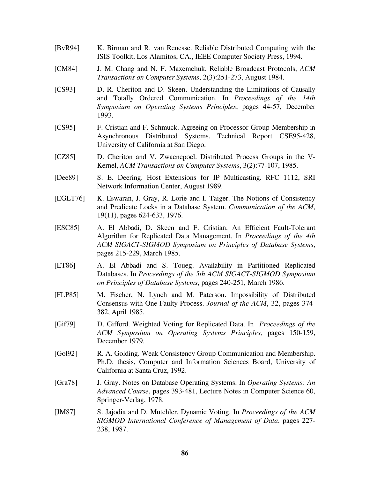- [BvR94] K. Birman and R. van Renesse. Reliable Distributed Computing with the ISIS Toolkit, Los Alamitos, CA., IEEE Computer Society Press, 1994.
- [CM84] J. M. Chang and N. F. Maxemchuk. Reliable Broadcast Protocols, *ACM Transactions on Computer Systems*, 2(3):251-273, August 1984.
- [CS93] D. R. Cheriton and D. Skeen. Understanding the Limitations of Causally and Totally Ordered Communication. In *Proceedings of the 14th Symposium on Operating Systems Principles*, pages 44-57, December 1993.
- [CS95] F. Cristian and F. Schmuck. Agreeing on Processor Group Membership in Asynchronous Distributed Systems. Technical Report CSE95-428, University of California at San Diego.
- [CZ85] D. Cheriton and V. Zwaenepoel. Distributed Process Groups in the V-Kernel, *ACM Transactions on Computer Systems*, 3(2):77-107, 1985.
- [Dee89] S. E. Deering. Host Extensions for IP Multicasting. RFC 1112, SRI Network Information Center, August 1989.
- [EGLT76] K. Eswaran, J. Gray, R. Lorie and I. Taiger. The Notions of Consistency and Predicate Locks in a Database System. *Communication of the ACM*, 19(11), pages 624-633, 1976.
- [ESC85] A. El Abbadi, D. Skeen and F. Cristian. An Efficient Fault-Tolerant Algorithm for Replicated Data Management. In *Proceedings of the 4th ACM SIGACT-SIGMOD Symposium on Principles of Database Systems*, pages 215-229, March 1985.
- [ET86] A. El Abbadi and S. Toueg. Availability in Partitioned Replicated Databases. In *Proceedings of the 5th ACM SIGACT-SIGMOD Symposium on Principles of Database Systems*, pages 240-251, March 1986.
- [FLP85] M. Fischer, N. Lynch and M. Paterson. Impossibility of Distributed Consensus with One Faulty Process. *Journal of the ACM*, 32, pages 374- 382, April 1985.
- [Gif79] D. Gifford. Weighted Voting for Replicated Data. In *Proceedings of the ACM Symposium on Operating Systems Principles,* pages 150-159, December 1979.
- [Gol92] R. A. Golding. Weak Consistency Group Communication and Membership. Ph.D. thesis, Computer and Information Sciences Board, University of California at Santa Cruz, 1992.
- [Gra78] J. Gray. Notes on Database Operating Systems. In *Operating Systems: An Advanced Course*, pages 393-481, Lecture Notes in Computer Science 60, Springer-Verlag, 1978.
- [JM87] S. Jajodia and D. Mutchler. Dynamic Voting. In *Proceedings of the ACM SIGMOD International Conference of Management of Data*. pages 227- 238, 1987.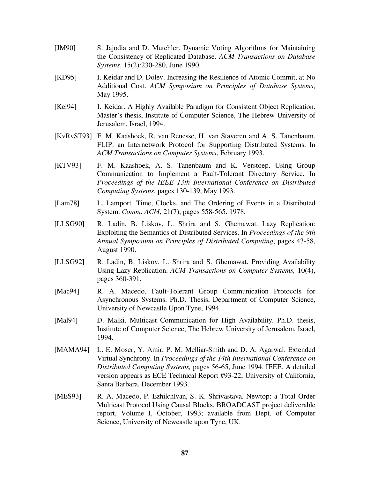- [JM90] S. Jajodia and D. Mutchler. Dynamic Voting Algorithms for Maintaining the Consistency of Replicated Database. *ACM Transactions on Database Systems*, 15(2):230-280, June 1990.
- [KD95] I. Keidar and D. Dolev. Increasing the Resilience of Atomic Commit, at No Additional Cost. *ACM Symposium on Principles of Database Systems*, May 1995.
- [Kei94] I. Keidar. A Highly Available Paradigm for Consistent Object Replication. Master's thesis, Institute of Computer Science, The Hebrew University of Jerusalem, Israel, 1994.
- [KvRvST93] F. M. Kaashoek, R. van Renesse, H. van Staveren and A. S. Tanenbaum. FLIP: an Internetwork Protocol for Supporting Distributed Systems. In *ACM Transactions on Computer Systems*, February 1993.
- [KTV93] F. M. Kaashoek, A. S. Tanenbaum and K. Verstoep. Using Group Communication to Implement a Fault-Tolerant Directory Service. In *Proceedings of the IEEE 13th International Conference on Distributed Computing Systems*, pages 130-139, May 1993.
- [Lam78] L. Lamport. Time, Clocks, and The Ordering of Events in a Distributed System. *Comm. ACM*, 21(7), pages 558-565. 1978.
- [LLSG90] R. Ladin, B. Liskov, L. Shrira and S. Ghemawat. Lazy Replication: Exploiting the Semantics of Distributed Services. In *Proceedings of the 9th Annual Symposium on Principles of Distributed Computing*, pages 43-58, August 1990.
- [LLSG92] R. Ladin, B. Liskov, L. Shrira and S. Ghemawat. Providing Availability Using Lazy Replication. *ACM Transactions on Computer Systems,* 10(4), pages 360-391.
- [Mac94] R. A. Macedo. Fault-Tolerant Group Communication Protocols for Asynchronous Systems. Ph.D. Thesis, Department of Computer Science, University of Newcastle Upon Tyne, 1994.
- [Mal94] D. Malki. Multicast Communication for High Availability. Ph.D. thesis, Institute of Computer Science, The Hebrew University of Jerusalem, Israel, 1994.
- [MAMA94] L. E. Moser, Y. Amir, P. M. Melliar-Smith and D. A. Agarwal. Extended Virtual Synchrony. In *Proceedings of the 14th International Conference on Distributed Computing Systems,* pages 56-65, June 1994. IEEE. A detailed version appears as ECE Technical Report #93-22, University of California, Santa Barbara, December 1993.
- [MES93] R. A. Macedo, P. Ezhilchlvan, S. K. Shrivastava. Newtop: a Total Order Multicast Protocol Using Causal Blocks. BROADCAST project deliverable report, Volume I, October, 1993; available from Dept. of Computer Science, University of Newcastle upon Tyne, UK.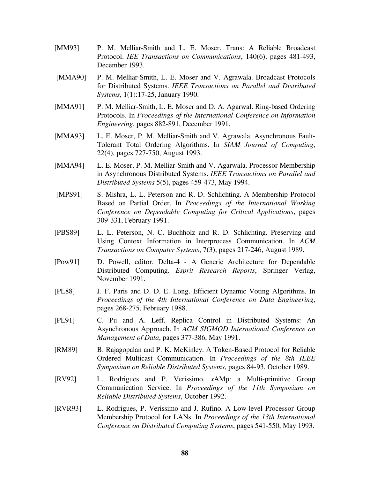- [MM93] P. M. Melliar-Smith and L. E. Moser. Trans: A Reliable Broadcast Protocol. *IEE Transactions on Communications*, 140(6), pages 481-493, December 1993.
- [MMA90] P. M. Melliar-Smith, L. E. Moser and V. Agrawala. Broadcast Protocols for Distributed Systems. *IEEE Transactions on Parallel and Distributed Systems*, 1(1):17-25, January 1990.
- [MMA91] P. M. Melliar-Smith, L. E. Moser and D. A. Agarwal. Ring-based Ordering Protocols. In *Proceedings of the International Conference on Information Engineering*, pages 882-891, December 1991.
- [MMA93] L. E. Moser, P. M. Melliar-Smith and V. Agrawala. Asynchronous Fault-Tolerant Total Ordering Algorithms. In *SIAM Journal of Computing*, 22(4), pages 727-750, August 1993.
- [MMA94] L. E. Moser, P. M. Melliar-Smith and V. Agarwala. Processor Membership in Asynchronous Distributed Systems. *IEEE Transactions on Parallel and Distributed Systems* 5(5), pages 459-473, May 1994.
- [MPS91] S. Mishra, L. L. Peterson and R. D. Schlichting. A Membership Protocol Based on Partial Order. In *Proceedings of the International Working Conference on Dependable Computing for Critical Applications*, pages 309-331, February 1991.
- [PBS89] L. L. Peterson, N. C. Buchholz and R. D. Schlichting. Preserving and Using Context Information in Interprocess Communication. In *ACM Transactions on Computer Systems*, 7(3), pages 217-246, August 1989.
- [Pow91] D. Powell, editor. Delta-4 A Generic Architecture for Dependable Distributed Computing. *Esprit Research Reports*, Springer Verlag, November 1991.
- [PL88] J. F. Paris and D. D. E. Long. Efficient Dynamic Voting Algorithms. In *Proceedings of the 4th International Conference on Data Engineering*, pages 268-275, February 1988.
- [PL91] C. Pu and A. Leff. Replica Control in Distributed Systems: An Asynchronous Approach. In *ACM SIGMOD International Conference on Management of Data*, pages 377-386, May 1991.
- [RM89] B. Rajagopalan and P. K. McKinley. A Token-Based Protocol for Reliable Ordered Multicast Communication. In *Proceedings of the 8th IEEE Symposium on Reliable Distributed Systems*, pages 84-93, October 1989.
- [RV92] L. Rodrigues and P. Verissimo. *x*AMp: a Multi-primitive Group Communication Service. In *Proceedings of the 11th Symposium on Reliable Distributed Systems*, October 1992.
- [RVR93] L. Rodrigues, P. Verissimo and J. Rufino. A Low-level Processor Group Membership Protocol for LANs. In *Proceedings of the 13th International Conference on Distributed Computing Systems*, pages 541-550, May 1993.